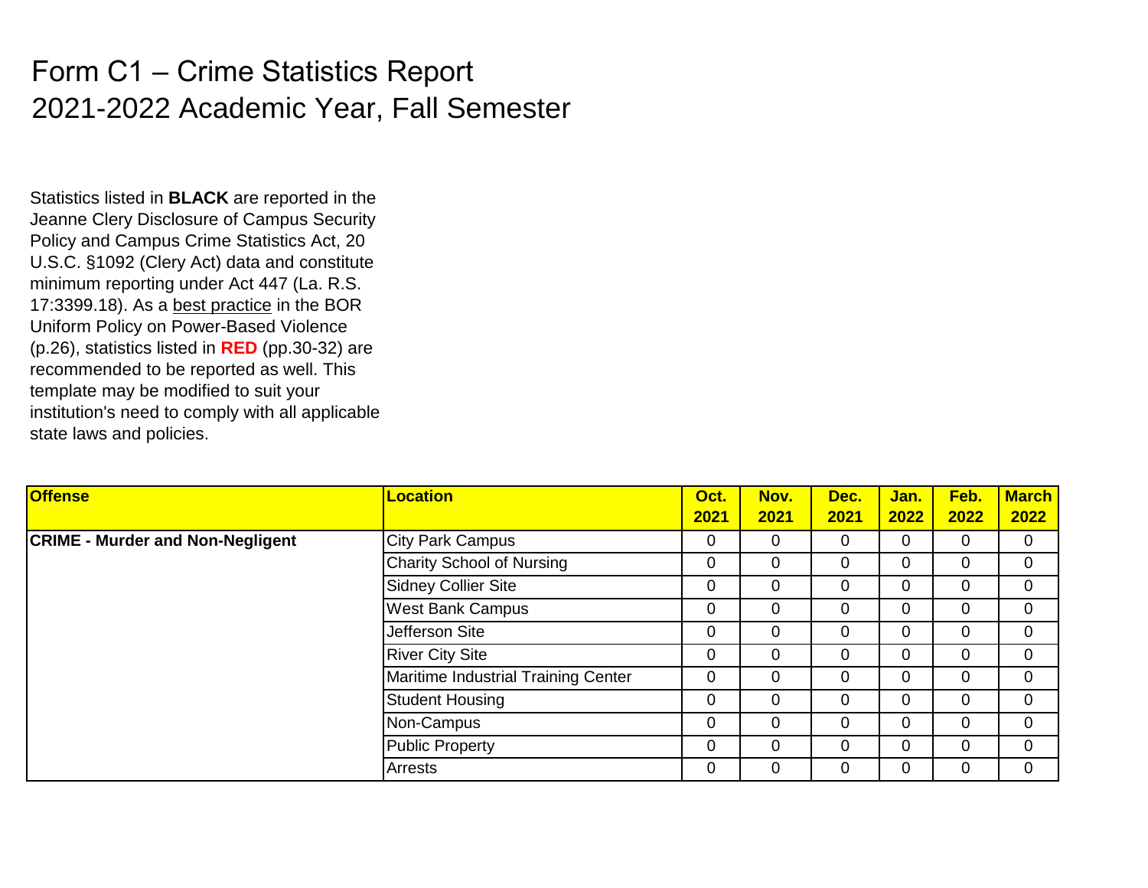## Form C1 – Crime Statistics Report 2021-2022 Academic Year, Fall Semester

Statistics listed in **BLACK** are reported in the Jeanne Clery Disclosure of Campus Security Policy and Campus Crime Statistics Act, 20 U.S.C. §1092 (Clery Act) data and constitute minimum reporting under Act 447 (La. R.S. 17:3399.18). As a best practice in the BOR Uniform Policy on Power-Based Violence (p.26), statistics listed in **RED** (pp.30-32) are recommended to be reported as well. This template may be modified to suit your institution's need to comply with all applicable state laws and policies.

| <b>Offense</b>                          | <b>Location</b>                     | Oct.<br>2021 | Nov.<br>2021 | Dec.<br>2021 | Jan.<br>2022 | Feb.<br>2022   | <b>March</b><br>2022 |
|-----------------------------------------|-------------------------------------|--------------|--------------|--------------|--------------|----------------|----------------------|
| <b>CRIME - Murder and Non-Negligent</b> | <b>City Park Campus</b>             | 0            | 0            | 0            | $\mathbf 0$  | $\overline{0}$ | $\mathbf 0$          |
|                                         | Charity School of Nursing           | 0            | 0            | 0            | 0            | 0              | $\mathbf 0$          |
|                                         | <b>Sidney Collier Site</b>          | 0            | 0            | 0            | 0            | $\overline{0}$ | $\mathbf 0$          |
|                                         | <b>West Bank Campus</b>             | 0            | 0            | 0            | 0            | 0              | 0                    |
|                                         | Jefferson Site                      | 0            | 0            | 0            | 0            | 0              | $\mathbf 0$          |
|                                         | <b>River City Site</b>              | 0            | 0            | 0            | 0            | 0              | $\overline{0}$       |
|                                         | Maritime Industrial Training Center | 0            | 0            | 0            | 0            | $\overline{0}$ | 0                    |
|                                         | <b>Student Housing</b>              | 0            | 0            | 0            | 0            | 0              | $\mathbf 0$          |
|                                         | Non-Campus                          | 0            | 0            | 0            | 0            | $\overline{0}$ | $\overline{0}$       |
|                                         | <b>Public Property</b>              | 0            | 0            | 0            | 0            | $\overline{0}$ | $\overline{0}$       |
|                                         | <b>Arrests</b>                      | 0            | 0            | 0            | $\mathbf 0$  | 0              | $\mathbf 0$          |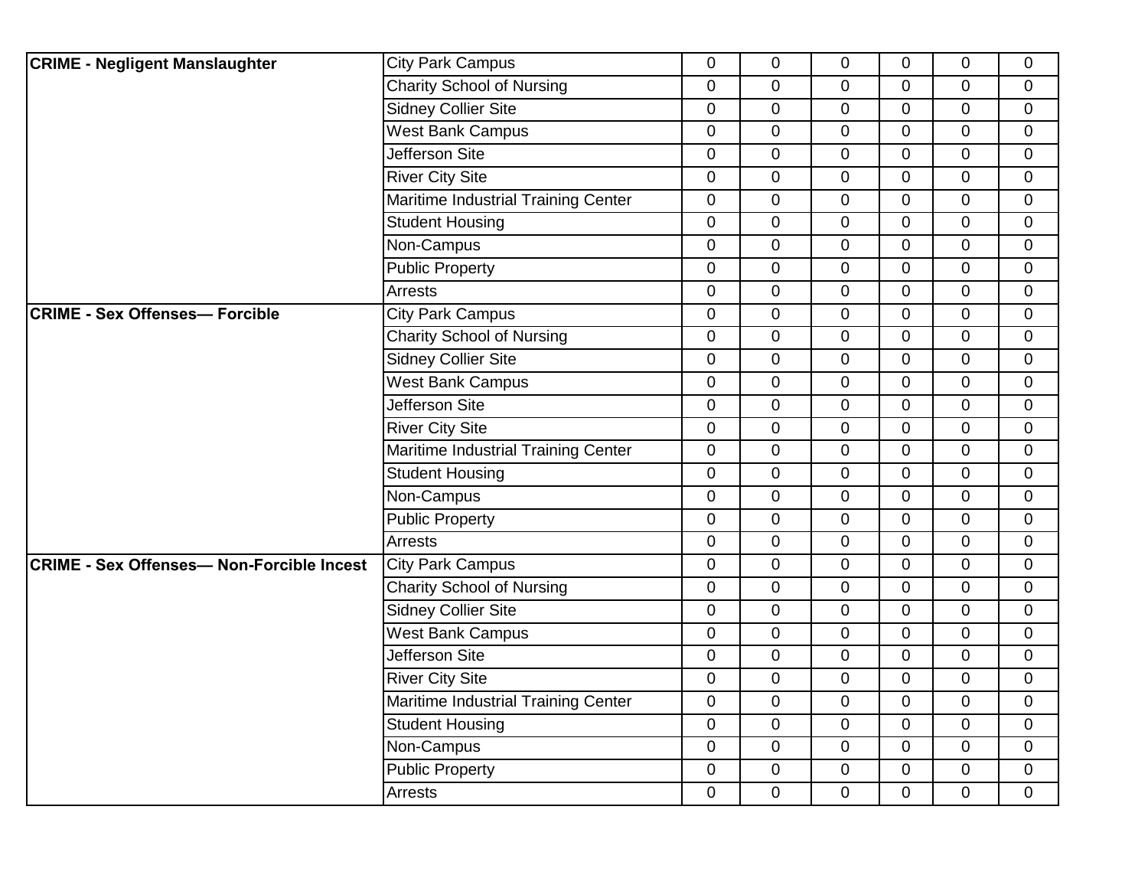| <b>CRIME - Negligent Manslaughter</b>            | <b>City Park Campus</b>             | $\overline{0}$ | $\mathbf 0$ | $\mathbf 0$    | $\overline{0}$ | 0              | $\mathbf 0$    |
|--------------------------------------------------|-------------------------------------|----------------|-------------|----------------|----------------|----------------|----------------|
|                                                  | <b>Charity School of Nursing</b>    | $\mathbf 0$    | $\mathbf 0$ | $\overline{0}$ | $\overline{0}$ | 0              | $\mathbf 0$    |
|                                                  | <b>Sidney Collier Site</b>          | $\overline{0}$ | $\mathbf 0$ | $\mathbf 0$    | $\overline{0}$ | 0              | $\mathbf 0$    |
|                                                  | <b>West Bank Campus</b>             | 0              | $\mathbf 0$ | $\mathbf 0$    | $\mathbf 0$    | 0              | $\mathbf 0$    |
|                                                  | Jefferson Site                      | $\mathbf 0$    | $\pmb{0}$   | $\mathbf 0$    | $\overline{0}$ | $\overline{0}$ | $\overline{0}$ |
|                                                  | <b>River City Site</b>              | $\mathbf 0$    | $\mathbf 0$ | $\mathbf 0$    | $\mathbf 0$    | 0              | $\mathbf 0$    |
|                                                  | Maritime Industrial Training Center | $\mathbf 0$    | $\mathbf 0$ | $\mathbf 0$    | $\overline{0}$ | 0              | $\overline{0}$ |
|                                                  | <b>Student Housing</b>              | $\overline{0}$ | $\pmb{0}$   | $\mathbf 0$    | $\overline{0}$ | 0              | $\mathbf{0}$   |
|                                                  | Non-Campus                          | $\overline{0}$ | $\mathbf 0$ | $\mathbf 0$    | $\overline{0}$ | $\overline{0}$ | $\overline{0}$ |
|                                                  | <b>Public Property</b>              | $\mathbf 0$    | $\mathbf 0$ | $\mathbf 0$    | $\overline{0}$ | 0              | $\mathbf 0$    |
|                                                  | Arrests                             | 0              | $\mathbf 0$ | $\mathbf 0$    | $\mathbf 0$    | 0              | $\mathbf 0$    |
| <b>CRIME - Sex Offenses- Forcible</b>            | <b>City Park Campus</b>             | $\mathbf 0$    | $\pmb{0}$   | $\mathbf 0$    | $\overline{0}$ | $\overline{0}$ | $\mathbf 0$    |
|                                                  | <b>Charity School of Nursing</b>    | $\overline{0}$ | $\mathbf 0$ | $\mathbf 0$    | $\mathbf 0$    | 0              | $\mathbf 0$    |
|                                                  | Sidney Collier Site                 | 0              | $\mathbf 0$ | $\mathbf 0$    | $\overline{0}$ | 0              | $\mathbf 0$    |
|                                                  | <b>West Bank Campus</b>             | 0              | $\mathbf 0$ | $\mathbf 0$    | 0              | 0              | $\mathbf 0$    |
|                                                  | <b>Jefferson Site</b>               | $\overline{0}$ | $\mathbf 0$ | $\mathbf 0$    | $\overline{0}$ | 0              | $\mathbf 0$    |
|                                                  | <b>River City Site</b>              | $\overline{0}$ | $\mathbf 0$ | $\mathbf 0$    | $\overline{0}$ | 0              | $\mathbf 0$    |
|                                                  | Maritime Industrial Training Center | $\overline{0}$ | $\mathbf 0$ | $\mathbf 0$    | $\overline{0}$ | 0              | $\mathbf 0$    |
|                                                  | <b>Student Housing</b>              | $\mathbf 0$    | $\mathbf 0$ | $\mathbf 0$    | $\overline{0}$ | 0              | $\overline{0}$ |
|                                                  | Non-Campus                          | $\mathbf 0$    | $\pmb{0}$   | $\mathbf 0$    | $\overline{0}$ | 0              | $\mathbf 0$    |
|                                                  | <b>Public Property</b>              | $\mathbf 0$    | $\mathbf 0$ | $\mathbf 0$    | $\mathbf 0$    | 0              | $\mathbf 0$    |
|                                                  | Arrests                             | 0              | $\mathbf 0$ | $\mathbf 0$    | $\overline{0}$ | 0              | $\overline{0}$ |
| <b>CRIME - Sex Offenses- Non-Forcible Incest</b> | <b>City Park Campus</b>             | $\overline{0}$ | $\pmb{0}$   | $\overline{0}$ | $\overline{0}$ | $\overline{0}$ | $\mathbf{0}$   |
|                                                  | <b>Charity School of Nursing</b>    | $\overline{0}$ | $\mathbf 0$ | $\mathbf 0$    | $\overline{0}$ | 0              | $\mathbf 0$    |
|                                                  | <b>Sidney Collier Site</b>          | $\mathbf 0$    | $\mathbf 0$ | $\mathbf 0$    | $\overline{0}$ | 0              | $\mathbf 0$    |
|                                                  | <b>West Bank Campus</b>             | 0              | $\mathbf 0$ | $\Omega$       | $\Omega$       | 0              | $\mathbf 0$    |
|                                                  | Jefferson Site                      | $\mathbf 0$    | $\mathbf 0$ | $\mathbf 0$    | $\overline{0}$ | $\overline{0}$ | $\mathbf 0$    |
|                                                  | <b>River City Site</b>              | $\overline{0}$ | $\mathbf 0$ | $\mathbf 0$    | $\mathbf 0$    | $\overline{0}$ | $\overline{0}$ |
|                                                  | Maritime Industrial Training Center | $\mathbf 0$    | $\mathbf 0$ | $\mathbf 0$    | $\overline{0}$ | $\overline{0}$ | $\mathbf 0$    |
|                                                  | <b>Student Housing</b>              | $\mathbf 0$    | $\mathbf 0$ | $\mathbf 0$    | $\mathbf 0$    | 0              | $\mathbf 0$    |
|                                                  | Non-Campus                          | $\mathbf 0$    | $\pmb{0}$   | $\mathbf 0$    | $\overline{0}$ | 0              | $\mathbf 0$    |
|                                                  | <b>Public Property</b>              | 0              | $\mathbf 0$ | $\mathbf 0$    | $\mathbf 0$    | $\mathbf 0$    | $\mathbf 0$    |
|                                                  | <b>Arrests</b>                      | 0              | $\mathbf 0$ | 0              | $\overline{0}$ | 0              | $\overline{0}$ |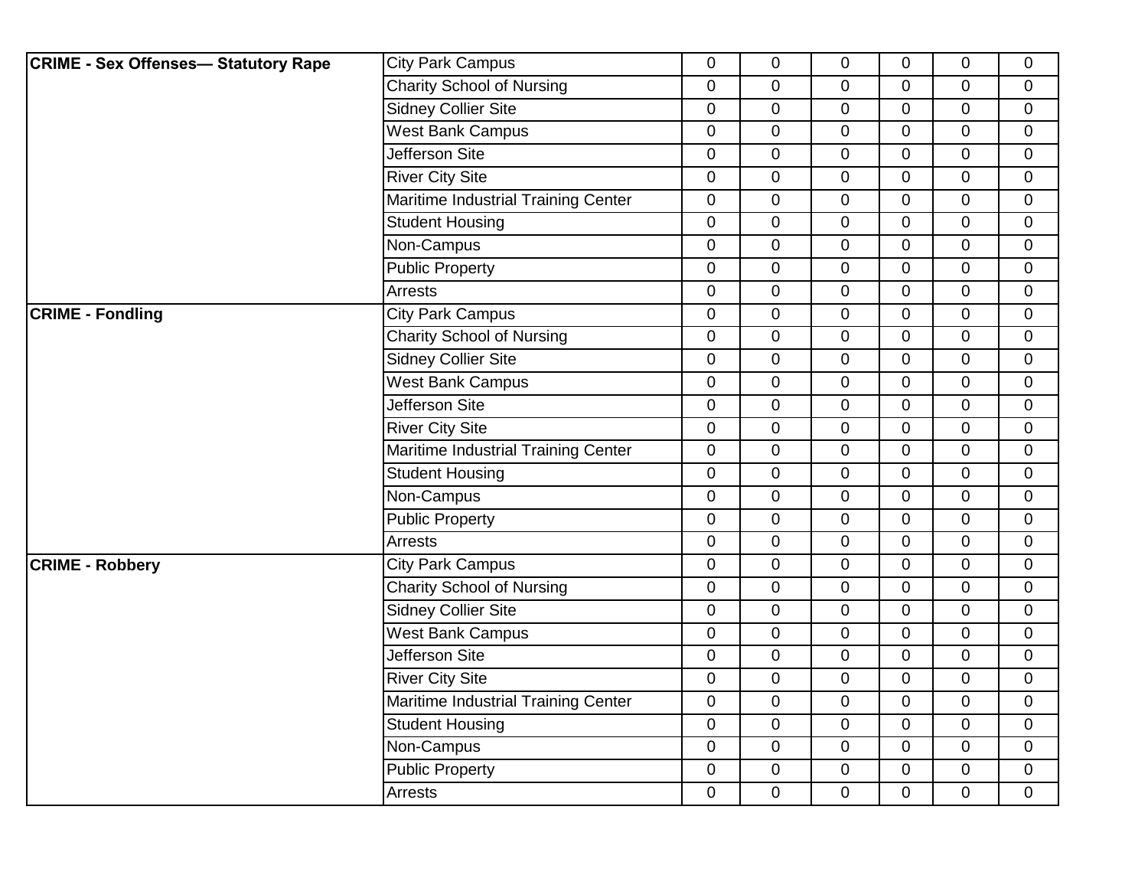| <b>CRIME - Sex Offenses- Statutory Rape</b> | <b>City Park Campus</b>             | 0              | $\mathbf 0$    | $\overline{0}$ | $\overline{0}$ | 0              | $\mathbf 0$    |
|---------------------------------------------|-------------------------------------|----------------|----------------|----------------|----------------|----------------|----------------|
|                                             | <b>Charity School of Nursing</b>    | 0              | $\mathbf 0$    | 0              | $\overline{0}$ | 0              | $\mathbf 0$    |
|                                             | <b>Sidney Collier Site</b>          | $\overline{0}$ | $\overline{0}$ | $\overline{0}$ | $\overline{0}$ | $\overline{0}$ | $\overline{0}$ |
|                                             | <b>West Bank Campus</b>             | 0              | $\mathbf 0$    | $\overline{0}$ | 0              | 0              | $\mathbf 0$    |
|                                             | Jefferson Site                      | 0              | $\mathbf 0$    | 0              | 0              | 0              | $\mathbf 0$    |
|                                             | <b>River City Site</b>              | 0              | 0              | 0              | 0              | 0              | 0              |
|                                             | Maritime Industrial Training Center | 0              | 0              | $\overline{0}$ | $\overline{0}$ | 0              | $\mathbf 0$    |
|                                             | <b>Student Housing</b>              | 0              | $\mathbf 0$    | $\overline{0}$ | $\overline{0}$ | $\overline{0}$ | $\mathbf 0$    |
|                                             | Non-Campus                          | 0              | $\mathbf 0$    | 0              | $\mathbf 0$    | $\pmb{0}$      | $\mathbf 0$    |
|                                             | <b>Public Property</b>              | 0              | $\mathbf 0$    | 0              | $\overline{0}$ | $\overline{0}$ | $\mathbf 0$    |
|                                             | Arrests                             | 0              | $\mathbf 0$    | $\overline{0}$ | $\overline{0}$ | 0              | 0              |
| <b>CRIME - Fondling</b>                     | <b>City Park Campus</b>             | 0              | $\mathbf 0$    | $\mathbf 0$    | $\mathbf 0$    | 0              | $\overline{0}$ |
|                                             | <b>Charity School of Nursing</b>    | 0              | $\pmb{0}$      | $\overline{0}$ | $\overline{0}$ | 0              | 0              |
|                                             | <b>Sidney Collier Site</b>          | 0              | 0              | $\mathbf 0$    | $\overline{0}$ | $\overline{0}$ | $\mathbf 0$    |
|                                             | <b>West Bank Campus</b>             | 0              | 0              | $\overline{0}$ | $\overline{0}$ | $\mathbf 0$    | $\mathbf 0$    |
|                                             | <b>Jefferson Site</b>               | 0              | $\mathbf 0$    | 0              | 0              | 0              | $\mathbf 0$    |
|                                             | <b>River City Site</b>              | 0              | $\mathbf 0$    | $\mathbf 0$    | $\overline{0}$ | $\overline{0}$ | $\mathbf 0$    |
|                                             | Maritime Industrial Training Center | $\overline{0}$ | $\mathbf 0$    | $\overline{0}$ | $\overline{0}$ | $\overline{0}$ | $\mathbf 0$    |
|                                             | <b>Student Housing</b>              | 0              | $\mathbf 0$    | $\mathbf 0$    | 0              | 0              | $\mathbf 0$    |
|                                             | Non-Campus                          | 0              | $\pmb{0}$      | $\pmb{0}$      | $\overline{0}$ | $\pmb{0}$      | 0              |
|                                             | <b>Public Property</b>              | 0              | $\pmb{0}$      | 0              | 0              | 0              | $\mathbf 0$    |
|                                             | Arrests                             | 0              | 0              | $\overline{0}$ | $\overline{0}$ | 0              | 0              |
| <b>CRIME - Robbery</b>                      | <b>City Park Campus</b>             | 0              | $\mathbf 0$    | 0              | 0              | 0              | 0              |
|                                             | <b>Charity School of Nursing</b>    | 0              | $\mathbf 0$    | $\mathbf 0$    | $\mathbf 0$    | 0              | $\mathbf 0$    |
|                                             | <b>Sidney Collier Site</b>          | 0              | $\mathbf 0$    | 0              | $\overline{0}$ | $\overline{0}$ | $\mathbf 0$    |
|                                             | <b>West Bank Campus</b>             | $\mathbf 0$    | $\mathbf 0$    | $\mathbf 0$    | $\mathbf 0$    | 0              | $\mathbf 0$    |
|                                             | <b>Jefferson Site</b>               | 0              | $\mathbf 0$    | $\overline{0}$ | 0              | $\overline{0}$ | $\mathbf 0$    |
|                                             | <b>River City Site</b>              | 0              | $\pmb{0}$      | $\mathbf 0$    | $\overline{0}$ | 0              | $\mathbf 0$    |
|                                             | Maritime Industrial Training Center | 0              | $\mathbf 0$    | 0              | $\overline{0}$ | $\overline{0}$ | $\mathbf 0$    |
|                                             | <b>Student Housing</b>              | 0              | $\mathbf 0$    | $\overline{0}$ | $\Omega$       | 0              | 0              |
|                                             | Non-Campus                          | 0              | $\mathbf 0$    | $\overline{0}$ | $\mathbf 0$    | $\overline{0}$ | $\mathbf 0$    |
|                                             | <b>Public Property</b>              | 0              | $\mathbf 0$    | 0              | $\mathbf 0$    | 0              | $\mathbf 0$    |
|                                             | Arrests                             | $\overline{0}$ | $\mathbf 0$    | $\mathbf 0$    | 0              | $\overline{0}$ | $\mathbf 0$    |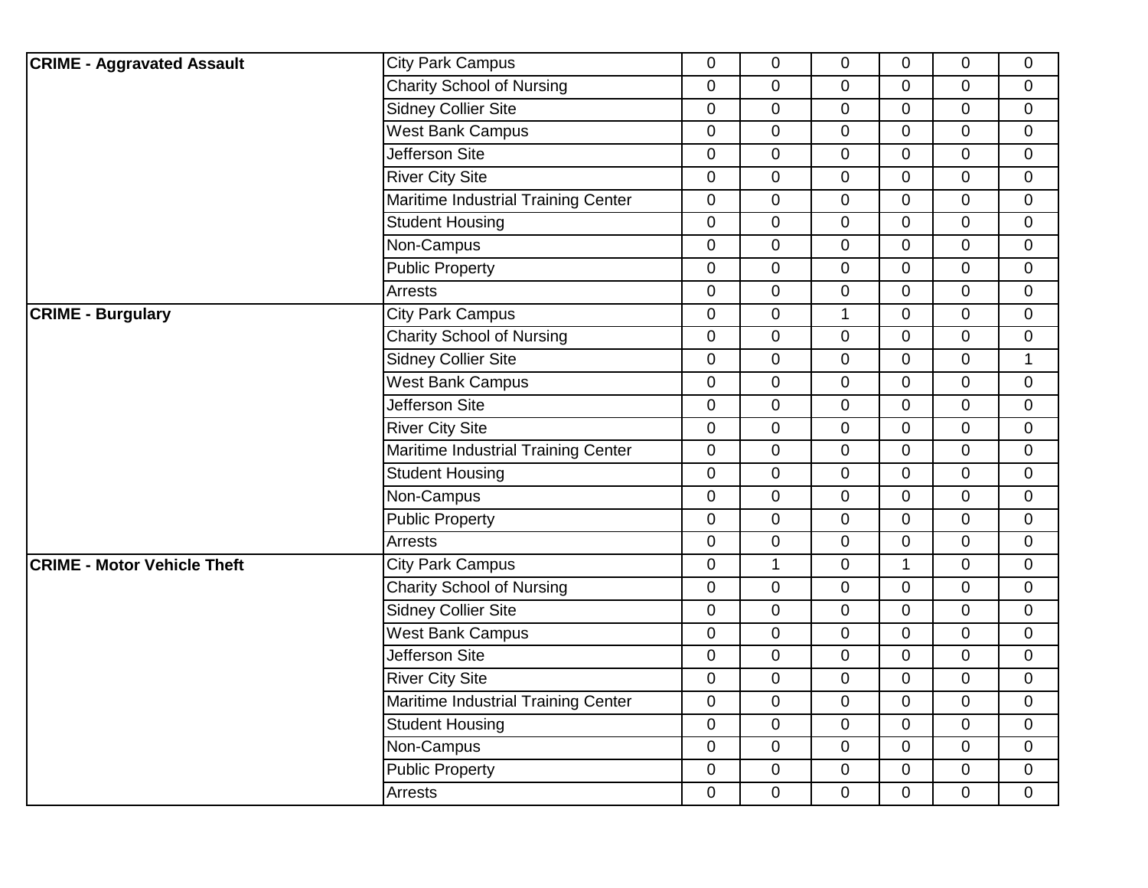| <b>CRIME - Aggravated Assault</b>  | <b>City Park Campus</b>             | $\overline{0}$   | $\mathbf 0$  | 0              | $\mathbf 0$    | 0              | $\mathbf 0$      |
|------------------------------------|-------------------------------------|------------------|--------------|----------------|----------------|----------------|------------------|
|                                    | <b>Charity School of Nursing</b>    | $\mathbf 0$      | $\mathbf 0$  | $\mathbf 0$    | $\overline{0}$ | 0              | $\mathbf 0$      |
|                                    | Sidney Collier Site                 | $\overline{0}$   | $\mathbf 0$  | $\mathbf 0$    | $\overline{0}$ | 0              | $\mathbf 0$      |
|                                    | <b>West Bank Campus</b>             | 0                | $\pmb{0}$    | $\mathbf 0$    | $\mathbf 0$    | 0              | $\mathbf 0$      |
|                                    | Jefferson Site                      | $\boldsymbol{0}$ | $\pmb{0}$    | $\mathbf 0$    | $\overline{0}$ | $\pmb{0}$      | $\mathbf 0$      |
|                                    | <b>River City Site</b>              | $\mathbf 0$      | $\mathbf 0$  | $\mathbf 0$    | $\mathbf 0$    | 0              | $\mathbf 0$      |
|                                    | Maritime Industrial Training Center | $\mathbf 0$      | $\mathbf 0$  | $\overline{0}$ | $\mathbf 0$    | 0              | $\mathbf 0$      |
|                                    | <b>Student Housing</b>              | $\mathbf 0$      | $\mathbf 0$  | 0              | $\mathbf 0$    | 0              | $\mathbf 0$      |
|                                    | Non-Campus                          | $\overline{0}$   | $\mathbf 0$  | $\overline{0}$ | $\mathbf 0$    | $\overline{0}$ | $\overline{0}$   |
|                                    | <b>Public Property</b>              | $\mathbf 0$      | $\mathbf 0$  | $\mathbf 0$    | $\overline{0}$ | 0              | $\mathbf 0$      |
|                                    | <b>Arrests</b>                      | $\mathbf 0$      | $\mathbf 0$  | 0              | $\mathbf 0$    | 0              | $\mathbf 0$      |
| <b>CRIME - Burgulary</b>           | <b>City Park Campus</b>             | 0                | $\mathbf 0$  | $\mathbf{1}$   | $\mathbf 0$    | 0              | $\mathbf 0$      |
|                                    | <b>Charity School of Nursing</b>    | $\boldsymbol{0}$ | $\pmb{0}$    | 0              | $\overline{0}$ | 0              | $\mathbf 0$      |
|                                    | <b>Sidney Collier Site</b>          | $\mathbf 0$      | $\mathbf 0$  | $\overline{0}$ | $\overline{0}$ | 0              | $\mathbf{1}$     |
|                                    | <b>West Bank Campus</b>             | $\mathbf 0$      | $\mathbf 0$  | $\mathbf 0$    | $\mathbf 0$    | 0              | $\mathbf 0$      |
|                                    | <b>Jefferson Site</b>               | 0                | $\mathbf 0$  | $\mathbf 0$    | $\mathbf 0$    | $\mathbf 0$    | $\mathbf 0$      |
|                                    | <b>River City Site</b>              | $\overline{0}$   | $\mathbf 0$  | $\mathbf 0$    | $\mathbf{0}$   | 0              | $\mathbf 0$      |
|                                    | Maritime Industrial Training Center | $\overline{0}$   | $\mathbf 0$  | $\overline{0}$ | $\overline{0}$ | 0              | $\overline{0}$   |
|                                    | <b>Student Housing</b>              | $\mathbf 0$      | $\mathbf 0$  | $\mathbf 0$    | $\mathbf 0$    | 0              | $\mathbf 0$      |
|                                    | Non-Campus                          | $\mathbf 0$      | $\mathbf 0$  | 0              | $\mathbf 0$    | 0              | $\mathbf 0$      |
|                                    | <b>Public Property</b>              | $\boldsymbol{0}$ | $\pmb{0}$    | $\mathbf 0$    | 0              | 0              | $\mathbf 0$      |
|                                    | <b>Arrests</b>                      | $\overline{0}$   | $\mathbf 0$  | $\overline{0}$ | $\Omega$       | $\overline{0}$ | $\overline{0}$   |
| <b>CRIME - Motor Vehicle Theft</b> | <b>City Park Campus</b>             | $\mathbf 0$      | $\mathbf{1}$ | $\mathbf 0$    | $\mathbf{1}$   | 0              | $\mathbf 0$      |
|                                    | <b>Charity School of Nursing</b>    | $\mathbf 0$      | $\mathbf 0$  | $\mathbf 0$    | $\mathbf 0$    | 0              | $\mathbf 0$      |
|                                    | <b>Sidney Collier Site</b>          | $\pmb{0}$        | $\mathbf 0$  | $\mathbf 0$    | $\overline{0}$ | 0              | $\boldsymbol{0}$ |
|                                    | <b>West Bank Campus</b>             | $\overline{0}$   | $\mathbf 0$  | $\overline{0}$ | $\overline{0}$ | 0              | $\overline{0}$   |
|                                    | Jefferson Site                      | $\mathbf 0$      | $\mathbf 0$  | $\mathbf 0$    | $\mathbf 0$    | 0              | $\mathbf 0$      |
|                                    | <b>River City Site</b>              | $\mathbf 0$      | $\mathbf 0$  | $\mathbf 0$    | $\mathbf 0$    | $\mathbf 0$    | $\mathbf 0$      |
|                                    | Maritime Industrial Training Center | $\pmb{0}$        | $\pmb{0}$    | $\mathbf 0$    | $\mathbf 0$    | 0              | $\mathbf 0$      |
|                                    | <b>Student Housing</b>              | $\overline{0}$   | $\mathbf 0$  | $\overline{0}$ | $\Omega$       | 0              | $\overline{0}$   |
|                                    | Non-Campus                          | $\mathbf 0$      | $\mathbf 0$  | $\mathbf 0$    | $\overline{0}$ | $\overline{0}$ | $\mathbf 0$      |
|                                    | <b>Public Property</b>              | 0                | $\mathbf 0$  | 0              | $\mathbf 0$    | 0              | $\mathbf 0$      |
|                                    | Arrests                             | $\pmb{0}$        | $\mathbf 0$  | 0              | $\overline{0}$ | 0              | $\mathbf 0$      |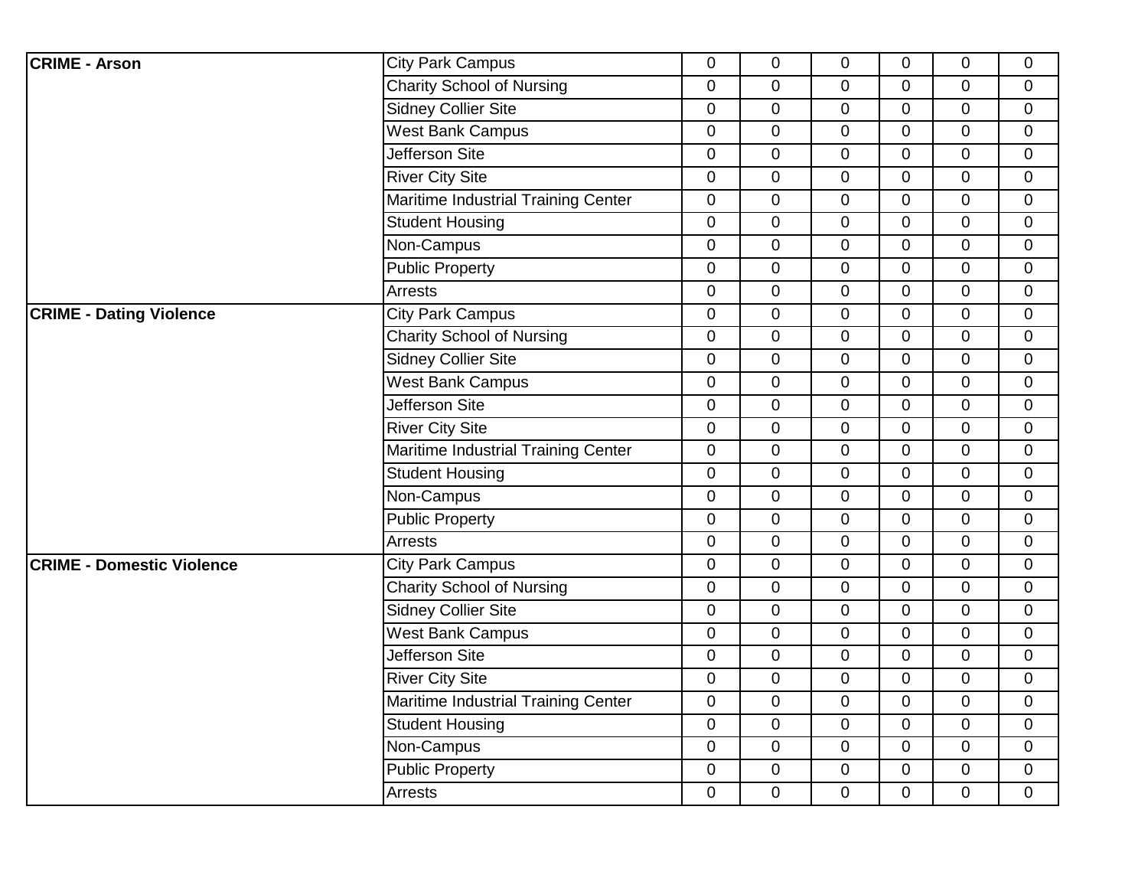| <b>CRIME - Arson</b>             | <b>City Park Campus</b>             | 0           | $\mathbf 0$ | $\mathbf 0$    | $\overline{0}$ | 0           | $\overline{0}$ |
|----------------------------------|-------------------------------------|-------------|-------------|----------------|----------------|-------------|----------------|
|                                  | <b>Charity School of Nursing</b>    | $\mathbf 0$ | $\mathbf 0$ | $\mathbf 0$    | $\overline{0}$ | 0           | $\mathbf 0$    |
|                                  | <b>Sidney Collier Site</b>          | 0           | $\mathbf 0$ | $\mathbf 0$    | $\overline{0}$ | 0           | $\mathbf 0$    |
|                                  | <b>West Bank Campus</b>             | $\mathbf 0$ | $\pmb{0}$   | $\mathbf 0$    | $\mathbf 0$    | 0           | $\mathbf 0$    |
|                                  | Jefferson Site                      | 0           | $\pmb{0}$   | $\pmb{0}$      | $\overline{0}$ | $\pmb{0}$   | $\pmb{0}$      |
|                                  | <b>River City Site</b>              | $\mathbf 0$ | $\mathbf 0$ | $\mathbf 0$    | $\overline{0}$ | 0           | $\mathbf 0$    |
|                                  | Maritime Industrial Training Center | 0           | $\mathbf 0$ | $\overline{0}$ | $\overline{0}$ | 0           | $\mathbf 0$    |
|                                  | <b>Student Housing</b>              | 0           | $\pmb{0}$   | $\mathbf 0$    | $\mathbf 0$    | 0           | $\mathbf 0$    |
|                                  | Non-Campus                          | $\mathbf 0$ | $\mathbf 0$ | $\mathbf 0$    | $\overline{0}$ | 0           | $\overline{0}$ |
|                                  | <b>Public Property</b>              | $\mathbf 0$ | $\mathbf 0$ | $\mathbf 0$    | $\overline{0}$ | 0           | $\mathbf 0$    |
|                                  | <b>Arrests</b>                      | 0           | $\mathbf 0$ | 0              | $\mathbf 0$    | 0           | $\mathbf 0$    |
| <b>CRIME - Dating Violence</b>   | <b>City Park Campus</b>             | 0           | 0           | $\mathbf 0$    | $\mathbf 0$    | 0           | $\mathbf 0$    |
|                                  | <b>Charity School of Nursing</b>    | $\mathbf 0$ | $\pmb{0}$   | $\pmb{0}$      | $\mathbf 0$    | 0           | $\mathbf 0$    |
|                                  | <b>Sidney Collier Site</b>          | 0           | $\mathbf 0$ | $\mathbf 0$    | $\overline{0}$ | 0           | $\mathbf 0$    |
|                                  | <b>West Bank Campus</b>             | 0           | $\mathbf 0$ | $\mathbf 0$    | $\mathbf 0$    | 0           | $\mathbf 0$    |
|                                  | Jefferson Site                      | 0           | $\pmb{0}$   | $\mathbf 0$    | $\mathbf 0$    | 0           | $\mathbf 0$    |
|                                  | <b>River City Site</b>              | 0           | 0           | 0              | $\mathbf{0}$   | 0           | $\mathbf 0$    |
|                                  | Maritime Industrial Training Center | 0           | $\mathbf 0$ | $\mathbf 0$    | $\overline{0}$ | 0           | $\mathbf{0}$   |
|                                  | <b>Student Housing</b>              | 0           | $\mathbf 0$ | $\mathbf 0$    | $\mathbf 0$    | 0           | $\mathbf 0$    |
|                                  | Non-Campus                          | 0           | 0           | $\mathbf 0$    | $\mathbf 0$    | 0           | $\mathbf 0$    |
|                                  | <b>Public Property</b>              | $\mathbf 0$ | $\pmb{0}$   | 0              | $\mathbf 0$    | 0           | $\pmb{0}$      |
|                                  | <b>Arrests</b>                      | 0           | $\mathbf 0$ | 0              | $\overline{0}$ | 0           | $\mathbf 0$    |
| <b>CRIME - Domestic Violence</b> | <b>City Park Campus</b>             | 0           | $\mathbf 0$ | $\mathbf 0$    | $\mathbf 0$    | 0           | $\mathbf 0$    |
|                                  | <b>Charity School of Nursing</b>    | 0           | $\mathbf 0$ | $\mathbf 0$    | $\mathbf 0$    | 0           | $\mathbf 0$    |
|                                  | <b>Sidney Collier Site</b>          | $\pmb{0}$   | $\mathbf 0$ | $\mathbf 0$    | $\mathbf 0$    | 0           | $\mathbf 0$    |
|                                  | <b>West Bank Campus</b>             | 0           | $\mathbf 0$ | $\mathbf 0$    | $\overline{0}$ | 0           | $\mathbf 0$    |
|                                  | Jefferson Site                      | 0           | $\mathbf 0$ | $\mathbf 0$    | $\mathbf 0$    | 0           | $\mathbf 0$    |
|                                  | <b>River City Site</b>              | $\mathbf 0$ | $\pmb{0}$   | $\mathbf 0$    | $\mathbf 0$    | 0           | $\mathbf 0$    |
|                                  | Maritime Industrial Training Center | $\pmb{0}$   | $\pmb{0}$   | $\pmb{0}$      | $\mathbf 0$    | 0           | $\pmb{0}$      |
|                                  | <b>Student Housing</b>              | 0           | $\mathbf 0$ | $\mathbf 0$    | $\overline{0}$ | 0           | $\mathbf{0}$   |
|                                  | Non-Campus                          | $\mathbf 0$ | $\mathbf 0$ | $\mathbf 0$    | $\mathbf 0$    | $\mathbf 0$ | $\mathbf 0$    |
|                                  | <b>Public Property</b>              | $\mathbf 0$ | 0           | 0              | 0              | 0           | $\mathbf 0$    |
|                                  | Arrests                             | 0           | $\mathbf 0$ | 0              | $\mathbf 0$    | 0           | $\mathbf 0$    |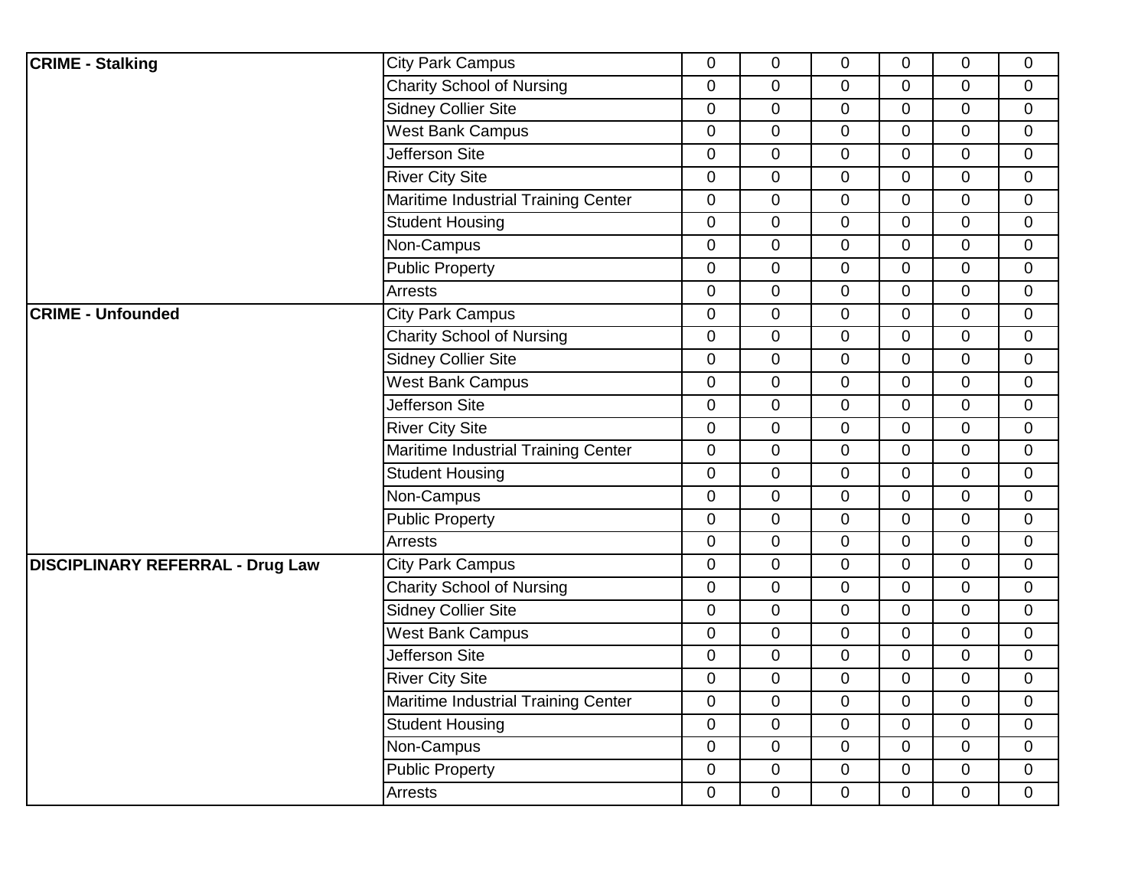| <b>CRIME - Stalking</b>                 | <b>City Park Campus</b>             | $\overline{0}$   | $\mathbf 0$    | $\overline{0}$ | $\overline{0}$ | 0              | $\overline{0}$ |
|-----------------------------------------|-------------------------------------|------------------|----------------|----------------|----------------|----------------|----------------|
|                                         | <b>Charity School of Nursing</b>    | $\mathbf 0$      | $\overline{0}$ | $\overline{0}$ | $\overline{0}$ | 0              | $\mathbf 0$    |
|                                         | <b>Sidney Collier Site</b>          | $\overline{0}$   | $\mathbf 0$    | $\overline{0}$ | $\overline{0}$ | 0              | $\mathbf 0$    |
|                                         | <b>West Bank Campus</b>             | $\boldsymbol{0}$ | $\mathbf 0$    | $\mathbf 0$    | $\mathbf 0$    | 0              | $\mathbf 0$    |
|                                         | Jefferson Site                      | $\mathbf 0$      | $\pmb{0}$      | $\mathbf 0$    | $\overline{0}$ | $\overline{0}$ | $\mathbf 0$    |
|                                         | <b>River City Site</b>              | $\mathbf 0$      | $\mathbf 0$    | $\mathbf 0$    | $\mathbf 0$    | 0              | $\mathbf 0$    |
|                                         | Maritime Industrial Training Center | $\overline{0}$   | 0              | 0              | $\overline{0}$ | 0              | $\mathbf 0$    |
|                                         | <b>Student Housing</b>              | $\overline{0}$   | $\pmb{0}$      | $\overline{0}$ | $\overline{0}$ | 0              | $\mathbf 0$    |
|                                         | Non-Campus                          | $\overline{0}$   | $\mathbf 0$    | $\overline{0}$ | $\overline{0}$ | 0              | $\overline{0}$ |
|                                         | <b>Public Property</b>              | $\mathbf 0$      | $\overline{0}$ | $\mathbf 0$    | $\mathbf 0$    | 0              | $\mathbf 0$    |
|                                         | <b>Arrests</b>                      | $\mathbf 0$      | $\mathbf 0$    | 0              | $\mathbf 0$    | 0              | $\mathbf 0$    |
| <b>CRIME - Unfounded</b>                | <b>City Park Campus</b>             | $\mathbf 0$      | $\pmb{0}$      | $\mathbf 0$    | $\overline{0}$ | 0              | $\mathbf 0$    |
|                                         | <b>Charity School of Nursing</b>    | $\mathbf 0$      | $\pmb{0}$      | $\mathbf 0$    | $\mathbf 0$    | 0              | $\mathbf 0$    |
|                                         | <b>Sidney Collier Site</b>          | $\mathbf 0$      | 0              | 0              | $\overline{0}$ | 0              | $\mathbf 0$    |
|                                         | <b>West Bank Campus</b>             | $\mathbf 0$      | $\mathbf 0$    | $\mathbf 0$    | $\mathbf 0$    | 0              | $\mathbf 0$    |
|                                         | Jefferson Site                      | $\overline{0}$   | $\overline{0}$ | $\overline{0}$ | $\overline{0}$ | 0              | $\mathbf{0}$   |
|                                         | <b>River City Site</b>              | $\mathbf 0$      | $\mathbf 0$    | $\mathbf 0$    | $\mathbf 0$    | 0              | $\mathbf 0$    |
|                                         | Maritime Industrial Training Center | $\overline{0}$   | $\overline{0}$ | $\overline{0}$ | $\overline{0}$ | 0              | $\mathbf 0$    |
|                                         | <b>Student Housing</b>              | $\boldsymbol{0}$ | $\pmb{0}$      | $\overline{0}$ | $\overline{0}$ | 0              | $\mathbf{0}$   |
|                                         | Non-Campus                          | $\mathbf 0$      | $\pmb{0}$      | $\mathbf 0$    | $\overline{0}$ | 0              | $\mathbf 0$    |
|                                         | <b>Public Property</b>              | $\mathbf 0$      | $\mathbf 0$    | $\mathbf 0$    | $\mathbf 0$    | 0              | $\mathbf 0$    |
|                                         | Arrests                             | $\overline{0}$   | $\mathbf 0$    | 0              | $\overline{0}$ | 0              | $\mathbf 0$    |
| <b>DISCIPLINARY REFERRAL - Drug Law</b> | <b>City Park Campus</b>             | $\boldsymbol{0}$ | $\pmb{0}$      | $\overline{0}$ | $\overline{0}$ | $\overline{0}$ | $\mathbf 0$    |
|                                         | <b>Charity School of Nursing</b>    | $\overline{0}$   | $\mathbf 0$    | $\overline{0}$ | $\overline{0}$ | 0              | $\mathbf 0$    |
|                                         | <b>Sidney Collier Site</b>          | $\mathbf 0$      | $\overline{0}$ | $\mathbf 0$    | $\mathbf 0$    | 0              | $\mathbf 0$    |
|                                         | <b>West Bank Campus</b>             | $\overline{0}$   | $\mathbf 0$    | $\Omega$       | $\Omega$       | 0              | $\mathbf 0$    |
|                                         | Jefferson Site                      | $\mathbf 0$      | $\mathbf 0$    | $\overline{0}$ | $\overline{0}$ | 0              | $\mathbf 0$    |
|                                         | <b>River City Site</b>              | $\overline{0}$   | $\pmb{0}$      | 0              | $\mathbf 0$    | 0              | $\overline{0}$ |
|                                         | Maritime Industrial Training Center | $\mathbf 0$      | 0              | $\mathbf 0$    | $\mathbf 0$    | $\overline{0}$ | $\mathbf 0$    |
|                                         | <b>Student Housing</b>              | $\mathbf 0$      | $\overline{0}$ | 0              | $\mathbf 0$    | 0              | $\mathbf 0$    |
|                                         | Non-Campus                          | $\mathbf 0$      | $\overline{0}$ | $\overline{0}$ | $\overline{0}$ | 0              | $\mathbf 0$    |
|                                         | <b>Public Property</b>              | $\mathbf 0$      | $\mathbf 0$    | $\mathbf 0$    | $\mathbf 0$    | 0              | $\mathbf 0$    |
|                                         | Arrests                             | $\overline{0}$   | 0              | 0              | $\mathbf 0$    | 0              | $\mathbf 0$    |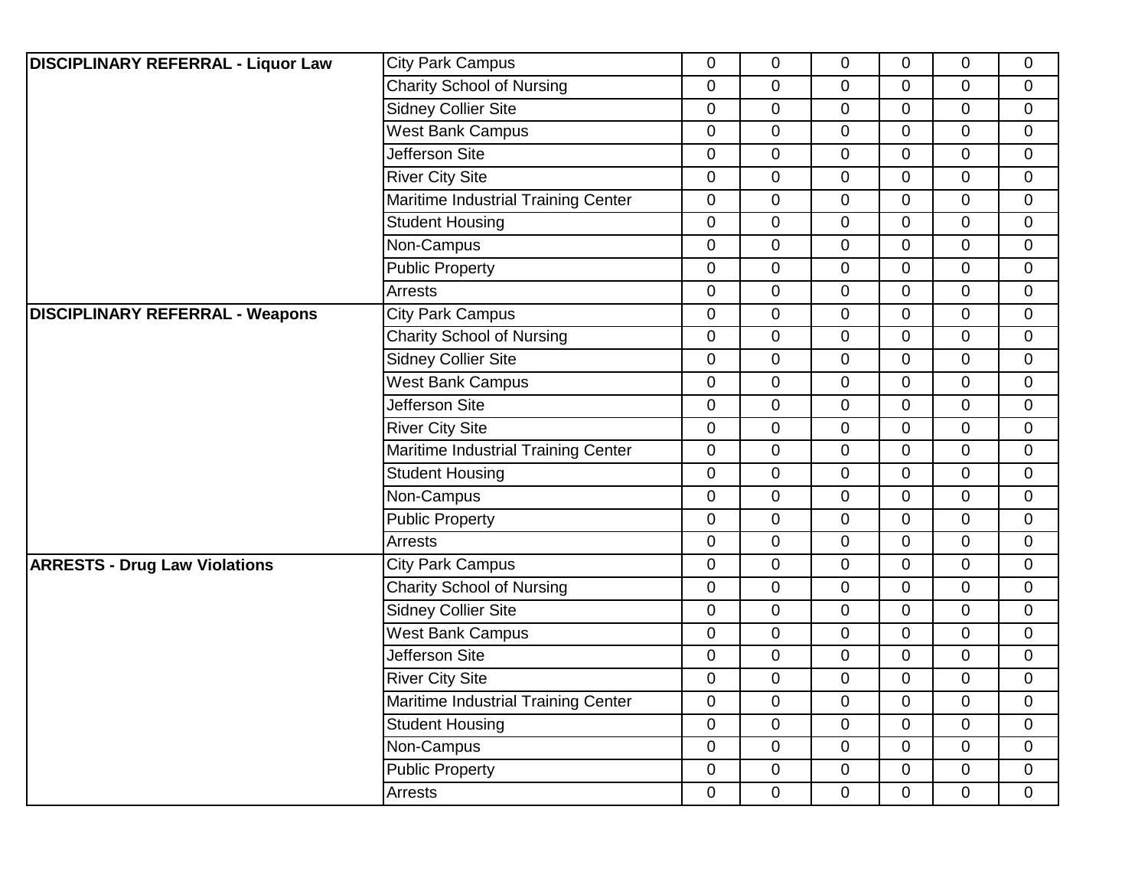| <b>DISCIPLINARY REFERRAL - Liquor Law</b> | <b>City Park Campus</b>             | $\overline{0}$   | $\mathbf 0$    | 0              | $\overline{0}$ | 0              | $\mathbf 0$    |
|-------------------------------------------|-------------------------------------|------------------|----------------|----------------|----------------|----------------|----------------|
|                                           | <b>Charity School of Nursing</b>    | $\mathbf 0$      | $\mathbf 0$    | $\mathbf 0$    | $\mathbf 0$    | 0              | $\mathbf 0$    |
|                                           | Sidney Collier Site                 | $\overline{0}$   | $\mathbf 0$    | $\Omega$       | $\Omega$       | 0              | $\mathbf 0$    |
|                                           | <b>West Bank Campus</b>             | $\boldsymbol{0}$ | $\pmb{0}$      | $\overline{0}$ | $\overline{0}$ | 0              | $\mathbf 0$    |
|                                           | Jefferson Site                      | $\mathbf 0$      | $\mathbf 0$    | $\mathbf 0$    | $\overline{0}$ | 0              | $\mathbf 0$    |
|                                           | <b>River City Site</b>              | $\mathbf 0$      | $\mathbf 0$    | $\mathbf 0$    | $\mathbf 0$    | 0              | $\mathbf 0$    |
|                                           | Maritime Industrial Training Center | $\mathbf 0$      | $\overline{0}$ | $\overline{0}$ | $\Omega$       | 0              | $\mathbf 0$    |
|                                           | <b>Student Housing</b>              | $\overline{0}$   | $\mathbf 0$    | $\overline{0}$ | $\overline{0}$ | $\overline{0}$ | $\mathbf 0$    |
|                                           | Non-Campus                          | $\overline{0}$   | $\mathbf 0$    | $\overline{0}$ | $\overline{0}$ | 0              | $\mathbf 0$    |
|                                           | <b>Public Property</b>              | $\mathbf 0$      | $\overline{0}$ | $\overline{0}$ | $\mathbf 0$    | 0              | $\mathbf 0$    |
|                                           | <b>Arrests</b>                      | $\overline{0}$   | $\mathbf 0$    | $\overline{0}$ | $\Omega$       | $\overline{0}$ | $\mathbf{0}$   |
| <b>DISCIPLINARY REFERRAL - Weapons</b>    | <b>City Park Campus</b>             | $\mathbf 0$      | $\mathbf 0$    | $\overline{0}$ | $\mathbf 0$    | 0              | $\mathbf 0$    |
|                                           | <b>Charity School of Nursing</b>    | $\mathbf 0$      | $\pmb{0}$      | $\mathbf 0$    | $\mathbf 0$    | 0              | $\overline{0}$ |
|                                           | Sidney Collier Site                 | $\mathbf 0$      | 0              | 0              | $\mathbf 0$    | 0              | $\mathbf 0$    |
|                                           | <b>West Bank Campus</b>             | $\overline{0}$   | $\mathbf 0$    | $\overline{0}$ | $\overline{0}$ | $\overline{0}$ | $\mathbf 0$    |
|                                           | Jefferson Site                      | $\mathbf 0$      | $\overline{0}$ | $\overline{0}$ | $\overline{0}$ | 0              | $\mathbf 0$    |
|                                           | <b>River City Site</b>              | $\mathbf 0$      | $\mathbf 0$    | $\mathbf 0$    | $\mathbf 0$    | 0              | $\mathbf 0$    |
|                                           | Maritime Industrial Training Center | $\overline{0}$   | $\overline{0}$ | 0              | $\Omega$       | 0              | $\mathbf 0$    |
|                                           | <b>Student Housing</b>              | $\mathbf 0$      | $\mathbf 0$    | 0              | $\mathbf 0$    | 0              | $\mathbf 0$    |
|                                           | Non-Campus                          | $\mathbf 0$      | $\pmb{0}$      | 0              | $\overline{0}$ | 0              | $\mathbf 0$    |
|                                           | <b>Public Property</b>              | $\mathbf 0$      | $\mathbf 0$    | 0              | $\mathbf 0$    | 0              | $\mathbf 0$    |
|                                           | Arrests                             | $\mathbf 0$      | 0              | 0              | $\Omega$       | 0              | $\mathbf 0$    |
| <b>ARRESTS - Drug Law Violations</b>      | <b>City Park Campus</b>             | $\mathbf 0$      | $\overline{0}$ | $\overline{0}$ | $\overline{0}$ | 0              | $\mathbf 0$    |
|                                           | <b>Charity School of Nursing</b>    | $\overline{0}$   | $\pmb{0}$      | $\overline{0}$ | $\overline{0}$ | 0              | $\mathbf 0$    |
|                                           | <b>Sidney Collier Site</b>          | $\mathbf 0$      | $\mathbf 0$    | $\mathbf 0$    | $\mathbf 0$    | 0              | $\mathbf 0$    |
|                                           | <b>West Bank Campus</b>             | $\overline{0}$   | $\overline{0}$ | $\overline{0}$ | $\overline{0}$ | $\overline{0}$ | $\mathbf{0}$   |
|                                           | Jefferson Site                      | $\mathbf 0$      | $\overline{0}$ | $\overline{0}$ | $\mathbf 0$    | 0              | $\mathbf 0$    |
|                                           | <b>River City Site</b>              | $\mathbf 0$      | $\pmb{0}$      | $\mathbf 0$    | $\mathbf 0$    | 0              | $\mathbf 0$    |
|                                           | Maritime Industrial Training Center | $\mathbf 0$      | $\overline{0}$ | $\mathbf 0$    | $\mathbf 0$    | 0              | $\overline{0}$ |
|                                           | <b>Student Housing</b>              | $\overline{0}$   | $\overline{0}$ | $\overline{0}$ | $\Omega$       | $\overline{0}$ | $\mathbf 0$    |
|                                           | Non-Campus                          | $\mathbf 0$      | $\overline{0}$ | $\overline{0}$ | $\mathbf 0$    | $\overline{0}$ | $\mathbf 0$    |
|                                           | <b>Public Property</b>              | $\mathbf 0$      | $\mathbf 0$    | 0              | $\overline{0}$ | 0              | $\mathbf 0$    |
|                                           | Arrests                             | $\overline{0}$   | $\overline{0}$ | 0              | $\mathbf 0$    | 0              | $\overline{0}$ |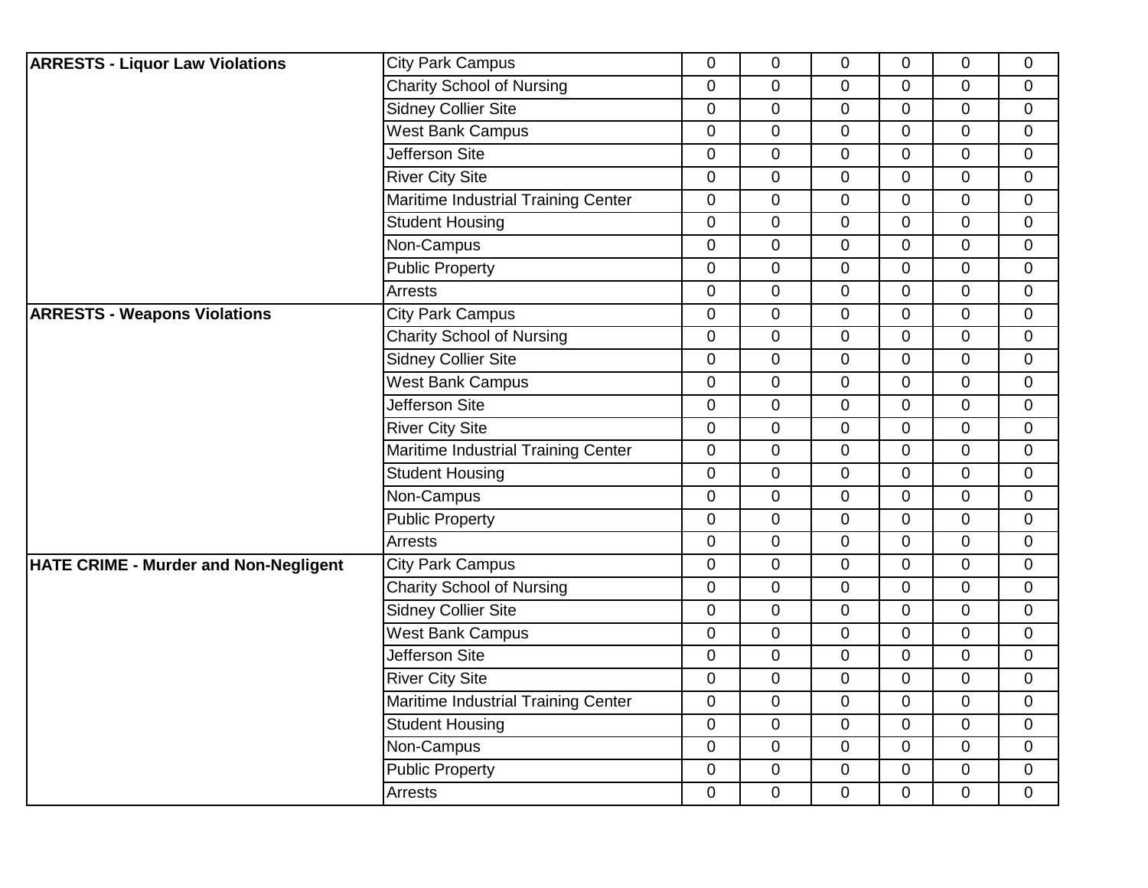| <b>ARRESTS - Liquor Law Violations</b>       | <b>City Park Campus</b>             | $\overline{0}$ | $\mathbf 0$ | $\mathbf 0$    | $\overline{0}$ | 0           | $\mathbf 0$    |
|----------------------------------------------|-------------------------------------|----------------|-------------|----------------|----------------|-------------|----------------|
|                                              | <b>Charity School of Nursing</b>    | $\mathbf 0$    | $\mathbf 0$ | $\overline{0}$ | $\overline{0}$ | 0           | $\mathbf 0$    |
|                                              | <b>Sidney Collier Site</b>          | $\overline{0}$ | $\mathbf 0$ | $\mathbf 0$    | $\overline{0}$ | 0           | $\mathbf 0$    |
|                                              | <b>West Bank Campus</b>             | 0              | $\pmb{0}$   | $\mathbf 0$    | $\mathbf 0$    | 0           | $\mathbf 0$    |
|                                              | Jefferson Site                      | $\mathbf 0$    | $\pmb{0}$   | $\pmb{0}$      | $\overline{0}$ | $\pmb{0}$   | $\pmb{0}$      |
|                                              | <b>River City Site</b>              | $\mathbf 0$    | $\mathbf 0$ | $\mathbf 0$    | $\overline{0}$ | 0           | $\mathbf 0$    |
|                                              | Maritime Industrial Training Center | $\overline{0}$ | $\mathbf 0$ | $\mathbf 0$    | $\overline{0}$ | 0           | $\mathbf 0$    |
|                                              | <b>Student Housing</b>              | $\mathbf 0$    | $\mathbf 0$ | $\mathbf 0$    | $\mathbf 0$    | 0           | $\mathbf 0$    |
|                                              | Non-Campus                          | $\overline{0}$ | $\mathbf 0$ | $\mathbf 0$    | $\overline{0}$ | 0           | $\mathbf 0$    |
|                                              | <b>Public Property</b>              | $\mathbf 0$    | $\mathbf 0$ | $\mathbf 0$    | $\overline{0}$ | 0           | $\mathbf 0$    |
|                                              | <b>Arrests</b>                      | $\overline{0}$ | $\mathbf 0$ | $\mathbf 0$    | $\mathbf 0$    | 0           | $\mathbf 0$    |
| <b>ARRESTS - Weapons Violations</b>          | <b>City Park Campus</b>             | 0              | $\pmb{0}$   | $\mathbf 0$    | $\mathbf 0$    | 0           | $\mathbf 0$    |
|                                              | <b>Charity School of Nursing</b>    | $\mathbf 0$    | $\pmb{0}$   | $\pmb{0}$      | $\mathbf 0$    | 0           | $\mathbf 0$    |
|                                              | <b>Sidney Collier Site</b>          | 0              | $\mathbf 0$ | $\mathbf 0$    | $\overline{0}$ | 0           | $\mathbf 0$    |
|                                              | <b>West Bank Campus</b>             | 0              | $\mathbf 0$ | $\mathbf 0$    | $\mathbf 0$    | 0           | $\mathbf 0$    |
|                                              | <b>Jefferson Site</b>               | $\overline{0}$ | $\mathbf 0$ | $\mathbf 0$    | $\mathbf 0$    | 0           | $\mathbf 0$    |
|                                              | <b>River City Site</b>              | 0              | $\mathbf 0$ | 0              | $\mathbf{0}$   | 0           | $\mathbf 0$    |
|                                              | Maritime Industrial Training Center | $\overline{0}$ | $\mathbf 0$ | $\mathbf 0$    | $\overline{0}$ | 0           | $\overline{0}$ |
|                                              | <b>Student Housing</b>              | $\overline{0}$ | $\mathbf 0$ | $\mathbf 0$    | $\mathbf 0$    | 0           | $\mathbf 0$    |
|                                              | Non-Campus                          | $\overline{0}$ | $\mathbf 0$ | $\mathbf 0$    | $\mathbf 0$    | 0           | $\mathbf 0$    |
|                                              | <b>Public Property</b>              | $\mathbf 0$    | $\pmb{0}$   | $\pmb{0}$      | $\mathbf 0$    | 0           | 0              |
|                                              | <b>Arrests</b>                      | 0              | $\mathbf 0$ | $\mathbf 0$    | $\overline{0}$ | 0           | $\mathbf 0$    |
| <b>HATE CRIME - Murder and Non-Negligent</b> | <b>City Park Campus</b>             | $\mathbf 0$    | $\mathbf 0$ | $\mathbf 0$    | $\mathbf 0$    | 0           | $\mathbf 0$    |
|                                              | <b>Charity School of Nursing</b>    | $\overline{0}$ | $\mathbf 0$ | $\mathbf 0$    | $\mathbf 0$    | 0           | $\mathbf 0$    |
|                                              | <b>Sidney Collier Site</b>          | $\pmb{0}$      | $\mathbf 0$ | $\mathbf 0$    | $\overline{0}$ | 0           | $\mathbf 0$    |
|                                              | <b>West Bank Campus</b>             | 0              | $\mathbf 0$ | $\mathbf 0$    | $\overline{0}$ | 0           | $\overline{0}$ |
|                                              | <b>Jefferson Site</b>               | $\mathbf 0$    | $\mathbf 0$ | $\mathbf 0$    | $\mathbf 0$    | 0           | $\mathbf 0$    |
|                                              | <b>River City Site</b>              | $\overline{0}$ | $\mathbf 0$ | $\mathbf 0$    | $\mathbf 0$    | $\mathbf 0$ | $\mathbf 0$    |
|                                              | Maritime Industrial Training Center | $\pmb{0}$      | $\pmb{0}$   | $\pmb{0}$      | $\overline{0}$ | 0           | $\mathbf 0$    |
|                                              | <b>Student Housing</b>              | $\overline{0}$ | $\mathbf 0$ | $\mathbf 0$    | $\Omega$       | 0           | $\overline{0}$ |
|                                              | Non-Campus                          | 0              | $\mathbf 0$ | $\mathbf 0$    | $\overline{0}$ | $\mathbf 0$ | $\mathbf 0$    |
|                                              | <b>Public Property</b>              | 0              | $\mathbf 0$ | $\mathbf 0$    | 0              | 0           | $\mathbf 0$    |
|                                              | Arrests                             | 0              | $\mathbf 0$ | 0              | $\overline{0}$ | 0           | $\mathbf 0$    |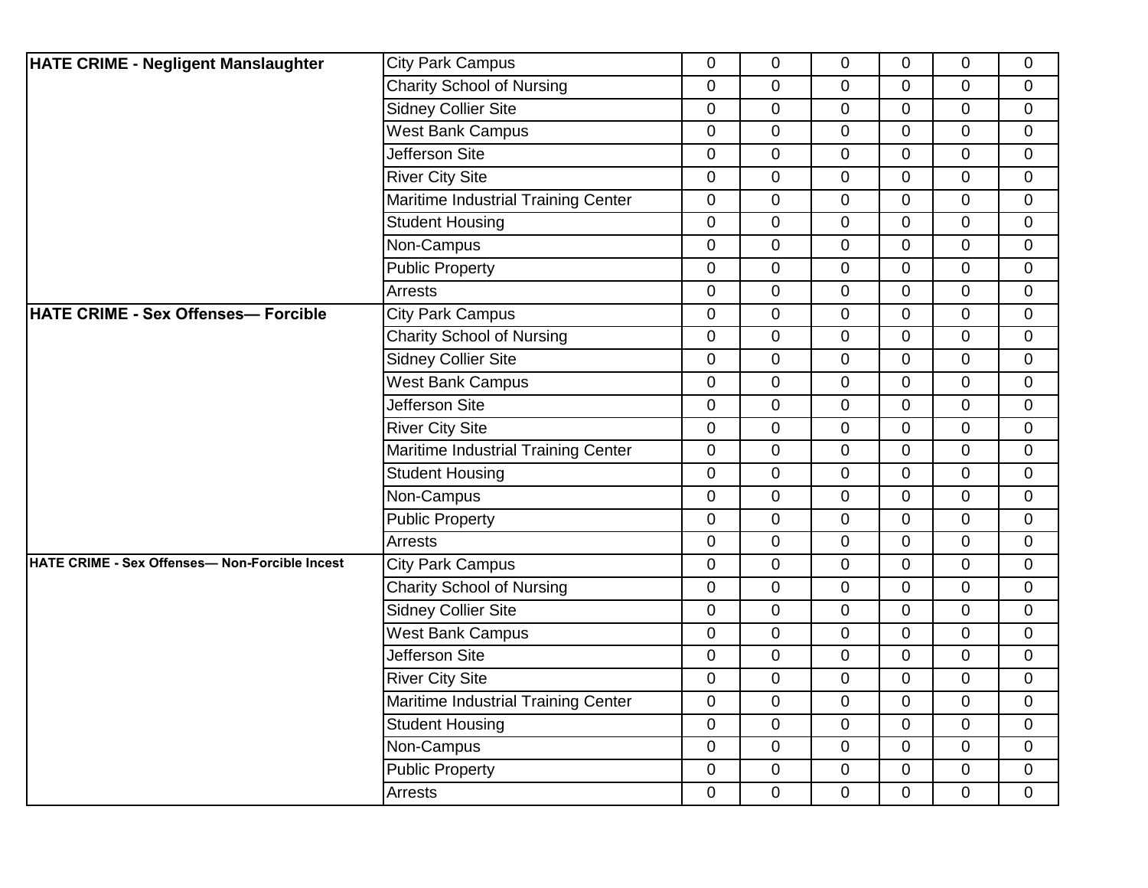| <b>HATE CRIME - Negligent Manslaughter</b>     | <b>City Park Campus</b>             | $\overline{0}$   | 0              | 0              | $\overline{0}$ | 0              | $\mathbf 0$    |
|------------------------------------------------|-------------------------------------|------------------|----------------|----------------|----------------|----------------|----------------|
|                                                | <b>Charity School of Nursing</b>    | $\mathbf 0$      | $\mathbf 0$    | $\mathbf 0$    | $\mathbf 0$    | 0              | $\mathbf 0$    |
|                                                | <b>Sidney Collier Site</b>          | $\overline{0}$   | $\mathbf 0$    | $\Omega$       | $\Omega$       | 0              | $\mathbf 0$    |
|                                                | <b>West Bank Campus</b>             | $\boldsymbol{0}$ | $\pmb{0}$      | $\overline{0}$ | $\overline{0}$ | 0              | $\mathbf 0$    |
|                                                | Jefferson Site                      | $\mathbf 0$      | $\mathbf 0$    | $\mathbf 0$    | $\overline{0}$ | 0              | $\mathbf 0$    |
|                                                | <b>River City Site</b>              | $\mathbf 0$      | $\mathbf 0$    | $\mathbf 0$    | $\mathbf 0$    | 0              | $\mathbf 0$    |
|                                                | Maritime Industrial Training Center | $\overline{0}$   | $\overline{0}$ | $\overline{0}$ | $\Omega$       | 0              | $\mathbf 0$    |
|                                                | <b>Student Housing</b>              | $\overline{0}$   | $\mathbf 0$    | $\overline{0}$ | $\overline{0}$ | $\overline{0}$ | $\mathbf 0$    |
|                                                | Non-Campus                          | $\overline{0}$   | $\mathbf 0$    | $\overline{0}$ | $\mathbf 0$    | 0              | $\mathbf 0$    |
|                                                | <b>Public Property</b>              | $\mathbf 0$      | $\overline{0}$ | $\mathbf 0$    | $\mathbf 0$    | 0              | $\mathbf 0$    |
|                                                | Arrests                             | $\Omega$         | $\overline{0}$ | $\overline{0}$ | $\Omega$       | $\overline{0}$ | $\mathbf{0}$   |
| <b>HATE CRIME - Sex Offenses— Forcible</b>     | <b>City Park Campus</b>             | $\mathbf 0$      | $\mathbf 0$    | $\overline{0}$ | $\mathbf 0$    | 0              | $\mathbf 0$    |
|                                                | <b>Charity School of Nursing</b>    | $\overline{0}$   | $\pmb{0}$      | $\mathbf 0$    | $\mathbf 0$    | 0              | $\mathbf 0$    |
|                                                | Sidney Collier Site                 | $\mathbf 0$      | 0              | 0              | $\mathbf 0$    | 0              | $\mathbf 0$    |
|                                                | <b>West Bank Campus</b>             | $\overline{0}$   | $\mathbf 0$    | $\overline{0}$ | $\overline{0}$ | $\overline{0}$ | $\mathbf{0}$   |
|                                                | Jefferson Site                      | $\mathbf 0$      | $\overline{0}$ | $\overline{0}$ | $\overline{0}$ | 0              | $\mathbf 0$    |
|                                                | <b>River City Site</b>              | $\mathbf 0$      | $\mathbf 0$    | $\mathbf 0$    | $\mathbf 0$    | 0              | $\mathbf 0$    |
|                                                | Maritime Industrial Training Center | $\overline{0}$   | $\overline{0}$ | 0              | $\Omega$       | 0              | $\mathbf 0$    |
|                                                | <b>Student Housing</b>              | $\overline{0}$   | $\mathbf 0$    | 0              | $\mathbf 0$    | 0              | $\mathbf 0$    |
|                                                | Non-Campus                          | $\mathbf 0$      | $\pmb{0}$      | 0              | $\mathbf 0$    | 0              | $\mathbf 0$    |
|                                                | <b>Public Property</b>              | $\mathbf 0$      | $\mathbf 0$    | 0              | $\mathbf 0$    | 0              | $\mathbf 0$    |
|                                                | Arrests                             | $\Omega$         | 0              | 0              | $\Omega$       | 0              | $\mathbf 0$    |
| HATE CRIME - Sex Offenses- Non-Forcible Incest | <b>City Park Campus</b>             | $\mathbf 0$      | $\overline{0}$ | $\overline{0}$ | $\overline{0}$ | 0              | $\mathbf 0$    |
|                                                | <b>Charity School of Nursing</b>    | $\overline{0}$   | $\pmb{0}$      | $\overline{0}$ | $\overline{0}$ | 0              | $\mathbf 0$    |
|                                                | <b>Sidney Collier Site</b>          | $\mathbf 0$      | $\mathbf 0$    | $\mathbf 0$    | $\mathbf 0$    | 0              | $\mathbf 0$    |
|                                                | <b>West Bank Campus</b>             | $\overline{0}$   | $\mathbf 0$    | $\overline{0}$ | $\overline{0}$ | $\overline{0}$ | $\mathbf{0}$   |
|                                                | Jefferson Site                      | $\mathbf 0$      | $\overline{0}$ | $\overline{0}$ | $\mathbf 0$    | 0              | $\overline{0}$ |
|                                                | <b>River City Site</b>              | $\overline{0}$   | $\pmb{0}$      | $\mathbf 0$    | $\overline{0}$ | 0              | $\mathbf 0$    |
|                                                | Maritime Industrial Training Center | $\overline{0}$   | $\mathbf 0$    | $\mathbf 0$    | $\mathbf 0$    | 0              | $\overline{0}$ |
|                                                | <b>Student Housing</b>              | $\Omega$         | $\overline{0}$ | $\overline{0}$ | $\Omega$       | $\overline{0}$ | $\mathbf 0$    |
|                                                | Non-Campus                          | $\mathbf 0$      | $\overline{0}$ | $\overline{0}$ | $\mathbf 0$    | $\overline{0}$ | $\mathbf 0$    |
|                                                | <b>Public Property</b>              | $\overline{0}$   | $\mathbf 0$    | 0              | $\mathbf{0}$   | 0              | $\mathbf 0$    |
|                                                | Arrests                             | $\overline{0}$   | $\overline{0}$ | 0              | $\mathbf 0$    | 0              | $\mathbf 0$    |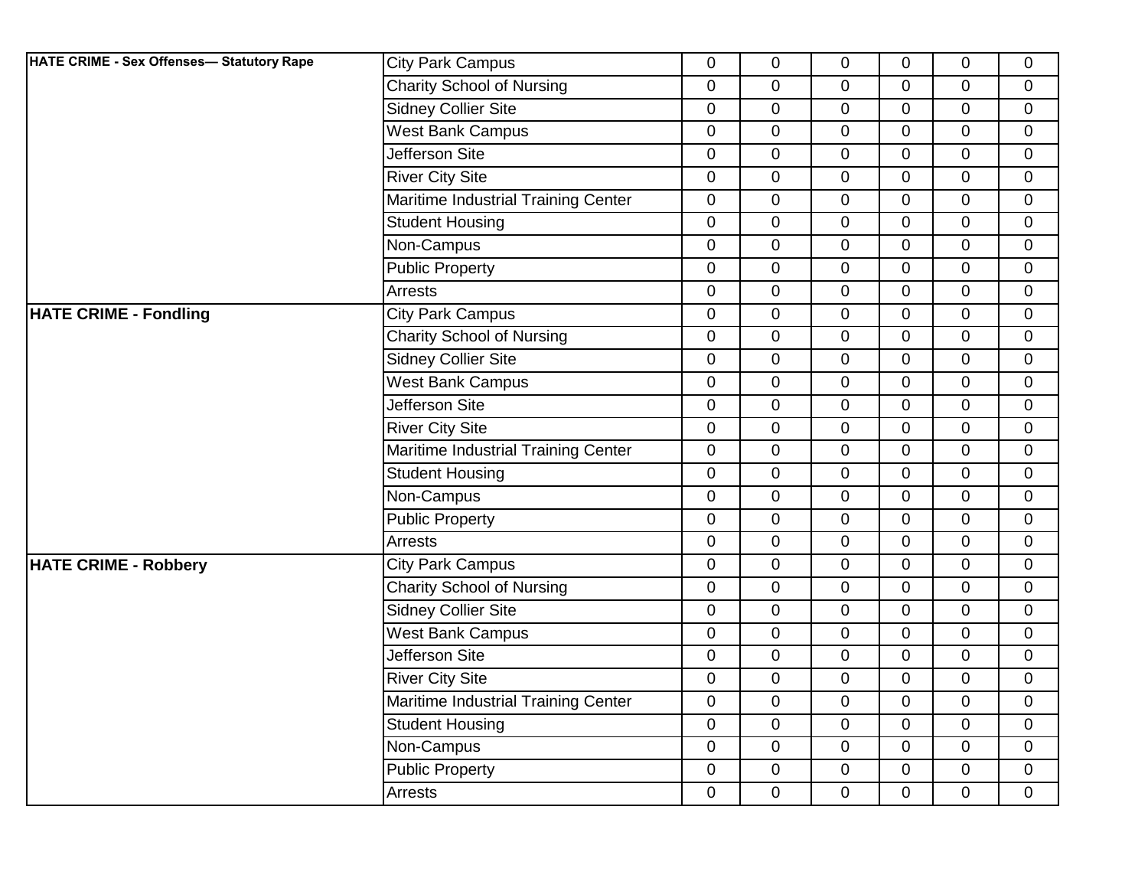| HATE CRIME - Sex Offenses- Statutory Rape | <b>City Park Campus</b>             | $\mathbf 0$    | $\mathbf 0$    | $\mathbf 0$    | $\overline{0}$ | 0              | $\mathbf 0$  |
|-------------------------------------------|-------------------------------------|----------------|----------------|----------------|----------------|----------------|--------------|
|                                           | <b>Charity School of Nursing</b>    | $\mathbf 0$    | 0              | $\mathbf 0$    | $\mathbf 0$    | 0              | $\mathbf 0$  |
|                                           | <b>Sidney Collier Site</b>          | $\overline{0}$ | $\mathbf 0$    | $\Omega$       | $\Omega$       | 0              | $\mathbf 0$  |
|                                           | <b>West Bank Campus</b>             | $\mathbf 0$    | $\mathbf 0$    | $\mathbf 0$    | $\overline{0}$ | 0              | $\mathbf 0$  |
|                                           | Jefferson Site                      | 0              | $\pmb{0}$      | $\mathbf 0$    | $\mathbf 0$    | 0              | $\mathbf 0$  |
|                                           | <b>River City Site</b>              | $\pmb{0}$      | $\mathbf 0$    | $\mathbf 0$    | $\mathbf 0$    | 0              | $\mathbf 0$  |
|                                           | Maritime Industrial Training Center | $\overline{0}$ | $\overline{0}$ | $\mathbf 0$    | $\Omega$       | $\overline{0}$ | $\mathbf 0$  |
|                                           | <b>Student Housing</b>              | $\mathbf 0$    | $\mathbf 0$    | $\mathbf 0$    | $\overline{0}$ | 0              | $\mathbf 0$  |
|                                           | Non-Campus                          | 0              | $\mathbf 0$    | $\mathbf 0$    | $\overline{0}$ | 0              | $\mathbf 0$  |
|                                           | <b>Public Property</b>              | $\mathbf 0$    | $\mathbf 0$    | $\mathbf 0$    | $\overline{0}$ | 0              | $\pmb{0}$    |
|                                           | Arrests                             | 0              | $\overline{0}$ | 0              | $\overline{0}$ | $\overline{0}$ | $\mathbf 0$  |
| <b>HATE CRIME - Fondling</b>              | <b>City Park Campus</b>             | $\mathbf 0$    | $\pmb{0}$      | $\mathbf 0$    | $\mathbf 0$    | 0              | $\mathbf 0$  |
|                                           | <b>Charity School of Nursing</b>    | 0              | 0              | 0              | 0              | 0              | $\mathbf 0$  |
|                                           | <b>Sidney Collier Site</b>          | 0              | $\mathbf 0$    | $\mathbf 0$    | $\overline{0}$ | 0              | $\mathbf 0$  |
|                                           | <b>West Bank Campus</b>             | 0              | $\mathbf 0$    | $\mathbf 0$    | $\overline{0}$ | 0              | $\mathbf 0$  |
|                                           | Jefferson Site                      | 0              | $\mathbf 0$    | $\mathbf 0$    | $\mathbf 0$    | 0              | $\mathbf 0$  |
|                                           | <b>River City Site</b>              | $\overline{0}$ | $\mathbf 0$    | $\overline{0}$ | $\mathbf{0}$   | 0              | $\mathbf 0$  |
|                                           | Maritime Industrial Training Center | 0              | $\mathbf 0$    | $\mathbf 0$    | $\overline{0}$ | $\overline{0}$ | $\mathbf{0}$ |
|                                           | <b>Student Housing</b>              | 0              | $\mathbf 0$    | $\mathbf 0$    | $\mathbf 0$    | 0              | $\mathbf 0$  |
|                                           | Non-Campus                          | 0              | 0              | $\mathbf 0$    | $\mathbf 0$    | 0              | $\mathbf 0$  |
|                                           | <b>Public Property</b>              | $\mathbf 0$    | $\pmb{0}$      | $\mathbf 0$    | $\mathbf 0$    | 0              | $\mathbf 0$  |
|                                           | Arrests                             | 0              | $\mathbf 0$    | $\mathbf 0$    | $\overline{0}$ | 0              | $\mathbf 0$  |
| <b>HATE CRIME - Robbery</b>               | <b>City Park Campus</b>             | $\pmb{0}$      | $\pmb{0}$      | $\mathbf 0$    | $\mathbf 0$    | $\overline{0}$ | $\mathbf 0$  |
|                                           | <b>Charity School of Nursing</b>    | 0              | $\mathbf 0$    | $\mathbf 0$    | $\overline{0}$ | 0              | $\mathbf 0$  |
|                                           | <b>Sidney Collier Site</b>          | $\mathbf 0$    | $\mathbf 0$    | $\mathbf 0$    | $\mathbf 0$    | 0              | $\mathbf 0$  |
|                                           | <b>West Bank Campus</b>             | 0              | $\mathbf 0$    | $\mathbf 0$    | $\mathbf 0$    | 0              | $\mathbf 0$  |
|                                           | <b>Jefferson Site</b>               | $\pmb{0}$      | $\mathbf 0$    | $\mathbf 0$    | $\overline{0}$ | 0              | $\mathbf{0}$ |
|                                           | <b>River City Site</b>              | $\mathbf 0$    | $\pmb{0}$      | $\mathbf 0$    | $\mathbf 0$    | 0              | $\mathbf 0$  |
|                                           | Maritime Industrial Training Center | $\mathbf 0$    | $\mathbf 0$    | $\mathbf 0$    | $\mathbf 0$    | $\overline{0}$ | $\mathbf 0$  |
|                                           | <b>Student Housing</b>              | 0              | $\mathbf 0$    | $\mathbf 0$    | $\mathbf 0$    | 0              | $\mathbf 0$  |
|                                           | Non-Campus                          | 0              | $\mathbf 0$    | $\mathbf 0$    | $\overline{0}$ | 0              | $\mathbf 0$  |
|                                           | <b>Public Property</b>              | 0              | $\mathbf 0$    | $\mathbf 0$    | $\mathbf 0$    | 0              | $\mathbf 0$  |
|                                           | Arrests                             | 0              | $\mathbf 0$    | 0              | $\mathbf 0$    | 0              | $\mathbf 0$  |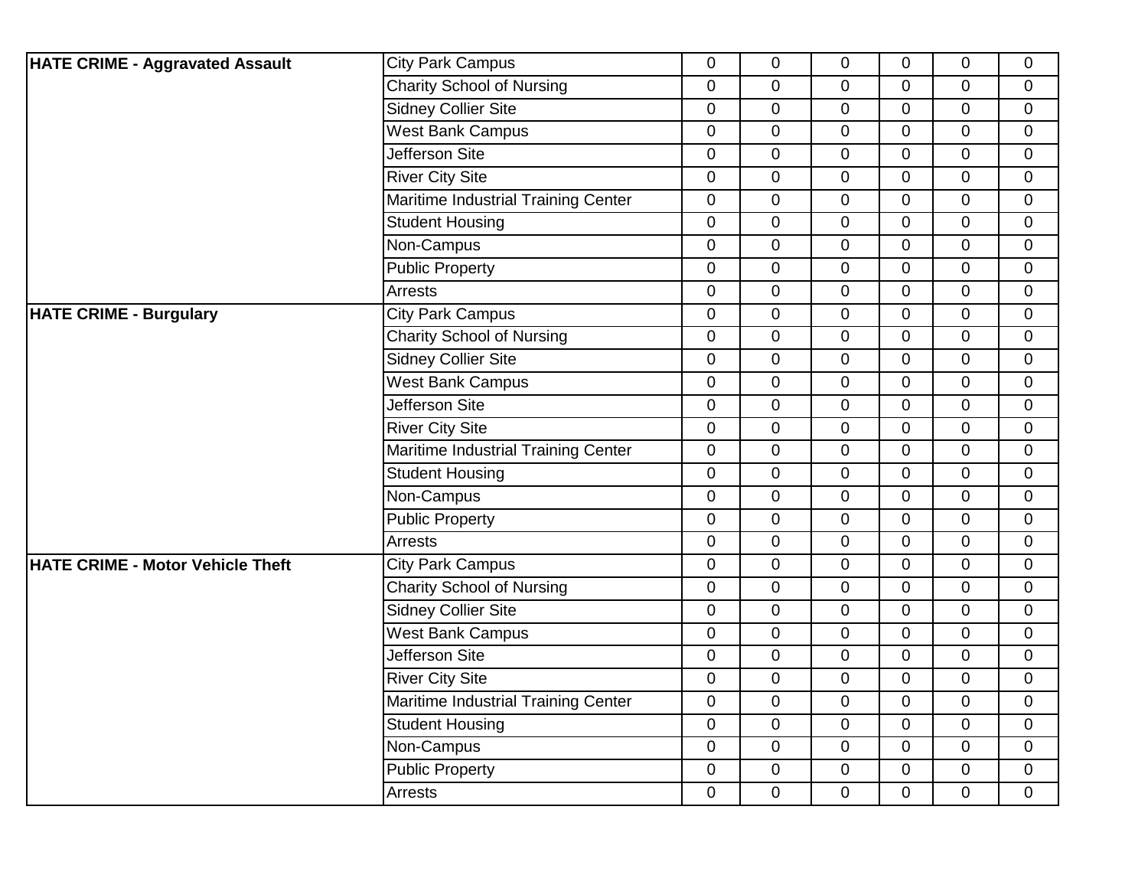| <b>HATE CRIME - Aggravated Assault</b>  | <b>City Park Campus</b>             | $\mathbf 0$    | $\mathbf 0$    | $\mathbf 0$ | $\overline{0}$ | 0              | $\mathbf 0$    |
|-----------------------------------------|-------------------------------------|----------------|----------------|-------------|----------------|----------------|----------------|
|                                         | <b>Charity School of Nursing</b>    | 0              | $\mathbf 0$    | $\mathbf 0$ | $\mathbf 0$    | 0              | $\mathbf 0$    |
|                                         | Sidney Collier Site                 | $\overline{0}$ | $\mathbf 0$    | $\Omega$    | $\Omega$       | 0              | $\overline{0}$ |
|                                         | <b>West Bank Campus</b>             | 0              | $\pmb{0}$      | $\mathbf 0$ | $\overline{0}$ | 0              | $\mathbf 0$    |
|                                         | Jefferson Site                      | 0              | $\pmb{0}$      | $\mathbf 0$ | $\overline{0}$ | 0              | $\overline{0}$ |
|                                         | <b>River City Site</b>              | $\mathbf 0$    | $\pmb{0}$      | $\mathbf 0$ | $\mathbf 0$    | 0              | $\mathbf 0$    |
|                                         | Maritime Industrial Training Center | $\overline{0}$ | $\mathbf 0$    | $\mathbf 0$ | $\Omega$       | 0              | $\overline{0}$ |
|                                         | <b>Student Housing</b>              | $\overline{0}$ | $\mathbf 0$    | $\mathbf 0$ | $\overline{0}$ | $\overline{0}$ | $\mathbf 0$    |
|                                         | Non-Campus                          | $\overline{0}$ | $\mathbf 0$    | $\mathbf 0$ | $\mathbf 0$    | 0              | $\mathbf 0$    |
|                                         | <b>Public Property</b>              | $\mathbf 0$    | $\mathbf 0$    | $\mathbf 0$ | $\mathbf 0$    | 0              | $\mathbf 0$    |
|                                         | Arrests                             | $\overline{0}$ | $\overline{0}$ | $\Omega$    | $\Omega$       | $\overline{0}$ | $\mathbf 0$    |
| <b>HATE CRIME - Burgulary</b>           | <b>City Park Campus</b>             | $\mathbf 0$    | $\mathbf 0$    | $\mathbf 0$ | $\mathbf 0$    | 0              | $\mathbf 0$    |
|                                         | <b>Charity School of Nursing</b>    | $\mathbf 0$    | $\pmb{0}$      | $\mathbf 0$ | $\mathbf 0$    | 0              | $\overline{0}$ |
|                                         | <b>Sidney Collier Site</b>          | 0              | $\mathbf 0$    | $\mathbf 0$ | $\mathbf 0$    | 0              | $\mathbf 0$    |
|                                         | <b>West Bank Campus</b>             | 0              | $\overline{0}$ | $\mathbf 0$ | $\overline{0}$ | $\overline{0}$ | $\mathbf 0$    |
|                                         | <b>Jefferson Site</b>               | 0              | $\mathbf 0$    | $\mathbf 0$ | $\overline{0}$ | 0              | $\mathbf 0$    |
|                                         | <b>River City Site</b>              | 0              | $\pmb{0}$      | $\mathbf 0$ | $\mathbf 0$    | 0              | $\mathbf 0$    |
|                                         | Maritime Industrial Training Center | $\overline{0}$ | $\mathbf 0$    | $\mathbf 0$ | $\Omega$       | 0              | $\mathbf 0$    |
|                                         | <b>Student Housing</b>              | 0              | $\mathbf 0$    | $\mathbf 0$ | $\mathbf 0$    | 0              | $\mathbf 0$    |
|                                         | Non-Campus                          | 0              | $\pmb{0}$      | $\mathbf 0$ | $\mathbf 0$    | 0              | $\overline{0}$ |
|                                         | <b>Public Property</b>              | 0              | 0              | $\mathbf 0$ | $\mathbf 0$    | 0              | $\mathbf 0$    |
|                                         | Arrests                             | 0              | $\mathbf 0$    | 0           | $\Omega$       | 0              | $\mathbf 0$    |
| <b>HATE CRIME - Motor Vehicle Theft</b> | <b>City Park Campus</b>             | 0              | $\mathbf 0$    | $\mathbf 0$ | $\overline{0}$ | 0              | $\mathbf 0$    |
|                                         | <b>Charity School of Nursing</b>    | 0              | $\pmb{0}$      | $\mathbf 0$ | $\overline{0}$ | 0              | $\mathbf 0$    |
|                                         | <b>Sidney Collier Site</b>          | $\mathbf 0$    | 0              | $\mathbf 0$ | $\mathbf 0$    | 0              | $\mathbf 0$    |
|                                         | <b>West Bank Campus</b>             | 0              | $\pmb{0}$      | $\mathbf 0$ | $\overline{0}$ | $\overline{0}$ | $\mathbf{0}$   |
|                                         | <b>Jefferson Site</b>               | 0              | $\overline{0}$ | $\mathbf 0$ | $\mathbf 0$    | 0              | $\overline{0}$ |
|                                         | <b>River City Site</b>              | $\mathbf 0$    | $\pmb{0}$      | $\mathbf 0$ | $\mathbf 0$    | 0              | $\mathbf 0$    |
|                                         | Maritime Industrial Training Center | $\mathbf 0$    | $\pmb{0}$      | $\mathbf 0$ | $\mathbf 0$    | 0              | $\overline{0}$ |
|                                         | <b>Student Housing</b>              | 0              | $\overline{0}$ | $\mathbf 0$ | $\Omega$       | $\overline{0}$ | $\mathbf{0}$   |
|                                         | Non-Campus                          | $\mathbf 0$    | $\mathbf 0$    | $\mathbf 0$ | $\overline{0}$ | $\overline{0}$ | $\mathbf 0$    |
|                                         | <b>Public Property</b>              | $\mathbf 0$    | 0              | $\mathbf 0$ | $\mathbf 0$    | 0              | $\mathbf 0$    |
|                                         | Arrests                             | 0              | $\mathbf 0$    | 0           | $\mathbf 0$    | 0              | $\overline{0}$ |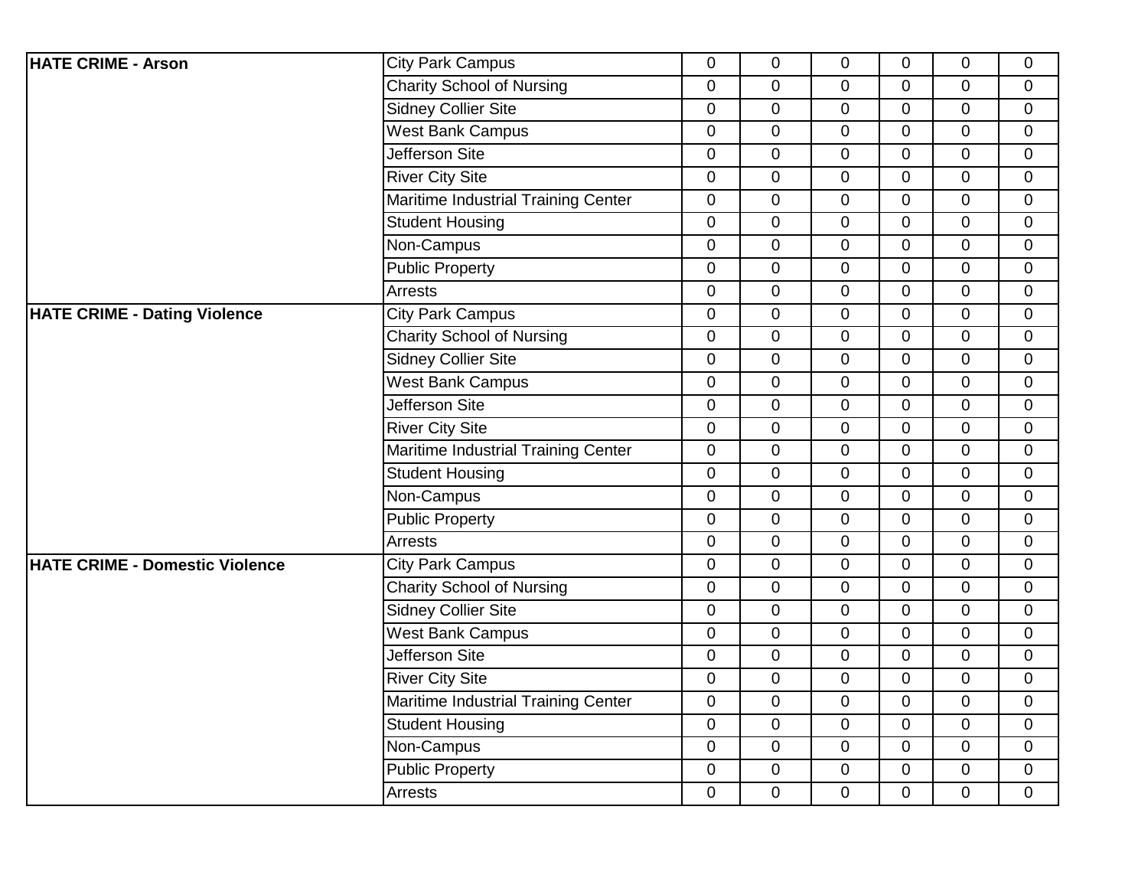| <b>HATE CRIME - Arson</b>             | <b>City Park Campus</b>             | $\overline{0}$   | $\mathbf 0$    | $\overline{0}$ | $\overline{0}$ | 0              | $\overline{0}$ |
|---------------------------------------|-------------------------------------|------------------|----------------|----------------|----------------|----------------|----------------|
|                                       | <b>Charity School of Nursing</b>    | $\mathbf 0$      | $\overline{0}$ | $\overline{0}$ | $\mathbf{0}$   | 0              | $\mathbf 0$    |
|                                       | <b>Sidney Collier Site</b>          | $\overline{0}$   | $\mathbf 0$    | $\overline{0}$ | $\overline{0}$ | 0              | $\mathbf 0$    |
|                                       | <b>West Bank Campus</b>             | $\boldsymbol{0}$ | $\mathbf 0$    | $\mathbf 0$    | $\mathbf 0$    | 0              | $\mathbf 0$    |
|                                       | Jefferson Site                      | $\boldsymbol{0}$ | $\pmb{0}$      | $\pmb{0}$      | $\overline{0}$ | $\pmb{0}$      | $\pmb{0}$      |
|                                       | <b>River City Site</b>              | $\mathbf 0$      | $\mathbf 0$    | $\overline{0}$ | $\overline{0}$ | 0              | $\overline{0}$ |
|                                       | Maritime Industrial Training Center | $\overline{0}$   | $\overline{0}$ | $\overline{0}$ | $\overline{0}$ | 0              | $\mathbf 0$    |
|                                       | <b>Student Housing</b>              | $\mathbf 0$      | $\pmb{0}$      | 0              | $\mathbf 0$    | 0              | $\mathbf 0$    |
|                                       | Non-Campus                          | $\overline{0}$   | $\mathbf 0$    | $\overline{0}$ | $\overline{0}$ | 0              | $\overline{0}$ |
|                                       | <b>Public Property</b>              | $\mathbf 0$      | $\overline{0}$ | $\overline{0}$ | $\mathbf{0}$   | 0              | $\mathbf 0$    |
|                                       | <b>Arrests</b>                      | $\overline{0}$   | $\mathbf 0$    | 0              | $\mathbf 0$    | 0              | $\mathbf 0$    |
| <b>HATE CRIME - Dating Violence</b>   | <b>City Park Campus</b>             | $\boldsymbol{0}$ | $\mathbf 0$    | $\mathbf 0$    | $\mathbf 0$    | 0              | $\mathbf 0$    |
|                                       | <b>Charity School of Nursing</b>    | $\boldsymbol{0}$ | $\pmb{0}$      | $\pmb{0}$      | $\mathbf 0$    | 0              | $\mathbf 0$    |
|                                       | <b>Sidney Collier Site</b>          | $\overline{0}$   | $\mathbf 0$    | 0              | $\overline{0}$ | 0              | $\mathbf 0$    |
|                                       | <b>West Bank Campus</b>             | $\mathbf 0$      | $\mathbf 0$    | $\mathbf 0$    | $\mathbf 0$    | 0              | $\mathbf 0$    |
|                                       | Jefferson Site                      | $\mathbf 0$      | $\mathbf 0$    | $\mathbf 0$    | $\mathbf 0$    | 0              | $\mathbf 0$    |
|                                       | <b>River City Site</b>              | 0                | $\mathbf 0$    | 0              | $\mathbf{0}$   | 0              | $\mathbf 0$    |
|                                       | Maritime Industrial Training Center | $\overline{0}$   | $\overline{0}$ | $\overline{0}$ | $\mathbf{0}$   | 0              | $\mathbf{0}$   |
|                                       | <b>Student Housing</b>              | $\mathbf 0$      | $\mathbf 0$    | $\overline{0}$ | $\mathbf 0$    | 0              | $\mathbf 0$    |
|                                       | Non-Campus                          | $\mathbf 0$      | $\mathbf 0$    | $\mathbf 0$    | $\mathbf 0$    | 0              | $\mathbf 0$    |
|                                       | <b>Public Property</b>              | $\boldsymbol{0}$ | $\pmb{0}$      | 0              | $\mathbf 0$    | 0              | $\pmb{0}$      |
|                                       | <b>Arrests</b>                      | $\overline{0}$   | 0              | 0              | $\overline{0}$ | 0              | $\mathbf 0$    |
| <b>HATE CRIME - Domestic Violence</b> | <b>City Park Campus</b>             | $\mathbf 0$      | $\overline{0}$ | $\overline{0}$ | $\mathbf 0$    | 0              | $\mathbf 0$    |
|                                       | <b>Charity School of Nursing</b>    | $\mathbf 0$      | $\mathbf 0$    | $\mathbf 0$    | $\mathbf 0$    | 0              | $\mathbf 0$    |
|                                       | <b>Sidney Collier Site</b>          | $\boldsymbol{0}$ | $\mathbf 0$    | $\overline{0}$ | $\mathbf 0$    | 0              | $\pmb{0}$      |
|                                       | <b>West Bank Campus</b>             | $\overline{0}$   | $\overline{0}$ | $\overline{0}$ | $\overline{0}$ | 0              | $\mathbf 0$    |
|                                       | Jefferson Site                      | $\mathbf 0$      | $\overline{0}$ | $\overline{0}$ | $\mathbf 0$    | 0              | $\mathbf 0$    |
|                                       | <b>River City Site</b>              | $\mathbf 0$      | $\pmb{0}$      | $\mathbf 0$    | $\mathbf 0$    | 0              | $\mathbf 0$    |
|                                       | Maritime Industrial Training Center | $\boldsymbol{0}$ | $\mathbf 0$    | $\mathbf 0$    | $\mathbf 0$    | 0              | $\pmb{0}$      |
|                                       | <b>Student Housing</b>              | $\overline{0}$   | 0              | $\overline{0}$ | $\overline{0}$ | $\overline{0}$ | $\mathbf 0$    |
|                                       | Non-Campus                          | $\mathbf 0$      | $\overline{0}$ | $\overline{0}$ | $\overline{0}$ | $\mathbf 0$    | $\mathbf 0$    |
|                                       | <b>Public Property</b>              | $\mathbf 0$      | $\mathbf 0$    | 0              | 0              | 0              | $\mathbf 0$    |
|                                       | Arrests                             | $\overline{0}$   | $\overline{0}$ | 0              | $\mathbf 0$    | 0              | $\mathbf 0$    |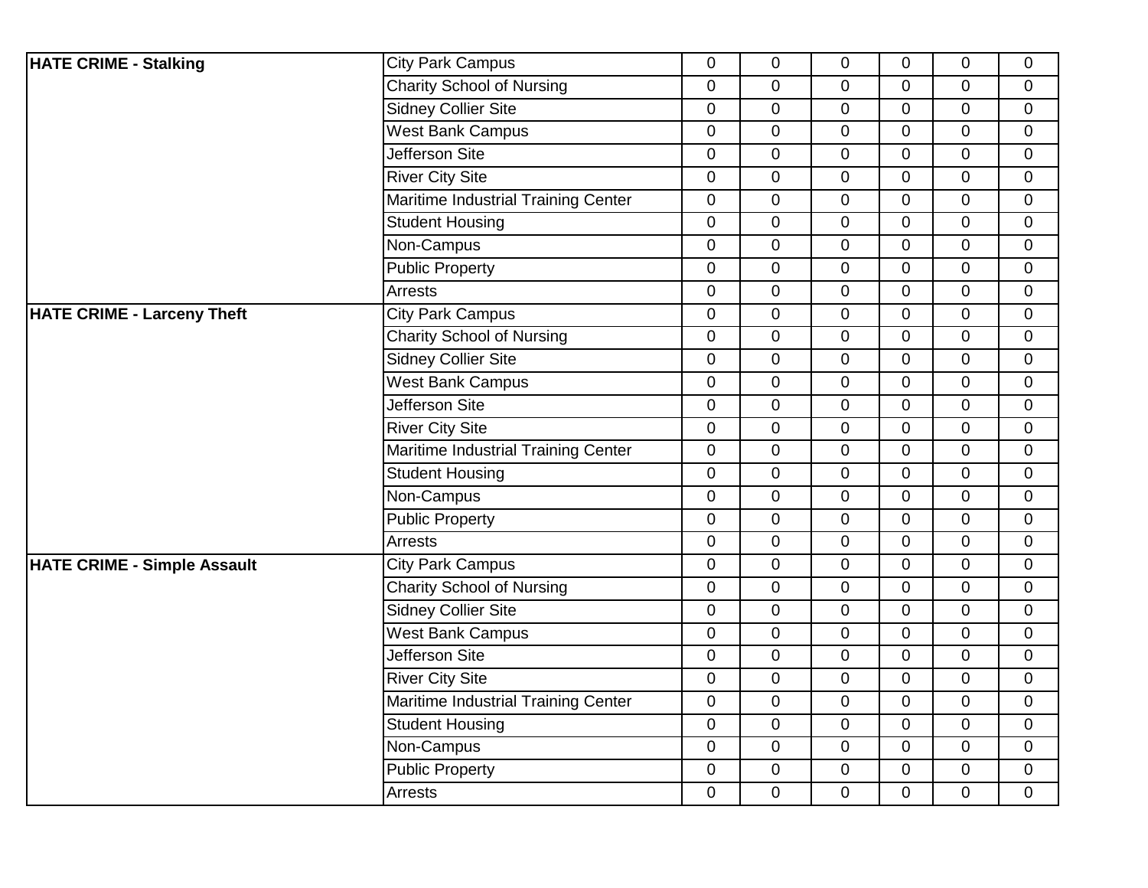| <b>HATE CRIME - Stalking</b>       | <b>City Park Campus</b>             | $\overline{0}$   | $\mathbf 0$    | $\overline{0}$ | $\overline{0}$ | 0              | $\overline{0}$ |
|------------------------------------|-------------------------------------|------------------|----------------|----------------|----------------|----------------|----------------|
|                                    | <b>Charity School of Nursing</b>    | $\mathbf 0$      | $\overline{0}$ | $\overline{0}$ | $\mathbf{0}$   | 0              | $\mathbf 0$    |
|                                    | <b>Sidney Collier Site</b>          | $\overline{0}$   | $\overline{0}$ | $\overline{0}$ | $\overline{0}$ | $\overline{0}$ | $\mathbf 0$    |
|                                    | <b>West Bank Campus</b>             | $\boldsymbol{0}$ | $\mathbf 0$    | $\mathbf 0$    | $\mathbf 0$    | 0              | $\mathbf 0$    |
|                                    | Jefferson Site                      | $\boldsymbol{0}$ | $\pmb{0}$      | $\pmb{0}$      | $\overline{0}$ | $\mathbf 0$    | $\pmb{0}$      |
|                                    | <b>River City Site</b>              | $\mathbf 0$      | $\mathbf 0$    | $\overline{0}$ | $\overline{0}$ | 0              | $\overline{0}$ |
|                                    | Maritime Industrial Training Center | $\overline{0}$   | $\overline{0}$ | $\overline{0}$ | $\overline{0}$ | 0              | $\mathbf 0$    |
|                                    | <b>Student Housing</b>              | $\mathbf 0$      | $\mathbf 0$    | 0              | $\mathbf 0$    | 0              | $\mathbf 0$    |
|                                    | Non-Campus                          | $\overline{0}$   | $\mathbf 0$    | $\overline{0}$ | $\Omega$       | 0              | $\mathbf{0}$   |
|                                    | <b>Public Property</b>              | $\overline{0}$   | $\overline{0}$ | $\overline{0}$ | $\mathbf{0}$   | 0              | $\mathbf 0$    |
|                                    | <b>Arrests</b>                      | $\overline{0}$   | $\mathbf 0$    | 0              | $\overline{0}$ | 0              | $\mathbf 0$    |
| <b>HATE CRIME - Larceny Theft</b>  | <b>City Park Campus</b>             | $\mathbf 0$      | $\mathbf 0$    | $\mathbf 0$    | $\mathbf 0$    | 0              | $\mathbf 0$    |
|                                    | <b>Charity School of Nursing</b>    | $\boldsymbol{0}$ | $\pmb{0}$      | $\pmb{0}$      | $\mathbf 0$    | 0              | $\mathbf 0$    |
|                                    | <b>Sidney Collier Site</b>          | $\overline{0}$   | $\overline{0}$ | 0              | $\overline{0}$ | 0              | $\overline{0}$ |
|                                    | <b>West Bank Campus</b>             | $\mathbf 0$      | $\overline{0}$ | $\overline{0}$ | $\overline{0}$ | 0              | $\mathbf 0$    |
|                                    | Jefferson Site                      | $\mathbf 0$      | $\mathbf 0$    | $\mathbf 0$    | $\overline{0}$ | 0              | $\mathbf 0$    |
|                                    | <b>River City Site</b>              | 0                | $\mathbf 0$    | $\mathbf{0}$   | $\mathbf{0}$   | 0              | $\mathbf 0$    |
|                                    | Maritime Industrial Training Center | $\overline{0}$   | $\overline{0}$ | $\overline{0}$ | $\mathbf{0}$   | $\overline{0}$ | $\mathbf{0}$   |
|                                    | <b>Student Housing</b>              | $\mathbf 0$      | $\mathbf 0$    | $\overline{0}$ | $\mathbf 0$    | 0              | $\mathbf 0$    |
|                                    | Non-Campus                          | $\mathbf 0$      | $\mathbf 0$    | $\mathbf 0$    | $\mathbf 0$    | 0              | $\mathbf 0$    |
|                                    | <b>Public Property</b>              | $\boldsymbol{0}$ | $\pmb{0}$      | 0              | $\mathbf 0$    | 0              | $\pmb{0}$      |
|                                    | Arrests                             | $\overline{0}$   | 0              | 0              | $\overline{0}$ | 0              | $\mathbf{0}$   |
| <b>HATE CRIME - Simple Assault</b> | <b>City Park Campus</b>             | $\mathbf 0$      | $\overline{0}$ | $\overline{0}$ | $\mathbf 0$    | 0              | $\mathbf 0$    |
|                                    | <b>Charity School of Nursing</b>    | $\mathbf 0$      | $\mathbf 0$    | $\mathbf 0$    | $\mathbf 0$    | 0              | $\mathbf 0$    |
|                                    | <b>Sidney Collier Site</b>          | $\boldsymbol{0}$ | $\mathbf 0$    | $\overline{0}$ | $\overline{0}$ | 0              | $\pmb{0}$      |
|                                    | <b>West Bank Campus</b>             | $\overline{0}$   | $\overline{0}$ | $\overline{0}$ | $\overline{0}$ | $\overline{0}$ | $\mathbf{0}$   |
|                                    | Jefferson Site                      | $\mathbf 0$      | $\overline{0}$ | $\overline{0}$ | $\mathbf 0$    | 0              | $\mathbf 0$    |
|                                    | <b>River City Site</b>              | $\mathbf 0$      | $\pmb{0}$      | $\mathbf 0$    | $\mathbf 0$    | 0              | $\mathbf 0$    |
|                                    | Maritime Industrial Training Center | $\boldsymbol{0}$ | $\mathbf 0$    | $\mathbf 0$    | $\mathbf 0$    | 0              | $\pmb{0}$      |
|                                    | <b>Student Housing</b>              | $\overline{0}$   | $\overline{0}$ | $\overline{0}$ | $\Omega$       | $\overline{0}$ | $\mathbf{0}$   |
|                                    | Non-Campus                          | $\mathbf 0$      | $\overline{0}$ | $\overline{0}$ | $\mathbf 0$    | $\overline{0}$ | $\mathbf 0$    |
|                                    | <b>Public Property</b>              | $\mathbf 0$      | $\mathbf 0$    | 0              | 0              | 0              | $\mathbf 0$    |
|                                    | Arrests                             | $\overline{0}$   | $\overline{0}$ | 0              | $\mathbf 0$    | 0              | $\mathbf 0$    |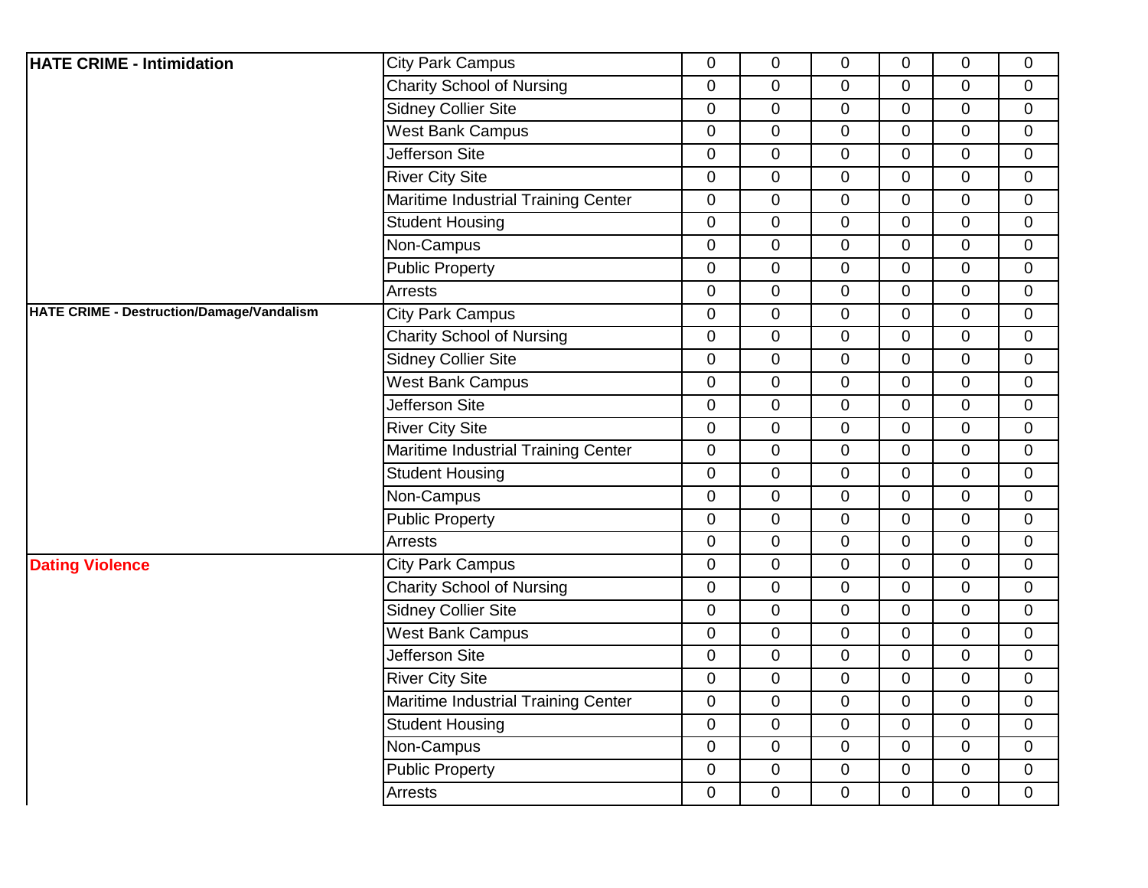| <b>Charity School of Nursing</b><br>$\overline{0}$<br>$\overline{0}$<br>$\mathbf 0$<br>$\mathbf 0$<br>$\mathbf 0$<br>$\mathbf 0$<br><b>Sidney Collier Site</b><br>$\overline{0}$<br>$\mathbf 0$<br>$\overline{0}$<br>$\overline{0}$<br>$\overline{0}$<br>$\mathbf{0}$<br><b>West Bank Campus</b><br>$\mathbf 0$<br>$\mathbf 0$<br>$\overline{0}$<br>$\mathbf 0$<br>0<br>$\overline{0}$<br>Jefferson Site<br>$\mathbf 0$<br>$\mathbf 0$<br>0<br>$\mathbf 0$<br>0<br>$\mathbf 0$<br><b>River City Site</b><br>$\mathbf 0$<br>$\mathbf 0$<br>$\mathbf 0$<br>0<br>0<br>$\mathbf 0$<br>Maritime Industrial Training Center<br>$\mathbf 0$<br>$\mathbf 0$<br>$\mathbf 0$<br>$\overline{0}$<br>$\overline{0}$<br>$\mathbf 0$<br><b>Student Housing</b><br>$\mathbf 0$<br>$\mathbf 0$<br>$\mathbf 0$<br>0<br>0<br>$\overline{0}$<br>Non-Campus<br>$\mathbf 0$<br>$\mathbf 0$<br>$\mathbf 0$<br>$\mathbf 0$<br>0<br>$\mathbf 0$<br><b>Public Property</b><br>$\boldsymbol{0}$<br>$\boldsymbol{0}$<br>0<br>$\mathbf 0$<br>$\mathbf 0$<br>$\mathbf 0$<br>Arrests<br>$\overline{0}$<br>$\mathbf 0$<br>$\overline{0}$<br>$\overline{0}$<br>0<br>$\mathbf{0}$<br><b>City Park Campus</b><br>$\mathbf 0$<br>$\mathbf 0$<br>$\overline{0}$<br>$\overline{0}$<br>0<br>$\overline{0}$<br><b>Charity School of Nursing</b><br>$\mathbf 0$<br>$\pmb{0}$<br>$\mathbf 0$<br>$\overline{0}$<br>0<br>$\mathbf 0$<br><b>Sidney Collier Site</b><br>$\mathbf 0$<br>$\overline{0}$<br>$\mathbf 0$<br>$\mathbf 0$<br>0<br>$\mathbf 0$<br><b>West Bank Campus</b><br>$\overline{0}$<br>$\mathbf 0$<br>$\overline{0}$<br>$\overline{0}$<br>$\overline{0}$<br>$\mathbf 0$<br>Jefferson Site<br>$\mathbf 0$<br>$\mathbf 0$<br>$\mathbf 0$<br>0<br>0<br>$\overline{0}$<br><b>River City Site</b><br>$\mathbf 0$<br>$\mathbf 0$<br>$\mathbf 0$<br>$\mathbf 0$<br>0<br>$\mathbf 0$<br>Maritime Industrial Training Center<br>$\mathbf 0$<br>0<br>$\mathbf 0$<br>$\mathbf 0$<br>0<br>$\mathbf 0$<br><b>Student Housing</b><br>$\mathbf 0$<br>$\mathbf 0$<br>$\overline{0}$<br>$\overline{0}$<br>$\overline{0}$<br>$\mathbf 0$<br>Non-Campus<br>$\boldsymbol{0}$<br>$\mathbf 0$<br>$\mathbf 0$<br>0<br>0<br>$\mathbf 0$<br><b>Public Property</b><br>$\mathbf 0$<br>$\mathbf 0$<br>$\mathbf 0$<br>0<br>0<br>$\mathbf 0$<br><b>Arrests</b><br>$\boldsymbol{0}$<br>$\mathbf 0$<br>$\mathbf 0$<br>$\mathbf 0$<br>0<br>$\mathbf 0$<br><b>Dating Violence</b><br><b>City Park Campus</b><br>$\pmb{0}$<br>$\overline{0}$<br>$\overline{0}$<br>$\overline{0}$<br>$\overline{0}$<br>$\mathbf{0}$<br><b>Charity School of Nursing</b><br>$\mathbf 0$<br>$\mathbf 0$<br>$\mathbf 0$<br>$\mathbf 0$<br>$\overline{0}$<br>$\mathbf 0$<br><b>Sidney Collier Site</b><br>$\mathbf 0$<br>$\mathbf 0$<br>$\overline{0}$<br>$\overline{0}$<br>$\mathbf 0$<br>$\mathbf 0$<br><b>West Bank Campus</b><br>$\mathbf 0$<br>$\mathbf 0$<br>0<br>$\mathbf 0$<br>0<br>$\mathbf 0$<br><b>Jefferson Site</b><br>$\mathbf 0$<br>$\mathbf 0$<br>$\overline{0}$<br>$\overline{0}$<br>$\overline{0}$<br>$\mathbf 0$<br><b>River City Site</b><br>$\mathbf 0$<br>$\mathbf 0$<br>$\mathbf 0$<br>$\mathbf 0$<br>0<br>$\mathbf 0$<br>Maritime Industrial Training Center<br>$\mathbf 0$<br>$\mathbf 0$<br>$\mathbf 0$<br>$\mathbf 0$<br>0<br>$\mathbf 0$<br><b>Student Housing</b><br>$\boldsymbol{0}$<br>$\mathbf 0$<br>0<br>$\mathbf 0$<br>0<br>$\mathbf 0$<br>Non-Campus<br>$\mathbf 0$<br>$\pmb{0}$<br>$\mathbf 0$<br>$\mathbf 0$<br>$\overline{0}$<br>$\mathbf 0$<br><b>Public Property</b><br>$\pmb{0}$<br>$\mathbf 0$<br>$\boldsymbol{0}$<br>$\mathbf 0$<br>0<br>$\mathbf 0$<br>Arrests<br>$\mathbf 0$<br>$\mathbf 0$<br>$\mathbf 0$<br>$\Omega$<br>$\mathbf 0$<br>$\mathbf 0$ | <b>HATE CRIME - Intimidation</b>          | <b>City Park Campus</b> | $\overline{0}$ | $\mathbf 0$ | $\overline{0}$ | $\overline{0}$ | $\overline{0}$ | $\overline{0}$ |
|---------------------------------------------------------------------------------------------------------------------------------------------------------------------------------------------------------------------------------------------------------------------------------------------------------------------------------------------------------------------------------------------------------------------------------------------------------------------------------------------------------------------------------------------------------------------------------------------------------------------------------------------------------------------------------------------------------------------------------------------------------------------------------------------------------------------------------------------------------------------------------------------------------------------------------------------------------------------------------------------------------------------------------------------------------------------------------------------------------------------------------------------------------------------------------------------------------------------------------------------------------------------------------------------------------------------------------------------------------------------------------------------------------------------------------------------------------------------------------------------------------------------------------------------------------------------------------------------------------------------------------------------------------------------------------------------------------------------------------------------------------------------------------------------------------------------------------------------------------------------------------------------------------------------------------------------------------------------------------------------------------------------------------------------------------------------------------------------------------------------------------------------------------------------------------------------------------------------------------------------------------------------------------------------------------------------------------------------------------------------------------------------------------------------------------------------------------------------------------------------------------------------------------------------------------------------------------------------------------------------------------------------------------------------------------------------------------------------------------------------------------------------------------------------------------------------------------------------------------------------------------------------------------------------------------------------------------------------------------------------------------------------------------------------------------------------------------------------------------------------------------------------------------------------------------------------------------------------------------------------------------------------------------------------------------------------------------------------------------------------------------------------------------------------------------------------------------------------------------------------------------------------------------------------------------------------------------------------------------------------------------------------------------------------------------------------------------------|-------------------------------------------|-------------------------|----------------|-------------|----------------|----------------|----------------|----------------|
|                                                                                                                                                                                                                                                                                                                                                                                                                                                                                                                                                                                                                                                                                                                                                                                                                                                                                                                                                                                                                                                                                                                                                                                                                                                                                                                                                                                                                                                                                                                                                                                                                                                                                                                                                                                                                                                                                                                                                                                                                                                                                                                                                                                                                                                                                                                                                                                                                                                                                                                                                                                                                                                                                                                                                                                                                                                                                                                                                                                                                                                                                                                                                                                                                                                                                                                                                                                                                                                                                                                                                                                                                                                                                                               |                                           |                         |                |             |                |                |                |                |
|                                                                                                                                                                                                                                                                                                                                                                                                                                                                                                                                                                                                                                                                                                                                                                                                                                                                                                                                                                                                                                                                                                                                                                                                                                                                                                                                                                                                                                                                                                                                                                                                                                                                                                                                                                                                                                                                                                                                                                                                                                                                                                                                                                                                                                                                                                                                                                                                                                                                                                                                                                                                                                                                                                                                                                                                                                                                                                                                                                                                                                                                                                                                                                                                                                                                                                                                                                                                                                                                                                                                                                                                                                                                                                               |                                           |                         |                |             |                |                |                |                |
|                                                                                                                                                                                                                                                                                                                                                                                                                                                                                                                                                                                                                                                                                                                                                                                                                                                                                                                                                                                                                                                                                                                                                                                                                                                                                                                                                                                                                                                                                                                                                                                                                                                                                                                                                                                                                                                                                                                                                                                                                                                                                                                                                                                                                                                                                                                                                                                                                                                                                                                                                                                                                                                                                                                                                                                                                                                                                                                                                                                                                                                                                                                                                                                                                                                                                                                                                                                                                                                                                                                                                                                                                                                                                                               |                                           |                         |                |             |                |                |                |                |
|                                                                                                                                                                                                                                                                                                                                                                                                                                                                                                                                                                                                                                                                                                                                                                                                                                                                                                                                                                                                                                                                                                                                                                                                                                                                                                                                                                                                                                                                                                                                                                                                                                                                                                                                                                                                                                                                                                                                                                                                                                                                                                                                                                                                                                                                                                                                                                                                                                                                                                                                                                                                                                                                                                                                                                                                                                                                                                                                                                                                                                                                                                                                                                                                                                                                                                                                                                                                                                                                                                                                                                                                                                                                                                               |                                           |                         |                |             |                |                |                |                |
|                                                                                                                                                                                                                                                                                                                                                                                                                                                                                                                                                                                                                                                                                                                                                                                                                                                                                                                                                                                                                                                                                                                                                                                                                                                                                                                                                                                                                                                                                                                                                                                                                                                                                                                                                                                                                                                                                                                                                                                                                                                                                                                                                                                                                                                                                                                                                                                                                                                                                                                                                                                                                                                                                                                                                                                                                                                                                                                                                                                                                                                                                                                                                                                                                                                                                                                                                                                                                                                                                                                                                                                                                                                                                                               |                                           |                         |                |             |                |                |                |                |
|                                                                                                                                                                                                                                                                                                                                                                                                                                                                                                                                                                                                                                                                                                                                                                                                                                                                                                                                                                                                                                                                                                                                                                                                                                                                                                                                                                                                                                                                                                                                                                                                                                                                                                                                                                                                                                                                                                                                                                                                                                                                                                                                                                                                                                                                                                                                                                                                                                                                                                                                                                                                                                                                                                                                                                                                                                                                                                                                                                                                                                                                                                                                                                                                                                                                                                                                                                                                                                                                                                                                                                                                                                                                                                               |                                           |                         |                |             |                |                |                |                |
|                                                                                                                                                                                                                                                                                                                                                                                                                                                                                                                                                                                                                                                                                                                                                                                                                                                                                                                                                                                                                                                                                                                                                                                                                                                                                                                                                                                                                                                                                                                                                                                                                                                                                                                                                                                                                                                                                                                                                                                                                                                                                                                                                                                                                                                                                                                                                                                                                                                                                                                                                                                                                                                                                                                                                                                                                                                                                                                                                                                                                                                                                                                                                                                                                                                                                                                                                                                                                                                                                                                                                                                                                                                                                                               |                                           |                         |                |             |                |                |                |                |
|                                                                                                                                                                                                                                                                                                                                                                                                                                                                                                                                                                                                                                                                                                                                                                                                                                                                                                                                                                                                                                                                                                                                                                                                                                                                                                                                                                                                                                                                                                                                                                                                                                                                                                                                                                                                                                                                                                                                                                                                                                                                                                                                                                                                                                                                                                                                                                                                                                                                                                                                                                                                                                                                                                                                                                                                                                                                                                                                                                                                                                                                                                                                                                                                                                                                                                                                                                                                                                                                                                                                                                                                                                                                                                               |                                           |                         |                |             |                |                |                |                |
|                                                                                                                                                                                                                                                                                                                                                                                                                                                                                                                                                                                                                                                                                                                                                                                                                                                                                                                                                                                                                                                                                                                                                                                                                                                                                                                                                                                                                                                                                                                                                                                                                                                                                                                                                                                                                                                                                                                                                                                                                                                                                                                                                                                                                                                                                                                                                                                                                                                                                                                                                                                                                                                                                                                                                                                                                                                                                                                                                                                                                                                                                                                                                                                                                                                                                                                                                                                                                                                                                                                                                                                                                                                                                                               |                                           |                         |                |             |                |                |                |                |
|                                                                                                                                                                                                                                                                                                                                                                                                                                                                                                                                                                                                                                                                                                                                                                                                                                                                                                                                                                                                                                                                                                                                                                                                                                                                                                                                                                                                                                                                                                                                                                                                                                                                                                                                                                                                                                                                                                                                                                                                                                                                                                                                                                                                                                                                                                                                                                                                                                                                                                                                                                                                                                                                                                                                                                                                                                                                                                                                                                                                                                                                                                                                                                                                                                                                                                                                                                                                                                                                                                                                                                                                                                                                                                               |                                           |                         |                |             |                |                |                |                |
|                                                                                                                                                                                                                                                                                                                                                                                                                                                                                                                                                                                                                                                                                                                                                                                                                                                                                                                                                                                                                                                                                                                                                                                                                                                                                                                                                                                                                                                                                                                                                                                                                                                                                                                                                                                                                                                                                                                                                                                                                                                                                                                                                                                                                                                                                                                                                                                                                                                                                                                                                                                                                                                                                                                                                                                                                                                                                                                                                                                                                                                                                                                                                                                                                                                                                                                                                                                                                                                                                                                                                                                                                                                                                                               | HATE CRIME - Destruction/Damage/Vandalism |                         |                |             |                |                |                |                |
|                                                                                                                                                                                                                                                                                                                                                                                                                                                                                                                                                                                                                                                                                                                                                                                                                                                                                                                                                                                                                                                                                                                                                                                                                                                                                                                                                                                                                                                                                                                                                                                                                                                                                                                                                                                                                                                                                                                                                                                                                                                                                                                                                                                                                                                                                                                                                                                                                                                                                                                                                                                                                                                                                                                                                                                                                                                                                                                                                                                                                                                                                                                                                                                                                                                                                                                                                                                                                                                                                                                                                                                                                                                                                                               |                                           |                         |                |             |                |                |                |                |
|                                                                                                                                                                                                                                                                                                                                                                                                                                                                                                                                                                                                                                                                                                                                                                                                                                                                                                                                                                                                                                                                                                                                                                                                                                                                                                                                                                                                                                                                                                                                                                                                                                                                                                                                                                                                                                                                                                                                                                                                                                                                                                                                                                                                                                                                                                                                                                                                                                                                                                                                                                                                                                                                                                                                                                                                                                                                                                                                                                                                                                                                                                                                                                                                                                                                                                                                                                                                                                                                                                                                                                                                                                                                                                               |                                           |                         |                |             |                |                |                |                |
|                                                                                                                                                                                                                                                                                                                                                                                                                                                                                                                                                                                                                                                                                                                                                                                                                                                                                                                                                                                                                                                                                                                                                                                                                                                                                                                                                                                                                                                                                                                                                                                                                                                                                                                                                                                                                                                                                                                                                                                                                                                                                                                                                                                                                                                                                                                                                                                                                                                                                                                                                                                                                                                                                                                                                                                                                                                                                                                                                                                                                                                                                                                                                                                                                                                                                                                                                                                                                                                                                                                                                                                                                                                                                                               |                                           |                         |                |             |                |                |                |                |
|                                                                                                                                                                                                                                                                                                                                                                                                                                                                                                                                                                                                                                                                                                                                                                                                                                                                                                                                                                                                                                                                                                                                                                                                                                                                                                                                                                                                                                                                                                                                                                                                                                                                                                                                                                                                                                                                                                                                                                                                                                                                                                                                                                                                                                                                                                                                                                                                                                                                                                                                                                                                                                                                                                                                                                                                                                                                                                                                                                                                                                                                                                                                                                                                                                                                                                                                                                                                                                                                                                                                                                                                                                                                                                               |                                           |                         |                |             |                |                |                |                |
|                                                                                                                                                                                                                                                                                                                                                                                                                                                                                                                                                                                                                                                                                                                                                                                                                                                                                                                                                                                                                                                                                                                                                                                                                                                                                                                                                                                                                                                                                                                                                                                                                                                                                                                                                                                                                                                                                                                                                                                                                                                                                                                                                                                                                                                                                                                                                                                                                                                                                                                                                                                                                                                                                                                                                                                                                                                                                                                                                                                                                                                                                                                                                                                                                                                                                                                                                                                                                                                                                                                                                                                                                                                                                                               |                                           |                         |                |             |                |                |                |                |
|                                                                                                                                                                                                                                                                                                                                                                                                                                                                                                                                                                                                                                                                                                                                                                                                                                                                                                                                                                                                                                                                                                                                                                                                                                                                                                                                                                                                                                                                                                                                                                                                                                                                                                                                                                                                                                                                                                                                                                                                                                                                                                                                                                                                                                                                                                                                                                                                                                                                                                                                                                                                                                                                                                                                                                                                                                                                                                                                                                                                                                                                                                                                                                                                                                                                                                                                                                                                                                                                                                                                                                                                                                                                                                               |                                           |                         |                |             |                |                |                |                |
|                                                                                                                                                                                                                                                                                                                                                                                                                                                                                                                                                                                                                                                                                                                                                                                                                                                                                                                                                                                                                                                                                                                                                                                                                                                                                                                                                                                                                                                                                                                                                                                                                                                                                                                                                                                                                                                                                                                                                                                                                                                                                                                                                                                                                                                                                                                                                                                                                                                                                                                                                                                                                                                                                                                                                                                                                                                                                                                                                                                                                                                                                                                                                                                                                                                                                                                                                                                                                                                                                                                                                                                                                                                                                                               |                                           |                         |                |             |                |                |                |                |
|                                                                                                                                                                                                                                                                                                                                                                                                                                                                                                                                                                                                                                                                                                                                                                                                                                                                                                                                                                                                                                                                                                                                                                                                                                                                                                                                                                                                                                                                                                                                                                                                                                                                                                                                                                                                                                                                                                                                                                                                                                                                                                                                                                                                                                                                                                                                                                                                                                                                                                                                                                                                                                                                                                                                                                                                                                                                                                                                                                                                                                                                                                                                                                                                                                                                                                                                                                                                                                                                                                                                                                                                                                                                                                               |                                           |                         |                |             |                |                |                |                |
|                                                                                                                                                                                                                                                                                                                                                                                                                                                                                                                                                                                                                                                                                                                                                                                                                                                                                                                                                                                                                                                                                                                                                                                                                                                                                                                                                                                                                                                                                                                                                                                                                                                                                                                                                                                                                                                                                                                                                                                                                                                                                                                                                                                                                                                                                                                                                                                                                                                                                                                                                                                                                                                                                                                                                                                                                                                                                                                                                                                                                                                                                                                                                                                                                                                                                                                                                                                                                                                                                                                                                                                                                                                                                                               |                                           |                         |                |             |                |                |                |                |
|                                                                                                                                                                                                                                                                                                                                                                                                                                                                                                                                                                                                                                                                                                                                                                                                                                                                                                                                                                                                                                                                                                                                                                                                                                                                                                                                                                                                                                                                                                                                                                                                                                                                                                                                                                                                                                                                                                                                                                                                                                                                                                                                                                                                                                                                                                                                                                                                                                                                                                                                                                                                                                                                                                                                                                                                                                                                                                                                                                                                                                                                                                                                                                                                                                                                                                                                                                                                                                                                                                                                                                                                                                                                                                               |                                           |                         |                |             |                |                |                |                |
|                                                                                                                                                                                                                                                                                                                                                                                                                                                                                                                                                                                                                                                                                                                                                                                                                                                                                                                                                                                                                                                                                                                                                                                                                                                                                                                                                                                                                                                                                                                                                                                                                                                                                                                                                                                                                                                                                                                                                                                                                                                                                                                                                                                                                                                                                                                                                                                                                                                                                                                                                                                                                                                                                                                                                                                                                                                                                                                                                                                                                                                                                                                                                                                                                                                                                                                                                                                                                                                                                                                                                                                                                                                                                                               |                                           |                         |                |             |                |                |                |                |
|                                                                                                                                                                                                                                                                                                                                                                                                                                                                                                                                                                                                                                                                                                                                                                                                                                                                                                                                                                                                                                                                                                                                                                                                                                                                                                                                                                                                                                                                                                                                                                                                                                                                                                                                                                                                                                                                                                                                                                                                                                                                                                                                                                                                                                                                                                                                                                                                                                                                                                                                                                                                                                                                                                                                                                                                                                                                                                                                                                                                                                                                                                                                                                                                                                                                                                                                                                                                                                                                                                                                                                                                                                                                                                               |                                           |                         |                |             |                |                |                |                |
|                                                                                                                                                                                                                                                                                                                                                                                                                                                                                                                                                                                                                                                                                                                                                                                                                                                                                                                                                                                                                                                                                                                                                                                                                                                                                                                                                                                                                                                                                                                                                                                                                                                                                                                                                                                                                                                                                                                                                                                                                                                                                                                                                                                                                                                                                                                                                                                                                                                                                                                                                                                                                                                                                                                                                                                                                                                                                                                                                                                                                                                                                                                                                                                                                                                                                                                                                                                                                                                                                                                                                                                                                                                                                                               |                                           |                         |                |             |                |                |                |                |
|                                                                                                                                                                                                                                                                                                                                                                                                                                                                                                                                                                                                                                                                                                                                                                                                                                                                                                                                                                                                                                                                                                                                                                                                                                                                                                                                                                                                                                                                                                                                                                                                                                                                                                                                                                                                                                                                                                                                                                                                                                                                                                                                                                                                                                                                                                                                                                                                                                                                                                                                                                                                                                                                                                                                                                                                                                                                                                                                                                                                                                                                                                                                                                                                                                                                                                                                                                                                                                                                                                                                                                                                                                                                                                               |                                           |                         |                |             |                |                |                |                |
|                                                                                                                                                                                                                                                                                                                                                                                                                                                                                                                                                                                                                                                                                                                                                                                                                                                                                                                                                                                                                                                                                                                                                                                                                                                                                                                                                                                                                                                                                                                                                                                                                                                                                                                                                                                                                                                                                                                                                                                                                                                                                                                                                                                                                                                                                                                                                                                                                                                                                                                                                                                                                                                                                                                                                                                                                                                                                                                                                                                                                                                                                                                                                                                                                                                                                                                                                                                                                                                                                                                                                                                                                                                                                                               |                                           |                         |                |             |                |                |                |                |
|                                                                                                                                                                                                                                                                                                                                                                                                                                                                                                                                                                                                                                                                                                                                                                                                                                                                                                                                                                                                                                                                                                                                                                                                                                                                                                                                                                                                                                                                                                                                                                                                                                                                                                                                                                                                                                                                                                                                                                                                                                                                                                                                                                                                                                                                                                                                                                                                                                                                                                                                                                                                                                                                                                                                                                                                                                                                                                                                                                                                                                                                                                                                                                                                                                                                                                                                                                                                                                                                                                                                                                                                                                                                                                               |                                           |                         |                |             |                |                |                |                |
|                                                                                                                                                                                                                                                                                                                                                                                                                                                                                                                                                                                                                                                                                                                                                                                                                                                                                                                                                                                                                                                                                                                                                                                                                                                                                                                                                                                                                                                                                                                                                                                                                                                                                                                                                                                                                                                                                                                                                                                                                                                                                                                                                                                                                                                                                                                                                                                                                                                                                                                                                                                                                                                                                                                                                                                                                                                                                                                                                                                                                                                                                                                                                                                                                                                                                                                                                                                                                                                                                                                                                                                                                                                                                                               |                                           |                         |                |             |                |                |                |                |
|                                                                                                                                                                                                                                                                                                                                                                                                                                                                                                                                                                                                                                                                                                                                                                                                                                                                                                                                                                                                                                                                                                                                                                                                                                                                                                                                                                                                                                                                                                                                                                                                                                                                                                                                                                                                                                                                                                                                                                                                                                                                                                                                                                                                                                                                                                                                                                                                                                                                                                                                                                                                                                                                                                                                                                                                                                                                                                                                                                                                                                                                                                                                                                                                                                                                                                                                                                                                                                                                                                                                                                                                                                                                                                               |                                           |                         |                |             |                |                |                |                |
|                                                                                                                                                                                                                                                                                                                                                                                                                                                                                                                                                                                                                                                                                                                                                                                                                                                                                                                                                                                                                                                                                                                                                                                                                                                                                                                                                                                                                                                                                                                                                                                                                                                                                                                                                                                                                                                                                                                                                                                                                                                                                                                                                                                                                                                                                                                                                                                                                                                                                                                                                                                                                                                                                                                                                                                                                                                                                                                                                                                                                                                                                                                                                                                                                                                                                                                                                                                                                                                                                                                                                                                                                                                                                                               |                                           |                         |                |             |                |                |                |                |
|                                                                                                                                                                                                                                                                                                                                                                                                                                                                                                                                                                                                                                                                                                                                                                                                                                                                                                                                                                                                                                                                                                                                                                                                                                                                                                                                                                                                                                                                                                                                                                                                                                                                                                                                                                                                                                                                                                                                                                                                                                                                                                                                                                                                                                                                                                                                                                                                                                                                                                                                                                                                                                                                                                                                                                                                                                                                                                                                                                                                                                                                                                                                                                                                                                                                                                                                                                                                                                                                                                                                                                                                                                                                                                               |                                           |                         |                |             |                |                |                |                |
|                                                                                                                                                                                                                                                                                                                                                                                                                                                                                                                                                                                                                                                                                                                                                                                                                                                                                                                                                                                                                                                                                                                                                                                                                                                                                                                                                                                                                                                                                                                                                                                                                                                                                                                                                                                                                                                                                                                                                                                                                                                                                                                                                                                                                                                                                                                                                                                                                                                                                                                                                                                                                                                                                                                                                                                                                                                                                                                                                                                                                                                                                                                                                                                                                                                                                                                                                                                                                                                                                                                                                                                                                                                                                                               |                                           |                         |                |             |                |                |                |                |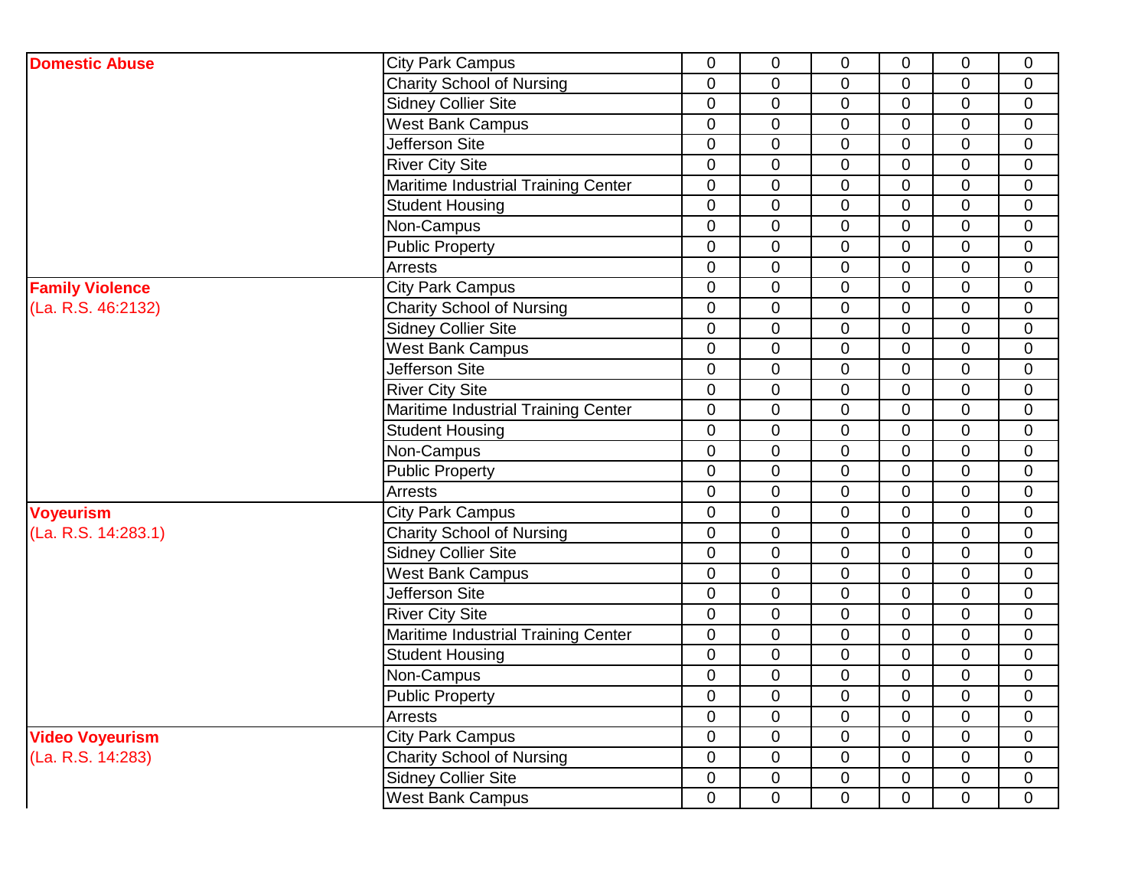| <b>Domestic Abuse</b>  | <b>City Park Campus</b>             | 0              | $\pmb{0}$      | $\mathbf 0$    | $\mathbf 0$    | 0              | $\mathbf 0$    |
|------------------------|-------------------------------------|----------------|----------------|----------------|----------------|----------------|----------------|
|                        | <b>Charity School of Nursing</b>    | 0              | $\mathbf 0$    | $\mathbf 0$    | 0              | 0              | $\overline{0}$ |
|                        | <b>Sidney Collier Site</b>          | 0              | $\mathbf 0$    | $\overline{0}$ | $\mathbf 0$    | 0              | $\mathbf{0}$   |
|                        | <b>West Bank Campus</b>             | 0              | $\pmb{0}$      | $\overline{0}$ | $\overline{0}$ | 0              | $\mathbf 0$    |
|                        | <b>Jefferson Site</b>               | 0              | $\mathbf 0$    | $\mathbf 0$    | $\mathbf 0$    | 0              | $\mathbf 0$    |
|                        | <b>River City Site</b>              | 0              | $\mathbf 0$    | $\overline{0}$ | $\overline{0}$ | 0              | $\mathbf{0}$   |
|                        | Maritime Industrial Training Center | 0              | $\mathbf 0$    | $\overline{0}$ | $\overline{0}$ | $\overline{0}$ | $\mathbf 0$    |
|                        | <b>Student Housing</b>              | 0              | $\mathbf 0$    | $\mathbf 0$    | $\mathbf 0$    | 0              | $\mathbf 0$    |
|                        | Non-Campus                          | 0              | $\mathbf 0$    | $\mathbf 0$    | $\overline{0}$ | 0              | $\mathbf 0$    |
|                        | <b>Public Property</b>              | 0              | $\mathbf 0$    | $\overline{0}$ | $\overline{0}$ | $\overline{0}$ | $\mathbf 0$    |
|                        | <b>Arrests</b>                      | 0              | $\pmb{0}$      | $\overline{0}$ | $\Omega$       | 0              | $\mathbf 0$    |
| <b>Family Violence</b> | <b>City Park Campus</b>             | 0              | $\mathbf 0$    | $\mathbf 0$    | $\overline{0}$ | $\overline{0}$ | $\mathbf 0$    |
| (La. R.S. 46:2132)     | <b>Charity School of Nursing</b>    | 0              | $\mathbf 0$    | $\overline{0}$ | $\overline{0}$ | $\overline{0}$ | $\mathbf 0$    |
|                        | <b>Sidney Collier Site</b>          | $\overline{0}$ | $\pmb{0}$      | $\overline{0}$ | $\overline{0}$ | $\overline{0}$ | $\mathbf 0$    |
|                        | <b>West Bank Campus</b>             | 0              | $\pmb{0}$      | $\overline{0}$ | $\mathbf 0$    | $\overline{0}$ | $\mathbf 0$    |
|                        | <b>Jefferson Site</b>               | 0              | $\mathbf 0$    | $\overline{0}$ | $\overline{0}$ | $\overline{0}$ | $\mathbf 0$    |
|                        | <b>River City Site</b>              | $\overline{0}$ | $\mathbf 0$    | $\overline{0}$ | $\overline{0}$ | $\overline{0}$ | $\mathbf 0$    |
|                        | Maritime Industrial Training Center | 0              | $\mathbf 0$    | $\Omega$       | $\mathbf 0$    | 0              | $\mathbf 0$    |
|                        | <b>Student Housing</b>              | 0              | $\mathbf 0$    | $\overline{0}$ | $\overline{0}$ | $\overline{0}$ | $\mathbf 0$    |
|                        | Non-Campus                          | $\overline{0}$ | $\mathbf 0$    | $\overline{0}$ | $\overline{0}$ | $\overline{0}$ | $\mathbf 0$    |
|                        | <b>Public Property</b>              | $\overline{0}$ | $\mathbf 0$    | $\overline{0}$ | $\overline{0}$ | 0              | $\mathbf 0$    |
|                        | Arrests                             | 0              | $\mathbf 0$    | $\overline{0}$ | $\overline{0}$ | $\overline{0}$ | $\mathbf 0$    |
| <b>Voyeurism</b>       | <b>City Park Campus</b>             | 0              | $\mathbf 0$    | $\overline{0}$ | $\overline{0}$ | $\overline{0}$ | $\mathbf 0$    |
| (La. R.S. 14:283.1)    | <b>Charity School of Nursing</b>    | 0              | $\mathbf 0$    | $\overline{0}$ | $\overline{0}$ | $\overline{0}$ | $\mathbf 0$    |
|                        | <b>Sidney Collier Site</b>          | $\mathbf 0$    | $\mathbf 0$    | $\mathbf 0$    | $\overline{0}$ | $\overline{0}$ | $\mathbf 0$    |
|                        | <b>West Bank Campus</b>             | 0              | $\mathbf 0$    | $\overline{0}$ | $\overline{0}$ | $\overline{0}$ | $\mathbf 0$    |
|                        | Jefferson Site                      | 0              | $\mathbf 0$    | $\overline{0}$ | $\overline{0}$ | $\overline{0}$ | $\mathbf 0$    |
|                        | <b>River City Site</b>              | $\mathbf 0$    | $\pmb{0}$      | $\mathbf 0$    | $\overline{0}$ | $\overline{0}$ | $\mathbf 0$    |
|                        | Maritime Industrial Training Center | 0              | $\mathbf 0$    | $\overline{0}$ | $\overline{0}$ | $\overline{0}$ | $\mathbf 0$    |
|                        | <b>Student Housing</b>              | 0              | $\mathbf 0$    | $\overline{0}$ | $\overline{0}$ | $\overline{0}$ | $\mathbf 0$    |
|                        | Non-Campus                          | $\overline{0}$ | $\pmb{0}$      | $\Omega$       | $\overline{0}$ | $\overline{0}$ | $\overline{0}$ |
|                        | <b>Public Property</b>              | $\mathbf 0$    | $\pmb{0}$      | $\overline{0}$ | $\overline{0}$ | $\overline{0}$ | $\mathbf 0$    |
|                        | Arrests                             | 0              | $\mathbf 0$    | $\overline{0}$ | $\overline{0}$ | $\overline{0}$ | $\overline{0}$ |
| <b>Video Voyeurism</b> | <b>City Park Campus</b>             | $\mathbf 0$    | $\pmb{0}$      | $\overline{0}$ | $\overline{0}$ | $\overline{0}$ | $\overline{0}$ |
| (La. R.S. 14:283)      | <b>Charity School of Nursing</b>    | $\mathbf 0$    | $\mathbf 0$    | $\overline{0}$ | $\mathbf 0$    | $\overline{0}$ | $\mathbf 0$    |
|                        | <b>Sidney Collier Site</b>          | 0              | $\mathbf 0$    | $\mathbf 0$    | $\mathbf 0$    | $\overline{0}$ | $\mathbf 0$    |
|                        | <b>West Bank Campus</b>             | $\overline{0}$ | $\overline{0}$ | $\overline{0}$ | $\overline{0}$ | $\overline{0}$ | $\overline{0}$ |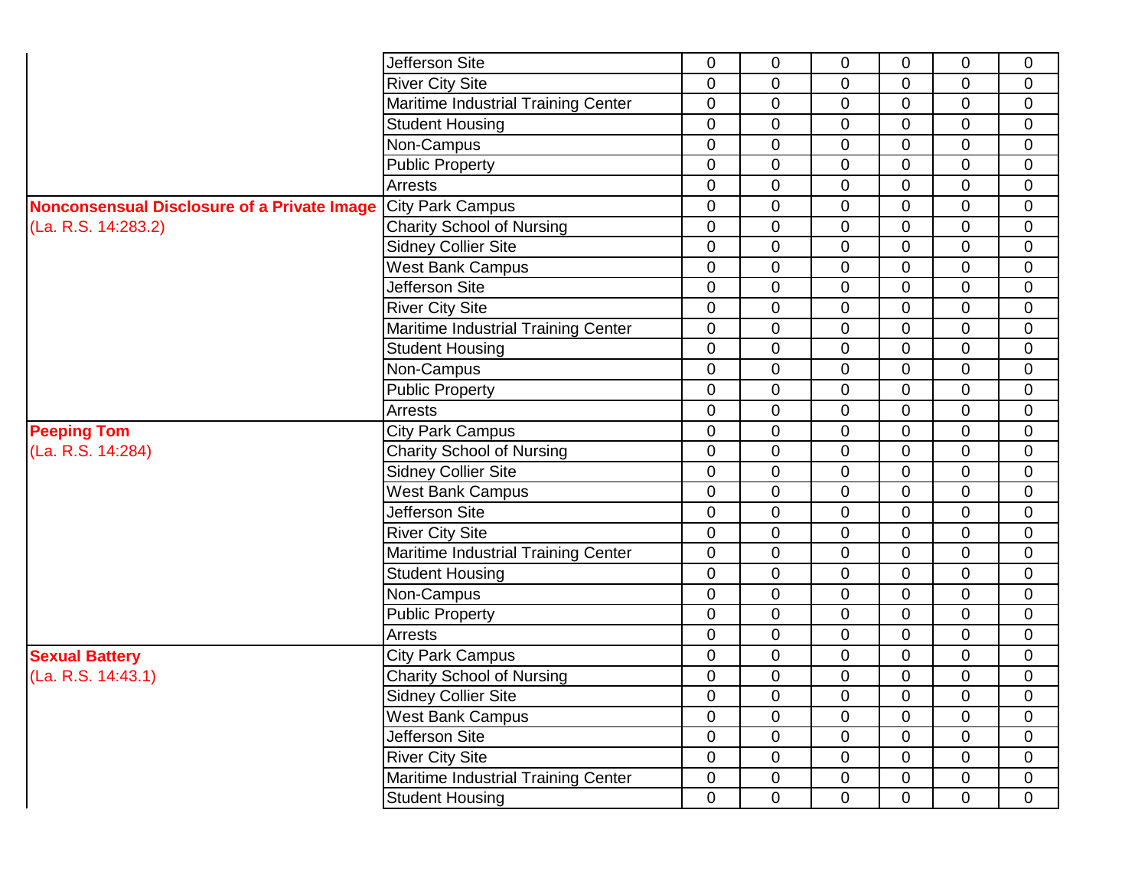|                                                    | Jefferson Site                      | 0              | 0              | $\mathbf 0$    | $\mathbf 0$    | 0              | $\mathbf 0$    |
|----------------------------------------------------|-------------------------------------|----------------|----------------|----------------|----------------|----------------|----------------|
|                                                    | <b>River City Site</b>              | $\overline{0}$ | 0              | $\overline{0}$ | 0              | 0              | $\overline{0}$ |
|                                                    | Maritime Industrial Training Center | 0              | 0              | $\mathbf 0$    | 0              | 0              | $\mathbf 0$    |
|                                                    | <b>Student Housing</b>              | $\mathbf 0$    | 0              | $\mathbf 0$    | $\mathbf 0$    | $\mathbf 0$    | $\mathbf 0$    |
|                                                    | Non-Campus                          | $\overline{0}$ | 0              | $\overline{0}$ | $\mathbf 0$    | 0              | $\overline{0}$ |
|                                                    | Public Property                     | $\overline{0}$ | 0              | $\mathbf 0$    | 0              | 0              | $\mathbf 0$    |
|                                                    | Arrests                             | $\overline{0}$ | 0              | $\mathbf 0$    | 0              | 0              | $\overline{0}$ |
| <b>Nonconsensual Disclosure of a Private Image</b> | <b>City Park Campus</b>             | $\overline{0}$ | 0              | $\mathbf 0$    | 0              | 0              | $\mathbf 0$    |
| (La. R.S. 14:283.2)                                | <b>Charity School of Nursing</b>    | 0              | 0              | $\mathbf 0$    | 0              | 0              | $\mathbf 0$    |
|                                                    | <b>Sidney Collier Site</b>          | $\overline{0}$ | $\overline{0}$ | $\overline{0}$ | 0              | 0              | $\overline{0}$ |
|                                                    | <b>West Bank Campus</b>             | $\overline{0}$ | $\mathbf 0$    | $\mathbf 0$    | $\overline{0}$ | 0              | $\mathbf 0$    |
|                                                    | Jefferson Site                      | $\overline{0}$ | 0              | $\mathbf 0$    | 0              | 0              | $\overline{0}$ |
|                                                    | <b>River City Site</b>              | $\overline{0}$ | $\overline{0}$ | $\overline{0}$ | 0              | 0              | $\overline{0}$ |
|                                                    | Maritime Industrial Training Center | $\mathbf 0$    | 0              | $\mathbf 0$    | $\mathbf 0$    | $\overline{0}$ | $\mathbf 0$    |
|                                                    | <b>Student Housing</b>              | $\mathbf 0$    | 0              | $\mathbf 0$    | 0              | 0              | $\mathbf 0$    |
|                                                    | Non-Campus                          | $\overline{0}$ | 0              | $\overline{0}$ | 0              | 0              | $\overline{0}$ |
|                                                    | <b>Public Property</b>              | 0              | 0              | $\mathbf 0$    | 0              | 0              | $\mathbf 0$    |
|                                                    | Arrests                             | $\mathbf 0$    | 0              | $\mathbf 0$    | $\mathbf 0$    | 0              | $\mathbf 0$    |
| <b>Peeping Tom</b>                                 | <b>City Park Campus</b>             | $\overline{0}$ | 0              | $\mathbf 0$    | 0              | 0              | $\overline{0}$ |
| (La. R.S. 14:284)                                  | <b>Charity School of Nursing</b>    | $\overline{0}$ | $\overline{0}$ | $\mathbf 0$    | $\mathbf 0$    | $\mathbf 0$    | $\mathbf 0$    |
|                                                    | <b>Sidney Collier Site</b>          | 0              | 0              | $\mathbf 0$    | 0              | 0              | $\mathbf 0$    |
|                                                    | <b>West Bank Campus</b>             | $\overline{0}$ | 0              | $\mathbf 0$    | $\mathbf 0$    | 0              | $\overline{0}$ |
|                                                    | Jefferson Site                      | $\overline{0}$ | 0              | $\mathbf 0$    | 0              | 0              | $\mathbf 0$    |
|                                                    | <b>River City Site</b>              | $\overline{0}$ | 0              | $\mathbf 0$    | $\mathbf 0$    | $\overline{0}$ | $\mathbf 0$    |
|                                                    | Maritime Industrial Training Center | $\overline{0}$ | 0              | $\mathbf 0$    | 0              | 0              | $\mathbf 0$    |
|                                                    | <b>Student Housing</b>              | 0              | 0              | $\mathbf 0$    | 0              | 0              | $\mathbf 0$    |
|                                                    | Non-Campus                          | 0              | 0              | $\mathbf 0$    | 0              | 0              | $\mathbf 0$    |
|                                                    | Public Property                     | $\overline{0}$ | 0              | $\overline{0}$ | $\mathbf 0$    | 0              | $\overline{0}$ |
|                                                    | Arrests                             | $\overline{0}$ | 0              | $\mathbf 0$    | $\mathbf 0$    | 0              | $\overline{0}$ |
| <b>Sexual Battery</b>                              | <b>City Park Campus</b>             | $\overline{0}$ | 0              | $\mathbf 0$    | 0              | 0              | $\mathbf 0$    |
| (La. R.S. 14:43.1)                                 | <b>Charity School of Nursing</b>    | 0              | 0              | $\pmb{0}$      | 0              | 0              | $\pmb{0}$      |
|                                                    | <b>Sidney Collier Site</b>          | $\overline{0}$ | 0              | 0              | $\Omega$       | $\mathbf 0$    | $\mathbf 0$    |
|                                                    | <b>West Bank Campus</b>             | $\overline{0}$ | 0              | $\overline{0}$ | $\mathbf 0$    | 0              | $\overline{0}$ |
|                                                    | Jefferson Site                      | $\mathbf 0$    | $\mathbf 0$    | $\mathbf 0$    | $\overline{0}$ | 0              | 0              |
|                                                    | <b>River City Site</b>              | $\overline{0}$ | $\mathbf 0$    | $\mathbf 0$    | 0              | 0              | 0              |
|                                                    | Maritime Industrial Training Center | $\mathbf 0$    | 0              | $\mathbf 0$    | $\pmb{0}$      | 0              | $\overline{0}$ |
|                                                    | <b>Student Housing</b>              | $\overline{0}$ | $\mathbf 0$    | $\pmb{0}$      | $\overline{0}$ | 0              | $\overline{0}$ |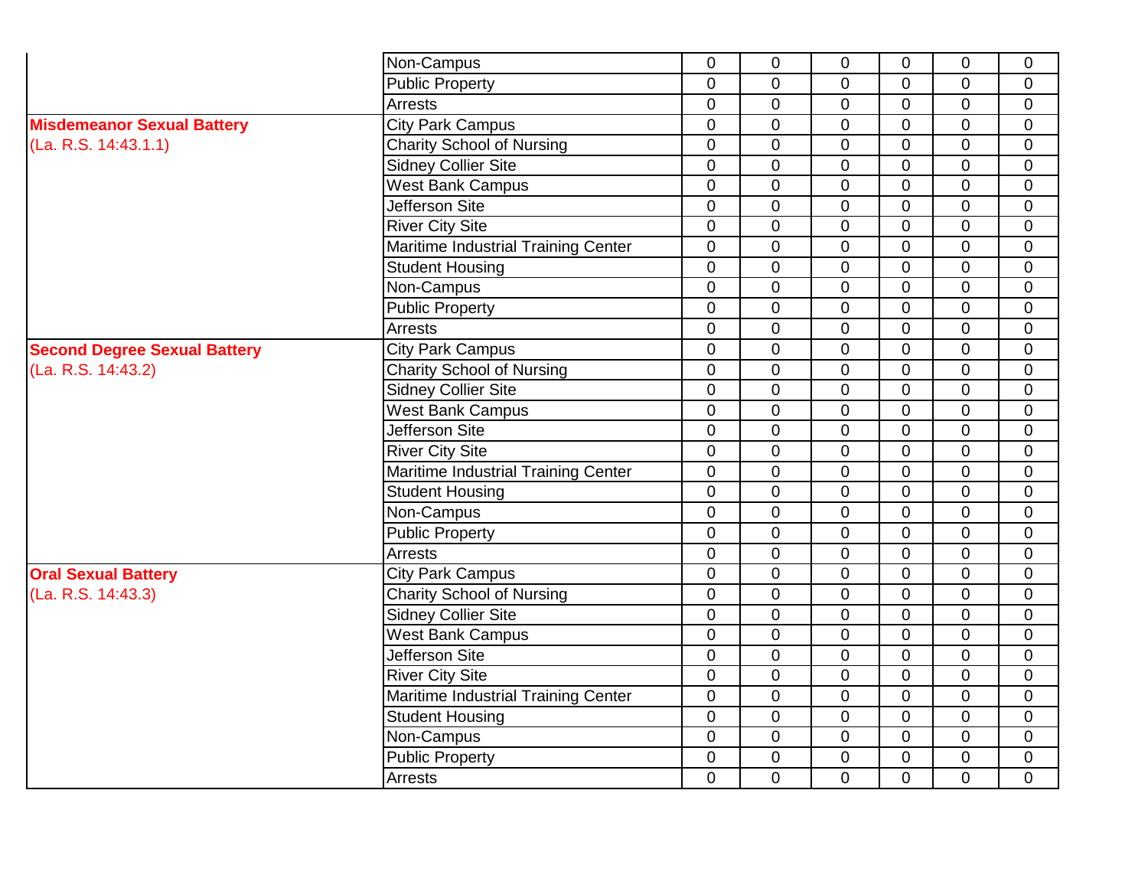|                                     | Non-Campus                          | $\overline{0}$ | $\mathbf 0$    | $\overline{0}$ | $\mathbf 0$    | $\overline{0}$ | $\Omega$       |
|-------------------------------------|-------------------------------------|----------------|----------------|----------------|----------------|----------------|----------------|
|                                     | <b>Public Property</b>              | $\overline{0}$ | $\overline{0}$ | $\overline{0}$ | $\Omega$       | $\overline{0}$ | $\Omega$       |
|                                     | Arrests                             | $\overline{0}$ | $\overline{0}$ | $\overline{0}$ | $\overline{0}$ | $\overline{0}$ | $\overline{0}$ |
| <b>Misdemeanor Sexual Battery</b>   | <b>City Park Campus</b>             | $\overline{0}$ | $\overline{0}$ | $\overline{0}$ | $\Omega$       | $\overline{0}$ | $\overline{0}$ |
| (La. R.S. 14:43.1.1)                | <b>Charity School of Nursing</b>    | $\overline{0}$ | $\overline{0}$ | $\overline{0}$ | $\overline{0}$ | $\overline{0}$ | $\overline{0}$ |
|                                     | <b>Sidney Collier Site</b>          | $\overline{0}$ | $\overline{0}$ | $\overline{0}$ | $\overline{0}$ | $\mathbf 0$    | $\overline{0}$ |
|                                     | <b>West Bank Campus</b>             | $\overline{0}$ | $\overline{0}$ | $\overline{0}$ | $\Omega$       | $\overline{0}$ | $\Omega$       |
|                                     | Jefferson Site                      | $\Omega$       | $\Omega$       | $\overline{0}$ | $\Omega$       | $\Omega$       | $\Omega$       |
|                                     | <b>River City Site</b>              | 0              | $\Omega$       | 0              | $\Omega$       | $\Omega$       | $\Omega$       |
|                                     | Maritime Industrial Training Center | $\overline{0}$ | $\mathbf{0}$   | $\overline{0}$ | $\overline{0}$ | $\overline{0}$ | $\overline{0}$ |
|                                     | <b>Student Housing</b>              | $\overline{0}$ | $\Omega$       | $\overline{0}$ | $\overline{0}$ | $\Omega$       | $\Omega$       |
|                                     | Non-Campus                          | 0              | $\overline{0}$ | $\overline{0}$ | $\overline{0}$ | $\overline{0}$ | $\Omega$       |
|                                     | <b>Public Property</b>              | $\overline{0}$ | $\overline{0}$ | $\overline{0}$ | $\mathbf 0$    | $\Omega$       | $\Omega$       |
|                                     | Arrests                             | 0              | $\mathbf 0$    | $\mathbf 0$    | $\mathbf 0$    | $\overline{0}$ | $\overline{0}$ |
| <b>Second Degree Sexual Battery</b> | <b>City Park Campus</b>             | $\overline{0}$ | $\mathbf 0$    | $\mathbf 0$    | $\mathbf 0$    | $\overline{0}$ | $\overline{0}$ |
| (La. R.S. 14:43.2)                  | <b>Charity School of Nursing</b>    | $\overline{0}$ | $\overline{0}$ | $\mathbf 0$    | $\overline{0}$ | $\overline{0}$ | $\overline{0}$ |
|                                     | Sidney Collier Site                 | 0              | $\overline{0}$ | $\mathbf 0$    | $\mathbf 0$    | $\overline{0}$ | $\overline{0}$ |
|                                     | <b>West Bank Campus</b>             | $\Omega$       | $\Omega$       | $\mathbf 0$    | $\Omega$       | $\Omega$       | $\Omega$       |
|                                     | <b>Jefferson Site</b>               | $\Omega$       | $\Omega$       | $\overline{0}$ | $\Omega$       | $\overline{0}$ | $\Omega$       |
|                                     | <b>River City Site</b>              | $\overline{0}$ | $\mathbf{0}$   | $\overline{0}$ | $\overline{0}$ | $\overline{0}$ | $\Omega$       |
|                                     | Maritime Industrial Training Center | $\overline{0}$ | $\overline{0}$ | $\mathbf 0$    | $\overline{0}$ | 0              | $\Omega$       |
|                                     | <b>Student Housing</b>              | $\overline{0}$ | $\mathbf 0$    | $\overline{0}$ | $\overline{0}$ | $\overline{0}$ | $\Omega$       |
|                                     | Non-Campus                          | $\overline{0}$ | $\overline{0}$ | $\overline{0}$ | $\overline{0}$ | $\overline{0}$ | $\Omega$       |
|                                     | <b>Public Property</b>              | $\overline{0}$ | $\overline{0}$ | $\overline{0}$ | $\overline{0}$ | $\overline{0}$ | $\Omega$       |
|                                     | Arrests                             | $\overline{0}$ | $\overline{0}$ | $\overline{0}$ | $\overline{0}$ | $\overline{0}$ | $\Omega$       |
| <b>Oral Sexual Battery</b>          | <b>City Park Campus</b>             | $\overline{0}$ | $\overline{0}$ | $\overline{0}$ | $\overline{0}$ | $\overline{0}$ | $\mathbf 0$    |
| (La. R.S. 14:43.3)                  | <b>Charity School of Nursing</b>    | $\overline{0}$ | $\overline{0}$ | $\overline{0}$ | $\overline{0}$ | $\overline{0}$ | $\overline{0}$ |
|                                     | <b>Sidney Collier Site</b>          | $\overline{0}$ | $\overline{0}$ | 0              | $\overline{0}$ | $\overline{0}$ | $\overline{0}$ |
|                                     | <b>West Bank Campus</b>             | $\Omega$       | $\Omega$       | $\overline{0}$ | $\Omega$       | $\Omega$       | $\Omega$       |
|                                     | Jefferson Site                      | $\Omega$       | $\Omega$       | $\overline{0}$ | $\Omega$       | $\Omega$       | $\Omega$       |
|                                     | <b>River City Site</b>              | $\overline{0}$ | $\overline{0}$ | $\overline{0}$ | $\Omega$       | $\Omega$       | $\Omega$       |
|                                     | Maritime Industrial Training Center | $\overline{0}$ | $\overline{0}$ | $\overline{0}$ | $\Omega$       | $\Omega$       | $\Omega$       |
|                                     | <b>Student Housing</b>              | $\overline{0}$ | $\Omega$       | $\overline{0}$ | $\overline{0}$ | $\overline{0}$ | $\Omega$       |
|                                     | Non-Campus                          | $\overline{0}$ | $\overline{0}$ | $\overline{0}$ | $\overline{0}$ | $\overline{0}$ | $\overline{0}$ |
|                                     | <b>Public Property</b>              | 0              | $\mathbf 0$    | 0              | $\overline{0}$ | $\overline{0}$ | $\overline{0}$ |
|                                     | Arrests                             | $\overline{0}$ | $\overline{0}$ | $\overline{0}$ | $\overline{0}$ | $\overline{0}$ | $\overline{0}$ |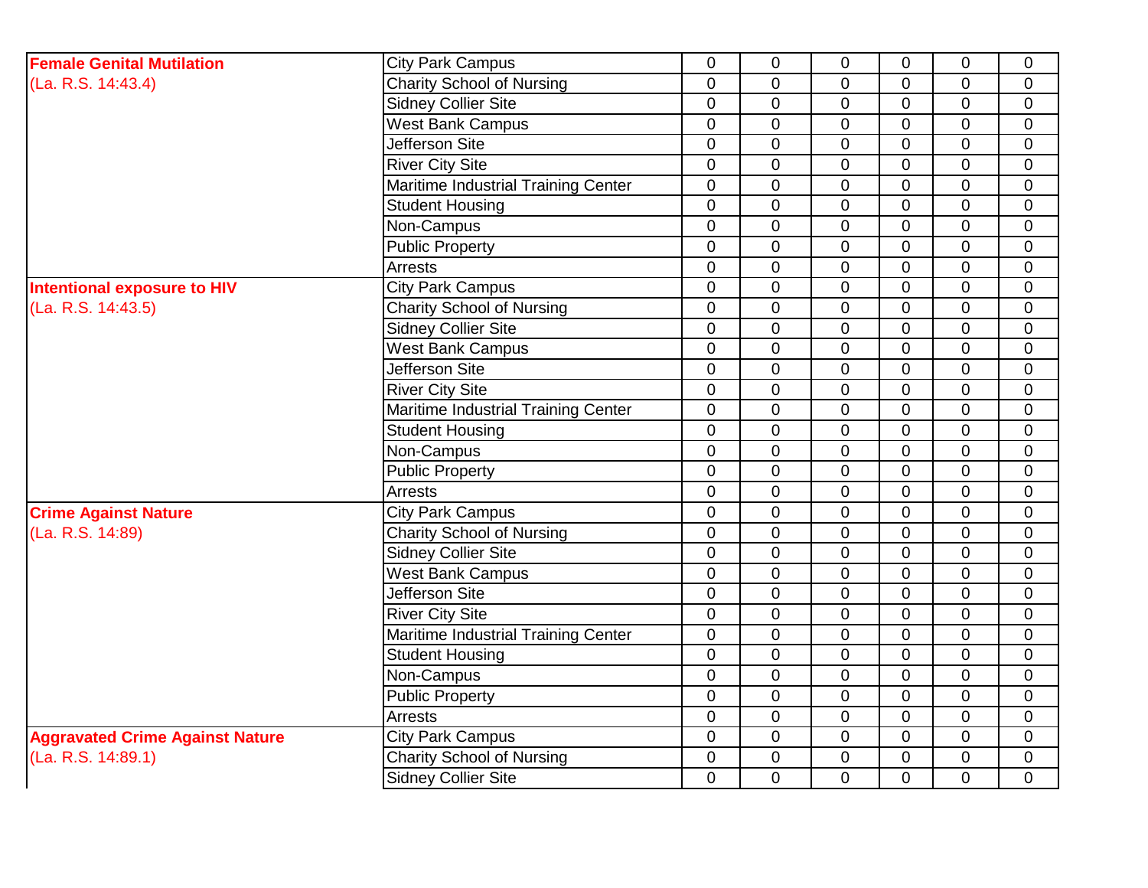| <b>Female Genital Mutilation</b>       | <b>City Park Campus</b>             | $\mathbf 0$    | 0              | 0              | $\mathbf 0$    | 0              | $\mathbf 0$    |
|----------------------------------------|-------------------------------------|----------------|----------------|----------------|----------------|----------------|----------------|
| (La. R.S. 14:43.4)                     | <b>Charity School of Nursing</b>    | $\overline{0}$ | $\mathbf 0$    | 0              | 0              | 0              | $\overline{0}$ |
|                                        | <b>Sidney Collier Site</b>          | $\mathbf 0$    | $\mathbf 0$    | $\Omega$       | $\Omega$       | 0              | $\mathbf 0$    |
|                                        | <b>West Bank Campus</b>             | $\overline{0}$ | $\mathbf 0$    | $\overline{0}$ | $\overline{0}$ | 0              | $\overline{0}$ |
|                                        | Jefferson Site                      | $\overline{0}$ | $\mathbf 0$    | $\overline{0}$ | $\mathbf 0$    | $\overline{0}$ | $\overline{0}$ |
|                                        | <b>River City Site</b>              | $\overline{0}$ | 0              | 0              | $\overline{0}$ | 0              | $\mathbf 0$    |
|                                        | Maritime Industrial Training Center | $\overline{0}$ | 0              | $\overline{0}$ | $\mathbf 0$    | 0              | $\mathbf 0$    |
|                                        | <b>Student Housing</b>              | $\mathbf 0$    | 0              | $\overline{0}$ | $\Omega$       | 0              | $\mathbf 0$    |
|                                        | Non-Campus                          | $\overline{0}$ | $\overline{0}$ | $\overline{0}$ | $\overline{0}$ | $\overline{0}$ | $\mathbf 0$    |
|                                        | <b>Public Property</b>              | $\Omega$       | $\mathbf 0$    | $\Omega$       | $\Omega$       | 0              | $\mathbf 0$    |
|                                        | Arrests                             | $\overline{0}$ | $\overline{0}$ | $\Omega$       | $\overline{0}$ | $\overline{0}$ | $\overline{0}$ |
| Intentional exposure to HIV            | <b>City Park Campus</b>             | $\overline{0}$ | $\mathbf 0$    | $\Omega$       | $\mathbf 0$    | $\overline{0}$ | $\mathbf{0}$   |
| (La. R.S. 14:43.5)                     | <b>Charity School of Nursing</b>    | $\mathbf 0$    | $\pmb{0}$      | 0              | $\overline{0}$ | 0              | $\mathbf 0$    |
|                                        | <b>Sidney Collier Site</b>          | $\overline{0}$ | $\mathbf 0$    | $\overline{0}$ | $\mathbf 0$    | 0              | $\overline{0}$ |
|                                        | <b>West Bank Campus</b>             | $\mathbf 0$    | $\pmb{0}$      | 0              | $\overline{0}$ | 0              | $\mathbf 0$    |
|                                        | <b>Jefferson Site</b>               | $\overline{0}$ | $\mathbf 0$    | $\overline{0}$ | 0              | 0              | $\mathbf 0$    |
|                                        | <b>River City Site</b>              | $\overline{0}$ | $\mathbf 0$    | $\mathbf 0$    | $\mathbf 0$    | 0              | $\overline{0}$ |
|                                        | Maritime Industrial Training Center | $\mathbf 0$    | $\mathbf 0$    | $\overline{0}$ | $\overline{0}$ | 0              | $\mathbf 0$    |
|                                        | <b>Student Housing</b>              | $\overline{0}$ | $\mathbf 0$    | 0              | $\mathbf 0$    | $\overline{0}$ | $\overline{0}$ |
|                                        | Non-Campus                          | $\mathbf 0$    | 0              | 0              | $\overline{0}$ | 0              | $\mathbf 0$    |
|                                        | <b>Public Property</b>              | $\overline{0}$ | $\overline{0}$ | $\overline{0}$ | $\overline{0}$ | $\overline{0}$ | $\overline{0}$ |
|                                        | Arrests                             | $\mathbf 0$    | $\overline{0}$ | 0              | $\Omega$       | 0              | $\mathbf 0$    |
| <b>Crime Against Nature</b>            | <b>City Park Campus</b>             | $\overline{0}$ | $\mathbf 0$    | $\overline{0}$ | $\overline{0}$ | $\overline{0}$ | $\overline{0}$ |
| (La. R.S. 14:89)                       | <b>Charity School of Nursing</b>    | $\overline{0}$ | $\mathbf 0$    | $\Omega$       | $\Omega$       | $\overline{0}$ | $\overline{0}$ |
|                                        | <b>Sidney Collier Site</b>          | $\overline{0}$ | $\mathbf 0$    | $\Omega$       | $\overline{0}$ | $\overline{0}$ | $\overline{0}$ |
|                                        | <b>West Bank Campus</b>             | $\overline{0}$ | $\mathbf 0$    | $\overline{0}$ | $\mathbf 0$    | 0              | $\mathbf 0$    |
|                                        | Jefferson Site                      | $\mathbf 0$    | $\mathbf 0$    | $\Omega$       | $\Omega$       | 0              | $\mathbf 0$    |
|                                        | <b>River City Site</b>              | $\overline{0}$ | $\mathbf 0$    | $\overline{0}$ | $\overline{0}$ | 0              | $\overline{0}$ |
|                                        | Maritime Industrial Training Center | $\overline{0}$ | $\overline{0}$ | $\Omega$       | $\Omega$       | $\overline{0}$ | $\overline{0}$ |
|                                        | <b>Student Housing</b>              | $\overline{0}$ | 0              | 0              | $\mathbf 0$    | 0              | $\mathbf 0$    |
|                                        | Non-Campus                          | $\Omega$       | $\mathbf 0$    | $\mathbf 0$    | $\Omega$       | 0              | $\mathbf{0}$   |
|                                        | <b>Public Property</b>              | $\overline{0}$ | $\mathbf 0$    | $\overline{0}$ | $\overline{0}$ | 0              | $\mathbf 0$    |
|                                        | Arrests                             | $\mathbf 0$    | 0              | 0              | $\Omega$       | $\overline{0}$ | $\mathbf 0$    |
| <b>Aggravated Crime Against Nature</b> | <b>City Park Campus</b>             | $\mathbf 0$    | 0              | 0              | $\overline{0}$ | 0              | $\mathbf 0$    |
| (La. R.S. 14:89.1)                     | <b>Charity School of Nursing</b>    | $\mathbf 0$    | 0              | $\overline{0}$ | $\overline{0}$ | 0              | $\mathbf 0$    |
|                                        | <b>Sidney Collier Site</b>          | $\Omega$       | $\overline{0}$ | $\overline{0}$ | $\Omega$       | $\Omega$       | 0              |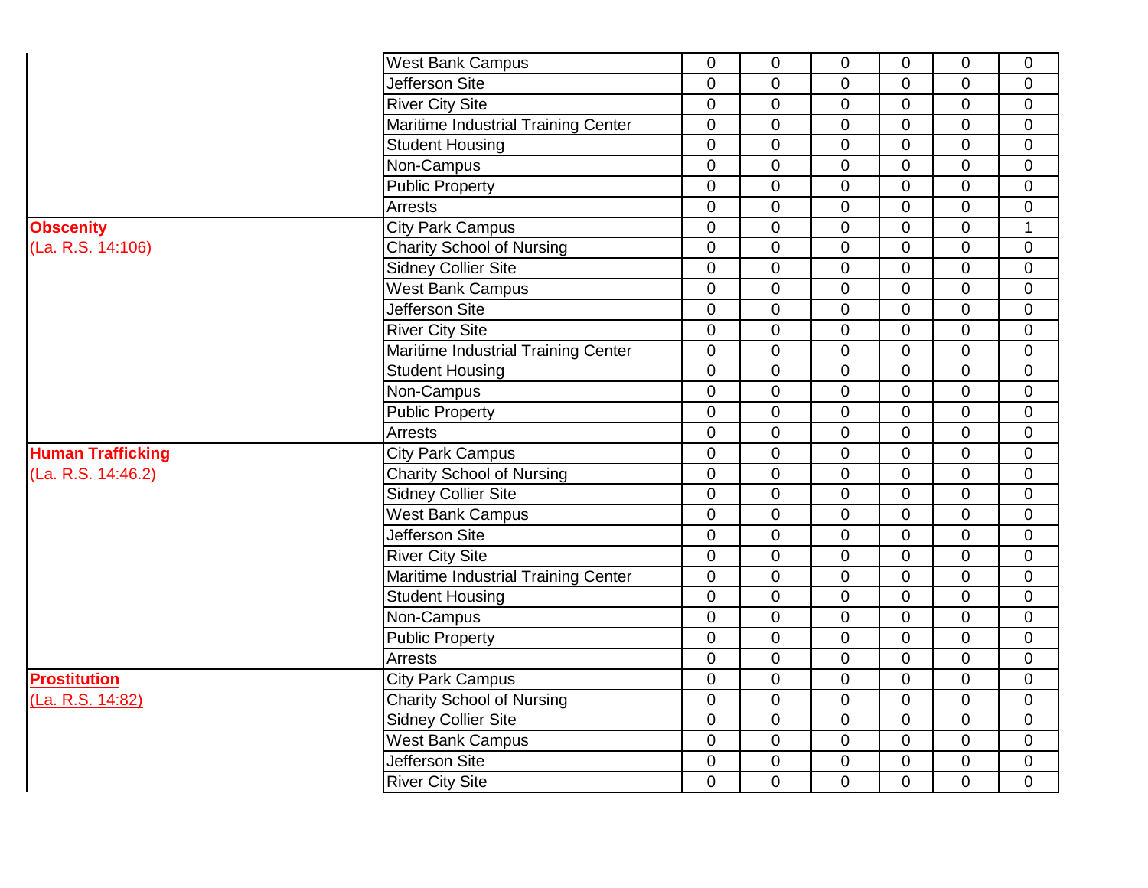|                          | <b>West Bank Campus</b>             | $\mathbf 0$    | $\mathbf 0$    | $\mathbf 0$    | 0              | 0              | $\mathbf 0$    |
|--------------------------|-------------------------------------|----------------|----------------|----------------|----------------|----------------|----------------|
|                          | Jefferson Site                      | 0              | $\mathbf 0$    | $\Omega$       | $\Omega$       | 0              | $\mathbf 0$    |
|                          | <b>River City Site</b>              | $\overline{0}$ | $\mathbf 0$    | $\mathbf 0$    | $\mathbf 0$    | 0              | $\mathbf 0$    |
|                          | Maritime Industrial Training Center | $\overline{0}$ | $\mathbf 0$    | $\overline{0}$ | $\overline{0}$ | 0              | $\overline{0}$ |
|                          | <b>Student Housing</b>              | 0              | $\overline{0}$ | $\overline{0}$ | $\overline{0}$ | 0              | 0              |
|                          | Non-Campus                          | 0              | 0              | $\overline{0}$ | $\overline{0}$ | 0              | 0              |
|                          | <b>Public Property</b>              | $\overline{0}$ | $\overline{0}$ | $\overline{0}$ | $\overline{0}$ | 0              | $\overline{0}$ |
|                          | Arrests                             | 0              | $\mathbf 0$    | $\Omega$       | $\overline{0}$ | 0              | 0              |
| <b>Obscenity</b>         | <b>City Park Campus</b>             | $\overline{0}$ | $\mathbf 0$    | $\overline{0}$ | $\Omega$       | $\overline{0}$ | $\mathbf{1}$   |
| (La. R.S. 14:106)        | <b>Charity School of Nursing</b>    | 0              | $\mathbf 0$    | $\overline{0}$ | $\overline{0}$ | $\overline{0}$ | 0              |
|                          | <b>Sidney Collier Site</b>          | $\overline{0}$ | $\overline{0}$ | $\overline{0}$ | $\overline{0}$ | $\overline{0}$ | $\overline{0}$ |
|                          | <b>West Bank Campus</b>             | $\mathbf 0$    | $\mathbf 0$    | $\overline{0}$ | $\overline{0}$ | $\overline{0}$ | $\mathbf 0$    |
|                          | <b>Jefferson Site</b>               | 0              | $\pmb{0}$      | $\mathbf 0$    | 0              | 0              | $\mathbf 0$    |
|                          | <b>River City Site</b>              | $\overline{0}$ | $\mathbf 0$    | $\overline{0}$ | $\overline{0}$ | $\overline{0}$ | $\mathbf 0$    |
|                          | Maritime Industrial Training Center | $\mathbf 0$    | $\pmb{0}$      | $\mathbf 0$    | $\overline{0}$ | 0              | $\pmb{0}$      |
|                          | <b>Student Housing</b>              | 0              | $\pmb{0}$      | $\mathbf 0$    | $\Omega$       | 0              | 0              |
|                          | Non-Campus                          | $\overline{0}$ | $\mathbf 0$    | $\overline{0}$ | $\mathbf 0$    | 0              | 0              |
|                          | <b>Public Property</b>              | $\overline{0}$ | $\pmb{0}$      | $\overline{0}$ | $\overline{0}$ | 0              | $\overline{0}$ |
|                          | Arrests                             | 0              | $\pmb{0}$      | $\overline{0}$ | $\overline{0}$ | 0              | 0              |
| <b>Human Trafficking</b> | <b>City Park Campus</b>             | $\overline{0}$ | 0              | $\overline{0}$ | $\overline{0}$ | 0              | $\overline{0}$ |
| (La. R.S. 14:46.2)       | <b>Charity School of Nursing</b>    | $\overline{0}$ | 0              | $\overline{0}$ | $\overline{0}$ | 0              | 0              |
|                          | <b>Sidney Collier Site</b>          | $\overline{0}$ | $\mathbf 0$    | $\overline{0}$ | $\overline{0}$ | 0              | $\overline{0}$ |
|                          | <b>West Bank Campus</b>             | 0              | $\mathbf 0$    | $\overline{0}$ | $\overline{0}$ | 0              | $\overline{0}$ |
|                          | Jefferson Site                      | 0              | $\mathbf 0$    | $\overline{0}$ | $\mathbf 0$    | 0              | 0              |
|                          | <b>River City Site</b>              | $\overline{0}$ | $\overline{0}$ | $\overline{0}$ | $\overline{0}$ | $\overline{0}$ | $\overline{0}$ |
|                          | Maritime Industrial Training Center | $\mathbf 0$    | $\mathbf 0$    | $\overline{0}$ | $\mathbf 0$    | $\overline{0}$ | $\overline{0}$ |
|                          | <b>Student Housing</b>              | $\mathbf 0$    | $\pmb{0}$      | $\Omega$       | $\Omega$       | 0              | $\mathbf 0$    |
|                          | Non-Campus                          | 0              | $\mathbf 0$    | $\overline{0}$ | $\mathbf 0$    | 0              | $\overline{0}$ |
|                          | <b>Public Property</b>              | 0              | $\pmb{0}$      | $\mathbf 0$    | $\mathbf 0$    | 0              | 0              |
|                          | Arrests                             | $\mathbf 0$    | $\pmb{0}$      | $\overline{0}$ | $\mathbf 0$    | 0              | 0              |
| <b>Prostitution</b>      | <b>City Park Campus</b>             | 0              | $\mathbf 0$    | $\mathbf 0$    | $\mathbf 0$    | 0              | 0              |
| (La. R.S. 14:82)         | <b>Charity School of Nursing</b>    | $\mathbf 0$    | $\mathbf 0$    | $\overline{0}$ | 0              | $\overline{0}$ | $\mathbf 0$    |
|                          | Sidney Collier Site                 | 0              | $\pmb{0}$      | $\overline{0}$ | $\overline{0}$ | 0              | 0              |
|                          | <b>West Bank Campus</b>             | 0              | 0              | $\overline{0}$ | $\overline{0}$ | 0              | $\overline{0}$ |
|                          | Jefferson Site                      | 0              | 0              | $\mathbf 0$    | 0              | 0              | 0              |
|                          | <b>River City Site</b>              | $\overline{0}$ | $\overline{0}$ | $\overline{0}$ | $\Omega$       | $\overline{0}$ | $\overline{0}$ |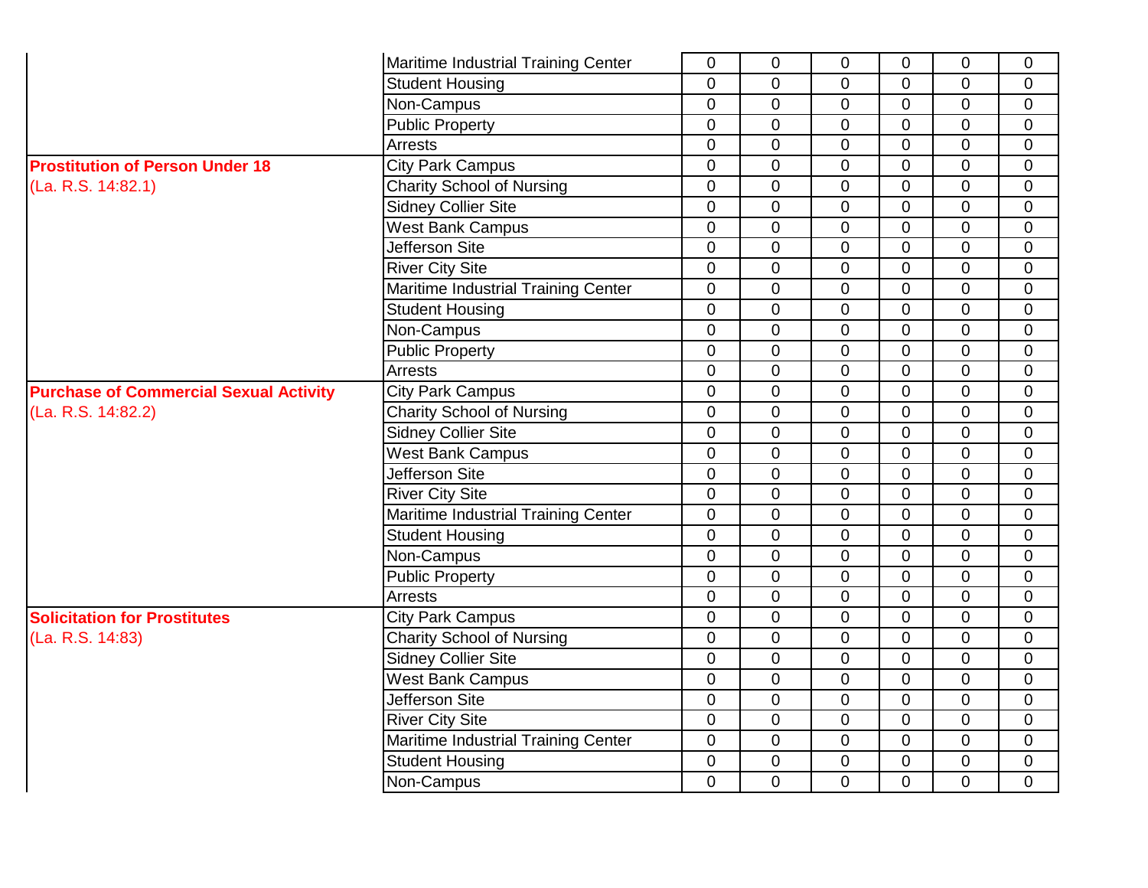|                                               | Maritime Industrial Training Center | 0              | $\mathbf 0$    | $\mathbf 0$    | $\mathbf 0$    | 0              | $\mathbf 0$    |
|-----------------------------------------------|-------------------------------------|----------------|----------------|----------------|----------------|----------------|----------------|
|                                               | <b>Student Housing</b>              | $\overline{0}$ | $\mathbf 0$    | $\mathbf 0$    | $\mathbf 0$    | $\overline{0}$ | $\mathbf 0$    |
|                                               | Non-Campus                          | $\Omega$       | $\mathbf 0$    | $\mathbf 0$    | $\mathbf 0$    | $\Omega$       | $\mathbf 0$    |
|                                               | <b>Public Property</b>              | $\mathbf 0$    | $\overline{0}$ | $\overline{0}$ | 0              | $\overline{0}$ | $\mathbf 0$    |
|                                               | Arrests                             | $\Omega$       | $\overline{0}$ | $\overline{0}$ | $\overline{0}$ | $\overline{0}$ | $\mathbf 0$    |
| <b>Prostitution of Person Under 18</b>        | <b>City Park Campus</b>             | $\Omega$       | $\overline{0}$ | $\overline{0}$ | $\overline{0}$ | $\overline{0}$ | $\overline{0}$ |
| (La. R.S. 14:82.1)                            | <b>Charity School of Nursing</b>    | $\mathbf 0$    | $\overline{0}$ | $\overline{0}$ | $\mathbf 0$    | $\overline{0}$ | $\mathbf 0$    |
|                                               | <b>Sidney Collier Site</b>          | $\mathbf 0$    | $\overline{0}$ | $\overline{0}$ | $\mathbf 0$    | $\mathbf 0$    | $\overline{0}$ |
|                                               | <b>West Bank Campus</b>             | $\mathbf 0$    | $\overline{0}$ | $\overline{0}$ | $\overline{0}$ | $\overline{0}$ | $\overline{0}$ |
|                                               | <b>Jefferson Site</b>               | $\overline{0}$ | $\overline{0}$ | $\overline{0}$ | $\overline{0}$ | $\mathbf 0$    | $\mathbf 0$    |
|                                               | <b>River City Site</b>              | $\overline{0}$ | $\overline{0}$ | $\overline{0}$ | $\overline{0}$ | $\mathbf 0$    | $\mathbf 0$    |
|                                               | Maritime Industrial Training Center | $\overline{0}$ | $\overline{0}$ | $\overline{0}$ | $\overline{0}$ | $\mathbf 0$    | $\mathbf 0$    |
|                                               | <b>Student Housing</b>              | $\mathbf 0$    | $\mathbf 0$    | $\mathbf 0$    | $\mathbf 0$    | $\overline{0}$ | $\mathbf 0$    |
|                                               | Non-Campus                          | $\mathbf 0$    | $\overline{0}$ | $\mathbf 0$    | $\mathbf 0$    | $\mathbf 0$    | $\overline{0}$ |
|                                               | <b>Public Property</b>              | $\mathbf 0$    | $\overline{0}$ | $\mathbf 0$    | $\mathbf 0$    | $\overline{0}$ | $\mathbf 0$    |
|                                               | Arrests                             | $\mathbf 0$    | $\mathbf 0$    | $\mathbf 0$    | $\mathbf 0$    | $\mathbf 0$    | $\mathbf 0$    |
| <b>Purchase of Commercial Sexual Activity</b> | <b>City Park Campus</b>             | $\mathbf 0$    | $\mathbf 0$    | $\mathbf 0$    | $\mathbf 0$    | $\mathbf 0$    | $\mathbf 0$    |
| (La. R.S. 14:82.2)                            | <b>Charity School of Nursing</b>    | $\mathbf 0$    | $\overline{0}$ | $\mathbf 0$    | $\overline{0}$ | $\mathbf 0$    | $\overline{0}$ |
|                                               | Sidney Collier Site                 | 0              | $\overline{0}$ | $\overline{0}$ | $\overline{0}$ | $\mathbf 0$    | $\mathbf 0$    |
|                                               | <b>West Bank Campus</b>             | $\overline{0}$ | $\overline{0}$ | $\overline{0}$ | $\overline{0}$ | $\overline{0}$ | $\overline{0}$ |
|                                               | Jefferson Site                      | $\overline{0}$ | $\overline{0}$ | $\overline{0}$ | 0              | $\overline{0}$ | $\mathbf 0$    |
|                                               | <b>River City Site</b>              | $\overline{0}$ | $\overline{0}$ | $\overline{0}$ | 0              | $\overline{0}$ | $\mathbf 0$    |
|                                               | Maritime Industrial Training Center | $\mathbf 0$    | $\overline{0}$ | $\overline{0}$ | $\overline{0}$ | $\overline{0}$ | $\overline{0}$ |
|                                               | <b>Student Housing</b>              | $\mathbf 0$    | $\overline{0}$ | $\overline{0}$ | $\overline{0}$ | $\overline{0}$ | $\overline{0}$ |
|                                               | Non-Campus                          | $\mathbf 0$    | $\mathbf 0$    | $\overline{0}$ | $\overline{0}$ | $\mathbf 0$    | $\mathbf 0$    |
|                                               | <b>Public Property</b>              | $\mathbf 0$    | $\mathbf 0$    | $\overline{0}$ | $\overline{0}$ | $\mathbf 0$    | $\mathbf 0$    |
|                                               | Arrests                             | $\mathbf 0$    | $\mathbf 0$    | $\overline{0}$ | $\overline{0}$ | $\mathbf 0$    | $\overline{0}$ |
| <b>Solicitation for Prostitutes</b>           | <b>City Park Campus</b>             | $\overline{0}$ | $\mathbf 0$    | $\overline{0}$ | $\overline{0}$ | $\overline{0}$ | $\overline{0}$ |
| (La. R.S. 14:83)                              | <b>Charity School of Nursing</b>    | $\overline{0}$ | $\overline{0}$ | $\overline{0}$ | $\overline{0}$ | $\overline{0}$ | $\mathbf 0$    |
|                                               | <b>Sidney Collier Site</b>          | $\overline{0}$ | $\mathbf 0$    | $\mathbf 0$    | $\mathbf 0$    | $\Omega$       | $\Omega$       |
|                                               | <b>West Bank Campus</b>             | $\overline{0}$ | $\mathbf 0$    | $\mathbf 0$    | $\mathbf 0$    | $\Omega$       | $\mathbf 0$    |
|                                               | Jefferson Site                      | $\overline{0}$ | $\overline{0}$ | $\mathbf{0}$   | $\overline{0}$ | $\Omega$       | $\overline{0}$ |
|                                               | <b>River City Site</b>              | $\mathbf 0$    | $\overline{0}$ | $\mathbf 0$    | $\mathbf 0$    | $\overline{0}$ | $\overline{0}$ |
|                                               | Maritime Industrial Training Center | $\mathbf 0$    | $\overline{0}$ | $\overline{0}$ | $\mathbf 0$    | $\mathbf 0$    | $\overline{0}$ |
|                                               | <b>Student Housing</b>              | $\mathbf 0$    | $\mathbf 0$    | $\mathbf 0$    | $\mathbf 0$    | $\mathbf 0$    | $\mathbf 0$    |
|                                               | Non-Campus                          | $\Omega$       | $\overline{0}$ | $\overline{0}$ | $\overline{0}$ | $\overline{0}$ | $\overline{0}$ |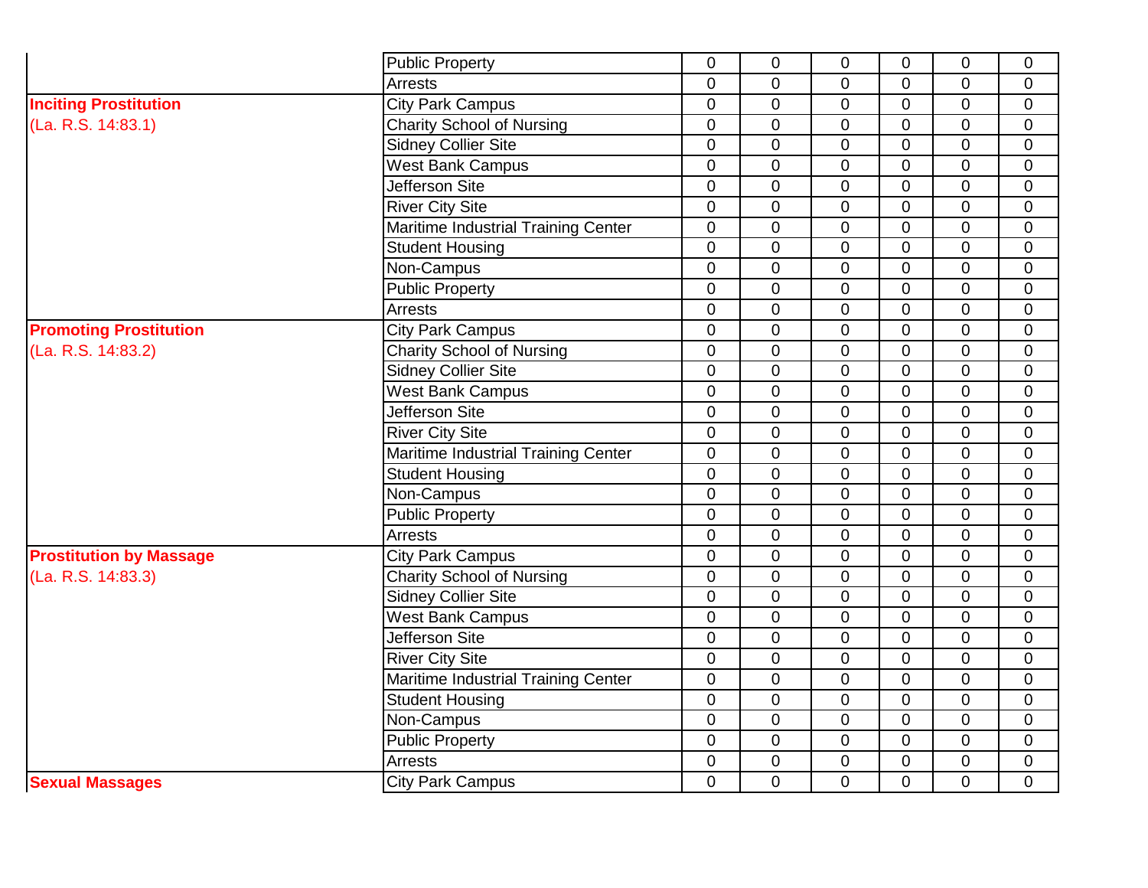|                                | <b>Public Property</b>              | 0              | $\overline{0}$ | $\mathbf 0$      | $\Omega$                                                                                                                                                                                                                                                                                                                                                                                                                         | $\overline{0}$ | $\overline{0}$ |
|--------------------------------|-------------------------------------|----------------|----------------|------------------|----------------------------------------------------------------------------------------------------------------------------------------------------------------------------------------------------------------------------------------------------------------------------------------------------------------------------------------------------------------------------------------------------------------------------------|----------------|----------------|
|                                | Arrests                             | $\overline{0}$ | $\overline{0}$ | $\mathbf 0$      | $\Omega$                                                                                                                                                                                                                                                                                                                                                                                                                         | $\Omega$       | $\Omega$       |
| <b>Inciting Prostitution</b>   | <b>City Park Campus</b>             | $\overline{0}$ | $\overline{0}$ | $\boldsymbol{0}$ | $\Omega$                                                                                                                                                                                                                                                                                                                                                                                                                         | $\overline{0}$ | $\overline{0}$ |
| (La. R.S. 14:83.1)             | <b>Charity School of Nursing</b>    | $\overline{0}$ | $\overline{0}$ | $\mathbf 0$      | $\Omega$                                                                                                                                                                                                                                                                                                                                                                                                                         | $\Omega$       | $\overline{0}$ |
|                                | <b>Sidney Collier Site</b>          | $\overline{0}$ | $\overline{0}$ | $\mathbf 0$      | $\overline{0}$                                                                                                                                                                                                                                                                                                                                                                                                                   | $\Omega$       | $\mathbf{0}$   |
|                                | <b>West Bank Campus</b>             | $\overline{0}$ | $\overline{0}$ | $\overline{0}$   | $\overline{0}$                                                                                                                                                                                                                                                                                                                                                                                                                   | $\Omega$       | $\overline{0}$ |
|                                | Jefferson Site                      | $\overline{0}$ | $\overline{0}$ | $\mathbf 0$      | $\overline{0}$                                                                                                                                                                                                                                                                                                                                                                                                                   | $\Omega$       | $\overline{0}$ |
|                                | <b>River City Site</b>              | $\Omega$       | $\overline{0}$ | $\mathbf 0$      | $\overline{0}$                                                                                                                                                                                                                                                                                                                                                                                                                   | $\Omega$       | $\overline{0}$ |
|                                | Maritime Industrial Training Center | 0              | $\mathbf 0$    | $\mathbf 0$      | $\overline{0}$                                                                                                                                                                                                                                                                                                                                                                                                                   | $\Omega$       | $\overline{0}$ |
|                                | <b>Student Housing</b>              | 0              | $\mathbf 0$    | $\mathbf 0$      | $\overline{0}$                                                                                                                                                                                                                                                                                                                                                                                                                   | $\Omega$       | $\mathbf 0$    |
|                                | Non-Campus                          | 0              | $\mathbf 0$    | $\mathbf 0$      | $\Omega$                                                                                                                                                                                                                                                                                                                                                                                                                         | $\Omega$       | $\mathbf 0$    |
|                                | <b>Public Property</b>              | $\overline{0}$ | $\mathbf 0$    | $\mathbf 0$      | $\Omega$                                                                                                                                                                                                                                                                                                                                                                                                                         | $\Omega$       | $\mathbf 0$    |
|                                | Arrests                             | 0              | $\mathbf 0$    | $\mathbf 0$      | $\Omega$                                                                                                                                                                                                                                                                                                                                                                                                                         | $\Omega$       | $\mathbf 0$    |
| <b>Promoting Prostitution</b>  | <b>City Park Campus</b>             | 0              | $\mathbf 0$    | $\mathbf 0$      | $\Omega$                                                                                                                                                                                                                                                                                                                                                                                                                         | $\mathbf 0$    | $\mathbf 0$    |
| (La. R.S. 14:83.2)             | <b>Charity School of Nursing</b>    | 0              | $\mathbf 0$    | $\mathbf 0$      | $\overline{0}$                                                                                                                                                                                                                                                                                                                                                                                                                   | $\overline{0}$ | $\Omega$       |
|                                | <b>Sidney Collier Site</b>          | 0              | $\mathbf 0$    | $\mathbf 0$      | $\overline{0}$                                                                                                                                                                                                                                                                                                                                                                                                                   | $\overline{0}$ | $\overline{0}$ |
|                                | <b>West Bank Campus</b>             | $\overline{0}$ | $\overline{0}$ | $\mathbf 0$      | $\overline{0}$                                                                                                                                                                                                                                                                                                                                                                                                                   | $\overline{0}$ | $\overline{0}$ |
|                                | <b>Jefferson Site</b>               | 0              | $\mathbf 0$    | $\mathbf 0$      | $\overline{0}$                                                                                                                                                                                                                                                                                                                                                                                                                   | $\overline{0}$ | $\overline{0}$ |
|                                | <b>River City Site</b>              | 0              | $\mathbf 0$    | $\mathbf 0$      | $\mathbf 0$                                                                                                                                                                                                                                                                                                                                                                                                                      | $\overline{0}$ | $\mathbf 0$    |
|                                | Maritime Industrial Training Center | 0              | $\mathbf 0$    | $\mathbf 0$      | $\overline{0}$                                                                                                                                                                                                                                                                                                                                                                                                                   | $\overline{0}$ | $\overline{0}$ |
|                                | <b>Student Housing</b>              | 0              | $\mathbf 0$    | $\mathbf 0$      | $\overline{0}$                                                                                                                                                                                                                                                                                                                                                                                                                   | $\overline{0}$ | $\mathbf 0$    |
|                                | Non-Campus                          | $\overline{0}$ | $\overline{0}$ | $\mathbf 0$      | $\overline{0}$                                                                                                                                                                                                                                                                                                                                                                                                                   | $\overline{0}$ | $\overline{0}$ |
|                                | <b>Public Property</b>              | 0              | $\mathbf 0$    | $\mathbf 0$      | $\overline{0}$                                                                                                                                                                                                                                                                                                                                                                                                                   | $\overline{0}$ | $\overline{0}$ |
|                                | Arrests                             | $\overline{0}$ | $\mathbf 0$    | $\mathbf 0$      | $\overline{0}$<br>$\overline{0}$<br>$\overline{0}$<br>$\overline{0}$<br>$\overline{0}$<br>$\overline{0}$<br>$\overline{0}$<br>$\overline{0}$<br>$\overline{0}$<br>$\Omega$<br>$\overline{0}$<br>$\Omega$<br>$\overline{0}$<br>$\overline{0}$<br>$\overline{0}$<br>$\overline{0}$<br>$\overline{0}$<br>$\overline{0}$<br>$\overline{0}$<br>$\overline{0}$<br>$\overline{0}$<br>$\overline{0}$<br>$\overline{0}$<br>$\overline{0}$ | $\overline{0}$ |                |
| <b>Prostitution by Massage</b> | <b>City Park Campus</b>             | $\overline{0}$ | $\mathbf 0$    | $\mathbf 0$      |                                                                                                                                                                                                                                                                                                                                                                                                                                  |                | $\overline{0}$ |
| (La. R.S. 14:83.3)             | <b>Charity School of Nursing</b>    | $\overline{0}$ | $\overline{0}$ | $\mathbf 0$      |                                                                                                                                                                                                                                                                                                                                                                                                                                  |                | $\overline{0}$ |
|                                | <b>Sidney Collier Site</b>          | $\overline{0}$ | $\mathbf 0$    | $\mathbf 0$      |                                                                                                                                                                                                                                                                                                                                                                                                                                  |                | $\overline{0}$ |
|                                | <b>West Bank Campus</b>             | $\overline{0}$ | $\overline{0}$ | $\mathbf 0$      |                                                                                                                                                                                                                                                                                                                                                                                                                                  |                | $\overline{0}$ |
|                                | Jefferson Site                      | $\overline{0}$ | $\overline{0}$ | $\mathbf 0$      |                                                                                                                                                                                                                                                                                                                                                                                                                                  |                | $\overline{0}$ |
|                                | <b>River City Site</b>              | $\overline{0}$ | $\mathbf 0$    | $\overline{0}$   |                                                                                                                                                                                                                                                                                                                                                                                                                                  |                | $\overline{0}$ |
|                                | Maritime Industrial Training Center | $\overline{0}$ | $\overline{0}$ | $\mathbf 0$      |                                                                                                                                                                                                                                                                                                                                                                                                                                  |                | $\overline{0}$ |
|                                | <b>Student Housing</b>              | $\overline{0}$ | $\mathbf 0$    | $\mathbf 0$      |                                                                                                                                                                                                                                                                                                                                                                                                                                  |                | $\overline{0}$ |
|                                | Non-Campus                          | $\overline{0}$ | $\overline{0}$ | $\mathbf 0$      |                                                                                                                                                                                                                                                                                                                                                                                                                                  |                | $\overline{0}$ |
|                                | <b>Public Property</b>              | 0              | $\overline{0}$ | $\mathbf 0$      |                                                                                                                                                                                                                                                                                                                                                                                                                                  |                | $\overline{0}$ |
|                                | Arrests                             | 0              | $\mathbf 0$    | $\pmb{0}$        |                                                                                                                                                                                                                                                                                                                                                                                                                                  |                | $\mathbf 0$    |
| <b>Sexual Massages</b>         | <b>City Park Campus</b>             | $\overline{0}$ | $\overline{0}$ | $\mathbf 0$      | $\Omega$                                                                                                                                                                                                                                                                                                                                                                                                                         | $\overline{0}$ | $\overline{0}$ |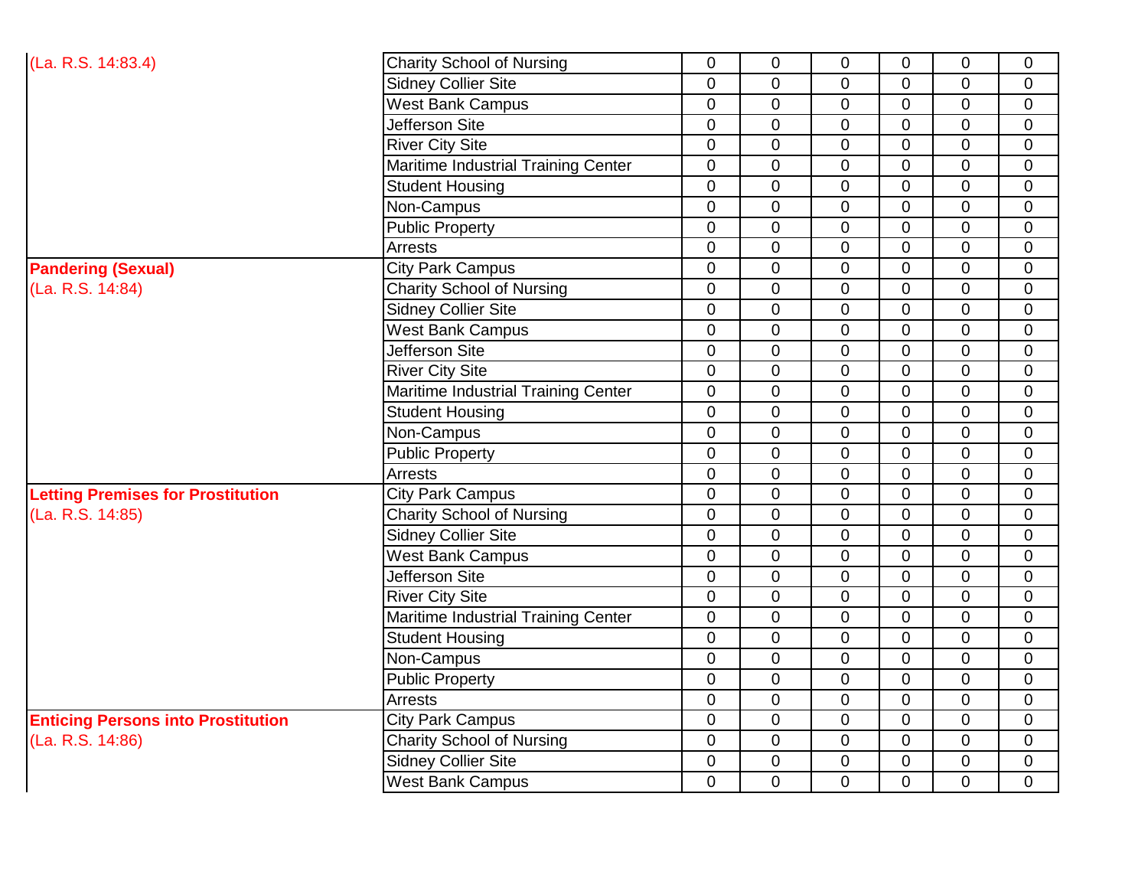| (La. R.S. 14:83.4)                        | <b>Charity School of Nursing</b>    | $\mathbf 0$    | $\mathbf 0$    | $\mathbf 0$    | $\mathbf 0$    | $\mathbf 0$    | $\overline{0}$ |
|-------------------------------------------|-------------------------------------|----------------|----------------|----------------|----------------|----------------|----------------|
|                                           | <b>Sidney Collier Site</b>          | 0              | $\mathbf 0$    | 0              | 0              | $\mathbf 0$    | 0              |
|                                           | <b>West Bank Campus</b>             | $\overline{0}$ | $\mathbf 0$    | $\mathbf 0$    | $\overline{0}$ | $\overline{0}$ | $\overline{0}$ |
|                                           | Jefferson Site                      | $\overline{0}$ | $\mathbf 0$    | $\mathbf 0$    | $\overline{0}$ | $\overline{0}$ | $\overline{0}$ |
|                                           | <b>River City Site</b>              | 0              | $\overline{0}$ | $\mathbf 0$    | $\overline{0}$ | $\overline{0}$ | $\mathbf 0$    |
|                                           | Maritime Industrial Training Center | 0              | $\overline{0}$ | $\mathbf 0$    | $\Omega$       | $\overline{0}$ | $\overline{0}$ |
|                                           | <b>Student Housing</b>              | $\overline{0}$ | $\mathbf 0$    | $\mathbf 0$    | $\overline{0}$ | 0              | $\overline{0}$ |
|                                           | Non-Campus                          | $\overline{0}$ | $\overline{0}$ | $\Omega$       | $\Omega$       | $\overline{0}$ | $\overline{0}$ |
|                                           | <b>Public Property</b>              | $\overline{0}$ | $\mathbf 0$    | $\mathbf 0$    | $\overline{0}$ | $\overline{0}$ | $\overline{0}$ |
|                                           | Arrests                             | $\Omega$       | $\mathbf 0$    | $\mathbf 0$    | $\Omega$       | $\overline{0}$ | $\mathbf 0$    |
| <b>Pandering (Sexual)</b>                 | <b>City Park Campus</b>             | $\overline{0}$ | $\mathbf 0$    | $\overline{0}$ | $\overline{0}$ | $\overline{0}$ | $\overline{0}$ |
| (La. R.S. 14:84)                          | <b>Charity School of Nursing</b>    | 0              | $\mathbf 0$    | $\Omega$       | $\Omega$       | $\overline{0}$ | $\mathbf 0$    |
|                                           | <b>Sidney Collier Site</b>          | $\overline{0}$ | $\mathbf 0$    | $\mathbf 0$    | $\overline{0}$ | $\mathbf 0$    | $\mathbf 0$    |
|                                           | <b>West Bank Campus</b>             | 0              | $\pmb{0}$      | $\mathbf 0$    | $\overline{0}$ | $\overline{0}$ | $\mathbf 0$    |
|                                           | <b>Jefferson Site</b>               | 0              | $\mathbf 0$    | $\mathbf 0$    | $\overline{0}$ | $\mathbf 0$    | $\overline{0}$ |
|                                           | <b>River City Site</b>              | $\overline{0}$ | $\mathbf 0$    | $\mathbf 0$    | $\overline{0}$ | $\overline{0}$ | $\mathbf 0$    |
|                                           | Maritime Industrial Training Center | 0              | $\mathbf 0$    | $\mathbf 0$    | $\overline{0}$ | $\overline{0}$ | $\overline{0}$ |
|                                           | <b>Student Housing</b>              | 0              | $\mathbf 0$    | $\mathbf 0$    | $\overline{0}$ | $\overline{0}$ | $\mathbf 0$    |
|                                           | Non-Campus                          | 0              | $\overline{0}$ | $\mathbf 0$    | $\Omega$       | $\overline{0}$ | $\overline{0}$ |
|                                           | <b>Public Property</b>              | $\overline{0}$ | $\mathbf 0$    | $\mathbf 0$    | $\overline{0}$ | 0              | $\mathbf 0$    |
|                                           | Arrests                             | 0              | $\pmb{0}$      | $\mathbf 0$    | $\Omega$       | $\overline{0}$ | $\overline{0}$ |
| <b>Letting Premises for Prostitution</b>  | <b>City Park Campus</b>             | 0              | $\mathbf 0$    | $\mathbf 0$    | $\overline{0}$ | $\overline{0}$ | $\overline{0}$ |
| (La. R.S. 14:85)                          | <b>Charity School of Nursing</b>    | 0              | $\mathbf 0$    | $\mathbf 0$    | $\overline{0}$ | $\overline{0}$ | $\mathbf 0$    |
|                                           | Sidney Collier Site                 | $\overline{0}$ | $\mathbf 0$    | $\overline{0}$ | $\Omega$       | $\overline{0}$ | $\overline{0}$ |
|                                           | <b>West Bank Campus</b>             | 0              | $\mathbf 0$    | $\mathbf 0$    | $\overline{0}$ | $\mathbf 0$    | $\mathbf 0$    |
|                                           | Jefferson Site                      | $\mathbf 0$    | $\mathbf 0$    | $\mathbf 0$    | $\mathbf 0$    | $\mathbf 0$    | $\overline{0}$ |
|                                           | <b>River City Site</b>              | $\mathbf 0$    | $\pmb{0}$      | $\mathbf 0$    | $\overline{0}$ | $\mathbf 0$    | $\mathbf 0$    |
|                                           | Maritime Industrial Training Center | $\overline{0}$ | $\mathbf 0$    | $\mathbf 0$    | $\mathbf 0$    | $\overline{0}$ | $\mathbf 0$    |
|                                           | <b>Student Housing</b>              | $\overline{0}$ | $\mathbf 0$    | $\mathbf 0$    | $\overline{0}$ | $\overline{0}$ | $\mathbf 0$    |
|                                           | Non-Campus                          | 0              | $\mathbf 0$    | $\mathbf 0$    | $\Omega$       | $\overline{0}$ | $\overline{0}$ |
|                                           | <b>Public Property</b>              | 0              | $\overline{0}$ | $\overline{0}$ | $\overline{0}$ | $\overline{0}$ | $\mathbf 0$    |
|                                           | Arrests                             | 0              | $\mathbf 0$    | $\mathbf 0$    | $\Omega$       | $\overline{0}$ | $\mathbf 0$    |
| <b>Enticing Persons into Prostitution</b> | <b>City Park Campus</b>             | 0              | $\mathbf 0$    | $\mathbf 0$    | $\overline{0}$ | 0              | $\mathbf 0$    |
| (La. R.S. 14:86)                          | <b>Charity School of Nursing</b>    | 0              | $\pmb{0}$      | $\mathbf 0$    | $\mathbf 0$    | $\overline{0}$ | $\mathbf 0$    |
|                                           | <b>Sidney Collier Site</b>          | 0              | $\mathbf 0$    | $\mathbf 0$    | $\overline{0}$ | $\overline{0}$ | $\mathbf 0$    |
|                                           | <b>West Bank Campus</b>             | 0              | $\mathbf 0$    | $\mathbf 0$    | $\mathbf 0$    | $\overline{0}$ | $\mathbf 0$    |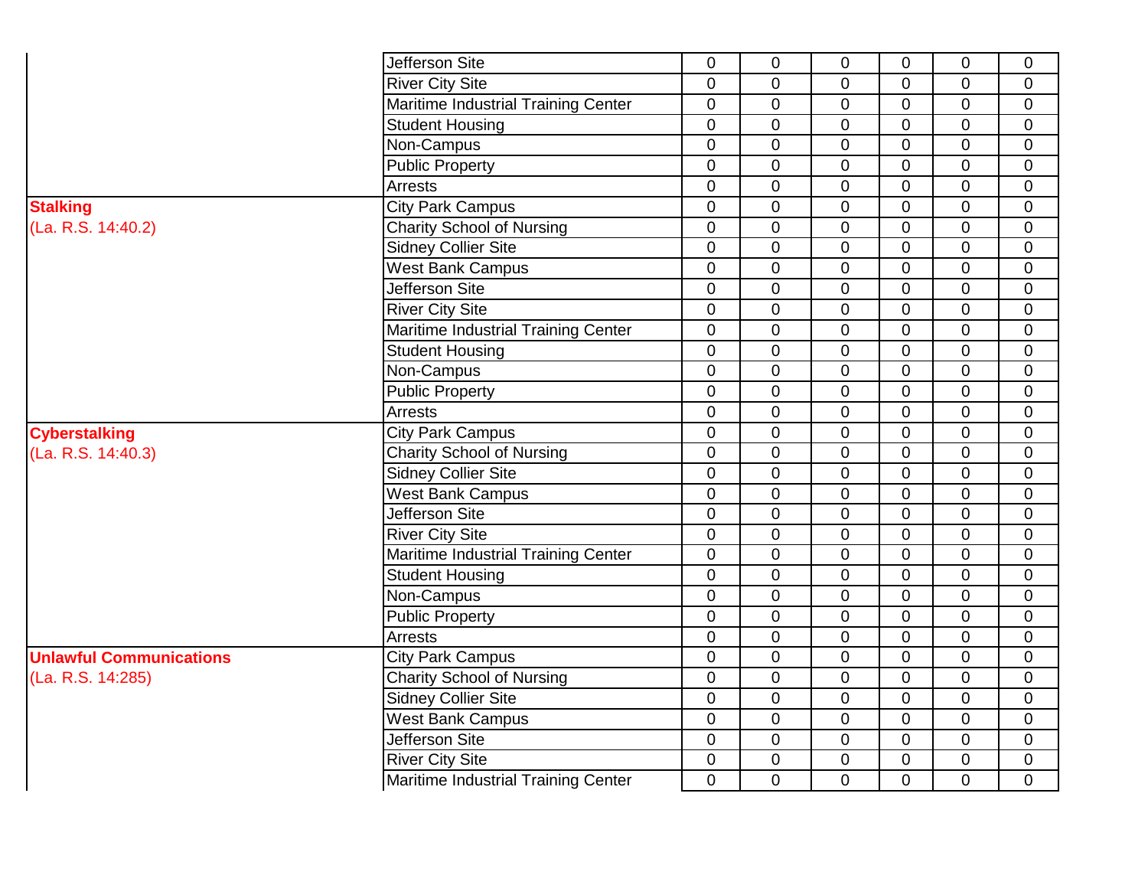|                                | Jefferson Site                      | $\overline{0}$   | $\mathbf 0$    | $\mathbf 0$    | $\mathbf 0$    | $\mathbf 0$    | $\mathbf 0$    |
|--------------------------------|-------------------------------------|------------------|----------------|----------------|----------------|----------------|----------------|
|                                | <b>River City Site</b>              | $\mathbf 0$      | $\mathbf 0$    | $\mathbf 0$    | $\mathbf 0$    | 0              | $\mathbf 0$    |
|                                | Maritime Industrial Training Center | $\mathbf 0$      | 0              | $\mathbf 0$    | $\mathbf 0$    | 0              | $\mathbf 0$    |
|                                | <b>Student Housing</b>              | $\overline{0}$   | $\overline{0}$ | $\mathbf 0$    | $\mathbf 0$    | 0              | $\mathbf 0$    |
|                                | Non-Campus                          | $\overline{0}$   | 0              | $\mathbf 0$    | $\mathbf 0$    | 0              | $\mathbf 0$    |
|                                | <b>Public Property</b>              | $\overline{0}$   | 0              | $\mathbf 0$    | $\mathbf 0$    | 0              | 0              |
|                                | Arrests                             | $\overline{0}$   | $\overline{0}$ | $\Omega$       | 0              | 0              | $\overline{0}$ |
| <b>Stalking</b>                | <b>City Park Campus</b>             | $\overline{0}$   | $\overline{0}$ | $\mathbf 0$    | $\mathbf 0$    | $\overline{0}$ | $\mathbf 0$    |
| (La. R.S. 14:40.2)             | <b>Charity School of Nursing</b>    | $\mathbf 0$      | $\overline{0}$ | $\overline{0}$ | $\mathbf 0$    | $\overline{0}$ | $\overline{0}$ |
|                                | <b>Sidney Collier Site</b>          | $\overline{0}$   | $\overline{0}$ | $\overline{0}$ | $\mathbf 0$    | $\overline{0}$ | $\mathbf 0$    |
|                                | <b>West Bank Campus</b>             | $\overline{0}$   | $\overline{0}$ | $\overline{0}$ | $\mathbf 0$    | $\overline{0}$ | $\mathbf 0$    |
|                                | Jefferson Site                      | $\mathbf 0$      | $\overline{0}$ | $\overline{0}$ | $\mathbf 0$    | $\mathbf 0$    | $\mathbf 0$    |
|                                | <b>River City Site</b>              | $\mathbf 0$      | $\overline{0}$ | $\overline{0}$ | $\mathbf 0$    | $\mathbf 0$    | $\mathbf 0$    |
|                                | Maritime Industrial Training Center | $\overline{0}$   | $\mathbf 0$    | $\Omega$       | $\mathbf 0$    | $\overline{0}$ | $\mathbf 0$    |
|                                | <b>Student Housing</b>              | $\mathbf 0$      | $\mathbf 0$    | $\mathbf 0$    | 0              | 0              | 0              |
|                                | Non-Campus                          | $\pmb{0}$        | $\overline{0}$ | $\overline{0}$ | 0              | 0              | $\mathbf 0$    |
|                                | <b>Public Property</b>              | $\mathbf 0$      | $\mathbf 0$    | $\mathbf 0$    | $\mathbf 0$    | $\mathbf 0$    | $\mathbf 0$    |
|                                | Arrests                             | $\mathbf 0$      | $\overline{0}$ | $\mathbf 0$    | $\mathbf 0$    | $\overline{0}$ | $\overline{0}$ |
| <b>Cyberstalking</b>           | <b>City Park Campus</b>             | $\overline{0}$   | $\mathbf 0$    | $\mathbf 0$    | $\mathbf 0$    | 0              | $\mathbf 0$    |
| (La. R.S. 14:40.3)             | <b>Charity School of Nursing</b>    | $\boldsymbol{0}$ | $\mathbf 0$    | $\mathbf 0$    | $\mathbf 0$    | 0              | $\mathbf 0$    |
|                                | <b>Sidney Collier Site</b>          | $\mathbf 0$      | 0              | $\mathbf 0$    | $\mathbf 0$    | 0              | $\mathbf 0$    |
|                                | <b>West Bank Campus</b>             | 0                | 0              | $\mathbf 0$    | 0              | 0              | $\mathbf 0$    |
|                                | Jefferson Site                      | $\mathbf 0$      | 0              | $\overline{0}$ | 0              | $\overline{0}$ | $\mathbf 0$    |
|                                | <b>River City Site</b>              | $\overline{0}$   | $\overline{0}$ | $\overline{0}$ | $\mathbf 0$    | $\overline{0}$ | $\overline{0}$ |
|                                | Maritime Industrial Training Center | $\overline{0}$   | $\overline{0}$ | $\overline{0}$ | $\mathbf 0$    | 0              | $\mathbf 0$    |
|                                | <b>Student Housing</b>              | $\overline{0}$   | $\overline{0}$ | $\mathbf 0$    | $\mathbf 0$    | 0              | $\mathbf 0$    |
|                                | Non-Campus                          | $\mathbf 0$      | 0              | $\mathbf 0$    | 0              | 0              | $\mathbf 0$    |
|                                | <b>Public Property</b>              | $\mathbf 0$      | 0              | $\mathbf 0$    | $\mathbf 0$    | 0              | 0              |
|                                | Arrests                             | $\overline{0}$   | $\overline{0}$ | $\Omega$       | $\mathbf 0$    | $\overline{0}$ | $\overline{0}$ |
| <b>Unlawful Communications</b> | <b>City Park Campus</b>             | $\mathbf 0$      | $\overline{0}$ | $\overline{0}$ | $\mathbf 0$    | $\overline{0}$ | $\mathbf 0$    |
| (La. R.S. 14:285)              | <b>Charity School of Nursing</b>    | $\mathbf 0$      | $\overline{0}$ | $\overline{0}$ | $\mathbf 0$    | $\mathbf 0$    | $\mathbf 0$    |
|                                | <b>Sidney Collier Site</b>          | $\mathbf 0$      | $\overline{0}$ | $\overline{0}$ | $\mathbf 0$    | $\overline{0}$ | $\mathbf 0$    |
|                                | <b>West Bank Campus</b>             | $\mathbf 0$      | $\overline{0}$ | $\overline{0}$ | $\mathbf 0$    | $\mathbf 0$    | $\mathbf 0$    |
|                                | Jefferson Site                      | $\overline{0}$   | $\overline{0}$ | $\overline{0}$ | $\overline{0}$ | $\mathbf 0$    | $\mathbf 0$    |
|                                | <b>River City Site</b>              | $\overline{0}$   | $\mathbf 0$    | $\mathbf 0$    | $\pmb{0}$      | $\mathbf 0$    | 0              |
|                                | Maritime Industrial Training Center | $\overline{0}$   | $\overline{0}$ | $\overline{0}$ | $\overline{0}$ | $\overline{0}$ | $\Omega$       |